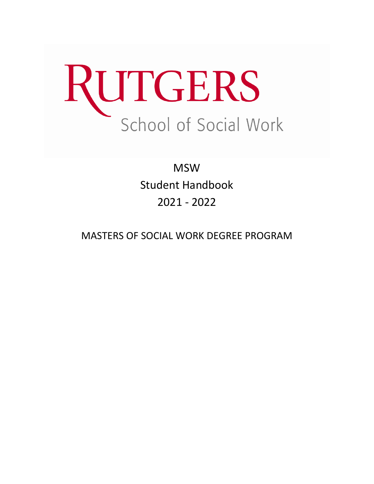

**MSW** Student Handbook 2021 - 2022

MASTERS OF SOCIAL WORK DEGREE PROGRAM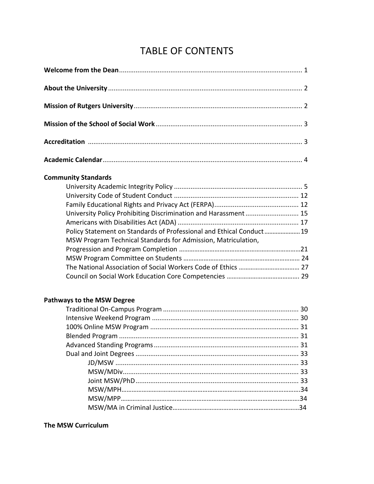# TABLE OF CONTENTS

| <b>Community Standards</b>                                           |
|----------------------------------------------------------------------|
|                                                                      |
|                                                                      |
|                                                                      |
| University Policy Prohibiting Discrimination and Harassment 15       |
|                                                                      |
| Policy Statement on Standards of Professional and Ethical Conduct 19 |
| MSW Program Technical Standards for Admission, Matriculation,        |
|                                                                      |
|                                                                      |
|                                                                      |
| <b>Pathways to the MSW Degree</b>                                    |
|                                                                      |
|                                                                      |
|                                                                      |
|                                                                      |

## **The MSW Curriculum**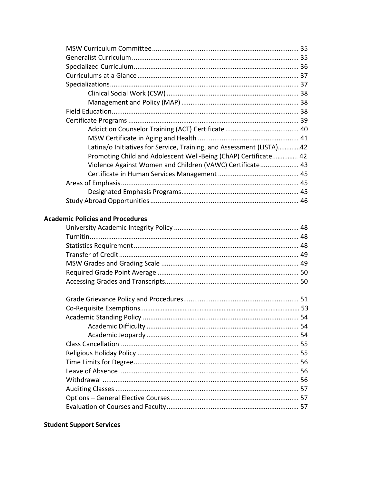| Latina/o Initiatives for Service, Training, and Assessment (LISTA)42 |  |
|----------------------------------------------------------------------|--|
| Promoting Child and Adolescent Well-Being (ChAP) Certificate 42      |  |
| Violence Against Women and Children (VAWC) Certificate 43            |  |
|                                                                      |  |
|                                                                      |  |
|                                                                      |  |
|                                                                      |  |

### **Academic Policies and Procedures**

## **Student Support Services**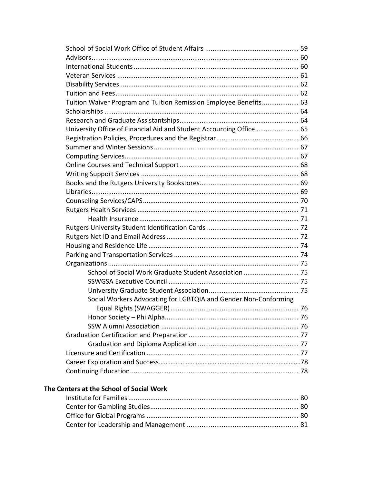| Tuition Waiver Program and Tuition Remission Employee Benefits 63    |  |
|----------------------------------------------------------------------|--|
|                                                                      |  |
|                                                                      |  |
| University Office of Financial Aid and Student Accounting Office  65 |  |
|                                                                      |  |
|                                                                      |  |
|                                                                      |  |
|                                                                      |  |
|                                                                      |  |
|                                                                      |  |
|                                                                      |  |
|                                                                      |  |
|                                                                      |  |
|                                                                      |  |
|                                                                      |  |
|                                                                      |  |
|                                                                      |  |
|                                                                      |  |
|                                                                      |  |
| School of Social Work Graduate Student Association  75               |  |
|                                                                      |  |
|                                                                      |  |
| Social Workers Advocating for LGBTQIA and Gender Non-Conforming      |  |
|                                                                      |  |
|                                                                      |  |
|                                                                      |  |
|                                                                      |  |
|                                                                      |  |
|                                                                      |  |
|                                                                      |  |
|                                                                      |  |
|                                                                      |  |

## The Centers at the School of Social Work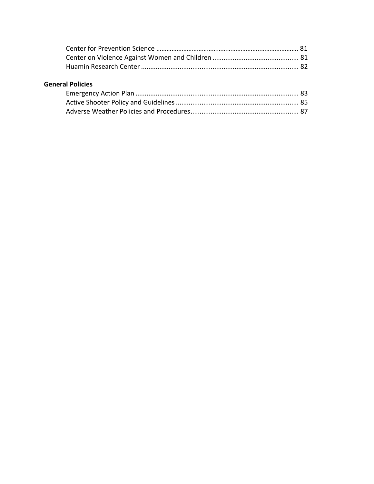## **General Policies**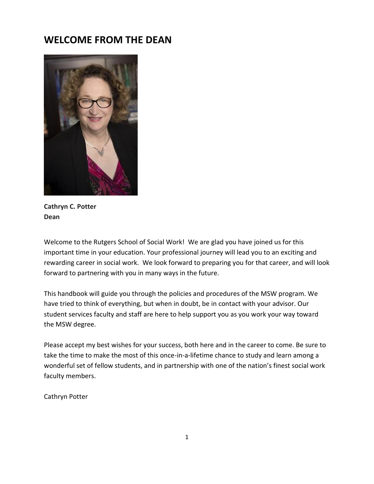# **WELCOME FROM THE DEAN**



**Cathryn C. Potter Dean** 

Welcome to the Rutgers School of Social Work! We are glad you have joined us for this important time in your education. Your professional journey will lead you to an exciting and rewarding career in social work. We look forward to preparing you for that career, and will look forward to partnering with you in many ways in the future.

This handbook will guide you through the policies and procedures of the MSW program. We have tried to think of everything, but when in doubt, be in contact with your advisor. Our student services faculty and staff are here to help support you as you work your way toward the MSW degree.

Please accept my best wishes for your success, both here and in the career to come. Be sure to take the time to make the most of this once-in-a-lifetime chance to study and learn among a wonderful set of fellow students, and in partnership with one of the nation's finest social work faculty members.

Cathryn Potter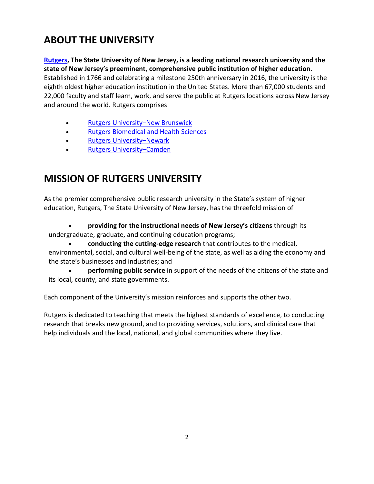# **ABOUT THE UNIVERSITY**

**[Rutgers,](https://www.rutgers.edu/) The State University of New Jersey, is a leading national research university and the state of New Jersey's preeminent, comprehensive public institution of higher education.** Established in 1766 and celebrating a milestone 250th anniversary in 2016, the university is the eighth oldest higher education institution in the United States. More than 67,000 students and 22,000 faculty and staff learn, work, and serve the public at Rutgers locations across New Jersey and around the world. Rutgers comprises

- Rutgers University–New [Brunswick](http://newbrunswick.rutgers.edu/)
- Rutgers [Biomedical](http://rbhs.rutgers.edu/) and Health Sciences
- Rutgers [University](https://www.newark.rutgers.edu/)–Newark
- Rutgers [University](http://www.camden.rutgers.edu/)–Camden

# **MISSION OF RUTGERS UNIVERSITY**

As the premier comprehensive public research university in the State's system of higher education, Rutgers, The State University of New Jersey, has the threefold mission of

• **providing for the instructional needs of New Jersey's citizens** through its undergraduate, graduate, and continuing education programs;

• **conducting the cutting-edge research** that contributes to the medical, environmental, social, and cultural well-being of the state, as well as aiding the economy and the state's businesses and industries; and

• **performing public service** in support of the needs of the citizens of the state and its local, county, and state governments.

Each component of the University's mission reinforces and supports the other two.

Rutgers is dedicated to teaching that meets the highest standards of excellence, to conducting research that breaks new ground, and to providing services, solutions, and clinical care that help individuals and the local, national, and global communities where they live.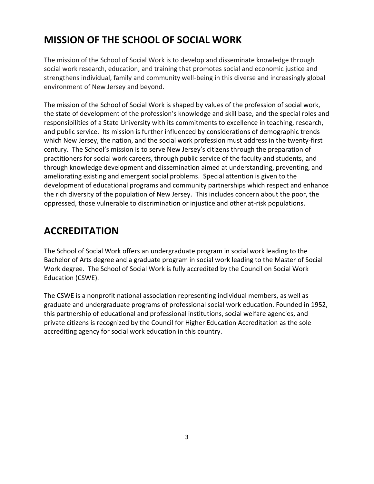# **MISSION OF THE SCHOOL OF SOCIAL WORK**

The mission of the School of Social Work is to develop and disseminate knowledge through social work research, education, and training that promotes social and economic justice and strengthens individual, family and community well-being in this diverse and increasingly global environment of New Jersey and beyond.

The mission of the School of Social Work is shaped by values of the profession of social work, the state of development of the profession's knowledge and skill base, and the special roles and responsibilities of a State University with its commitments to excellence in teaching, research, and public service. Its mission is further influenced by considerations of demographic trends which New Jersey, the nation, and the social work profession must address in the twenty-first century. The School's mission is to serve New Jersey's citizens through the preparation of practitioners for social work careers, through public service of the faculty and students, and through knowledge development and dissemination aimed at understanding, preventing, and ameliorating existing and emergent social problems. Special attention is given to the development of educational programs and community partnerships which respect and enhance the rich diversity of the population of New Jersey. This includes concern about the poor, the oppressed, those vulnerable to discrimination or injustice and other at-risk populations.

# **ACCREDITATION**

The School of Social Work offers an undergraduate program in social work leading to the Bachelor of Arts degree and a graduate program in social work leading to the Master of Social Work degree. The School of Social Work is fully accredited by the Council on Social Work Education (CSWE).

The CSWE is a nonprofit national association representing individual members, as well as graduate and undergraduate programs of professional social work education. Founded in 1952, this partnership of educational and professional institutions, social welfare agencies, and private citizens is recognized by the Council for Higher Education Accreditation as the sole accrediting agency for social work education in this country.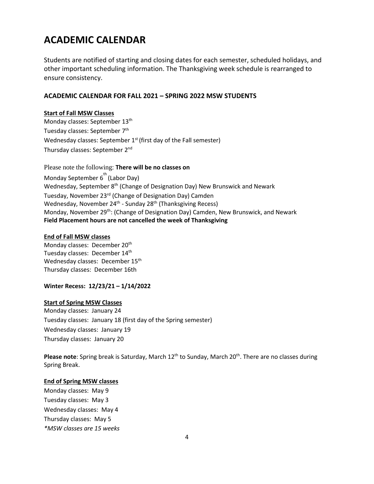# **ACADEMIC CALENDAR**

Students are notified of starting and closing dates for each semester, scheduled holidays, and other important scheduling information. The Thanksgiving week schedule is rearranged to ensure consistency.

#### **ACADEMIC CALENDAR FOR FALL 2021 – SPRING 2022 MSW STUDENTS**

#### **Start of Fall MSW Classes**

Monday classes: September 13<sup>th</sup> Tuesday classes: September 7<sup>th</sup> Wednesday classes: September  $1<sup>st</sup>$  (first day of the Fall semester) Thursday classes: September 2<sup>nd</sup>

Please note the following: **There will be no classes on** Monday September  $6^{th}$  (Labor Day) Wednesday, September 8<sup>th</sup> (Change of Designation Day) New Brunswick and Newark Tuesday, November 23<sup>rd</sup> (Change of Designation Day) Camden Wednesday, November 24<sup>th</sup> - Sunday 28<sup>th</sup> (Thanksgiving Recess) Monday, November 29<sup>th</sup>: (Change of Designation Day) Camden, New Brunswick, and Newark **Field Placement hours are not cancelled the week of Thanksgiving**

#### **End of Fall MSW classes**

Monday classes: December 20<sup>th</sup> Tuesday classes: December 14<sup>th</sup> Wednesday classes: December 15<sup>th</sup> Thursday classes: December 16th

#### **Winter Recess: 12/23/21 – 1/14/2022**

#### **Start of Spring MSW Classes**

Monday classes: January 24 Tuesday classes: January 18 (first day of the Spring semester) Wednesday classes: January 19 Thursday classes: January 20

Please note: Spring break is Saturday, March 12<sup>th</sup> to Sunday, March 20<sup>th</sup>. There are no classes during Spring Break.

#### **End of Spring MSW classes**

Monday classes: May 9 Tuesday classes: May 3 Wednesday classes: May 4 Thursday classes: May 5 *\*MSW classes are 15 weeks*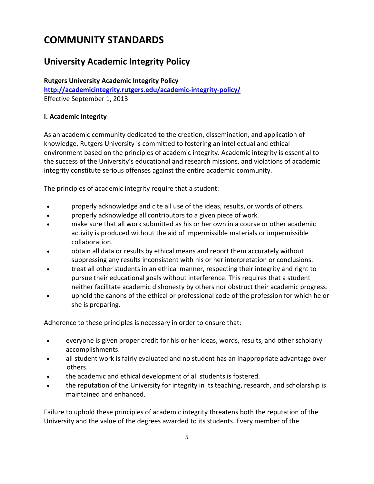# **COMMUNITY STANDARDS**

# **University Academic Integrity Policy**

**Rutgers University Academic Integrity Policy <http://academicintegrity.rutgers.edu/academic-integrity-policy/>** Effective September 1, 2013

### **[I. Academic Integrity](http://academicintegrity.rutgers.edu/academic-integrity-policy/#i-academic-integrity)**

As an academic community dedicated to the creation, dissemination, and application of knowledge, Rutgers University is committed to fostering an intellectual and ethical environment based on the principles of academic integrity. Academic integrity is essential to the success of the University's educational and research missions, and violations of academic integrity constitute serious offenses against the entire academic community.

The principles of academic integrity require that a student:

- properly acknowledge and cite all use of the ideas, results, or words of others.
- properly acknowledge all contributors to a given piece of work.
- make sure that all work submitted as his or her own in a course or other academic activity is produced without the aid of impermissible materials or impermissible collaboration.
- obtain all data or results by ethical means and report them accurately without suppressing any results inconsistent with his or her interpretation or conclusions.
- treat all other students in an ethical manner, respecting their integrity and right to pursue their educational goals without interference. This requires that a student neither facilitate academic dishonesty by others nor obstruct their academic progress.
- uphold the canons of the ethical or professional code of the profession for which he or she is preparing.

Adherence to these principles is necessary in order to ensure that:

- everyone is given proper credit for his or her ideas, words, results, and other scholarly accomplishments.
- all student work is fairly evaluated and no student has an inappropriate advantage over others.
- the academic and ethical development of all students is fostered.
- the reputation of the University for integrity in its teaching, research, and scholarship is maintained and enhanced.

Failure to uphold these principles of academic integrity threatens both the reputation of the University and the value of the degrees awarded to its students. Every member of the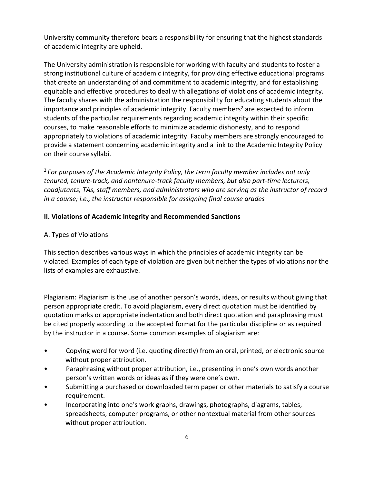University community therefore bears a responsibility for ensuring that the highest standards of academic integrity are upheld.

The University administration is responsible for working with faculty and students to foster a strong institutional culture of academic integrity, for providing effective educational programs that create an understanding of and commitment to academic integrity, and for establishing equitable and effective procedures to deal with allegations of violations of academic integrity. The faculty shares with the administration the responsibility for educating students about the importance and principles of academic integrity. Faculty members<sup>2</sup> are expected to inform students of the particular requirements regarding academic integrity within their specific courses, to make reasonable efforts to minimize academic dishonesty, and to respond appropriately to violations of academic integrity. Faculty members are strongly encouraged to provide a statement concerning academic integrity and a link to the Academic Integrity Policy on their course syllabi.

<sup>2</sup>*For purposes of the Academic Integrity Policy, the term faculty member includes not only tenured, tenure-track, and nontenure-track faculty members, but also part-time lecturers, coadjutants, TAs, staff members, and administrators who are serving as the instructor of record in a course; i.e., the instructor responsible for assigning final course grades*

### **[II. Violations of Academic Integrity and Recommended Sanctions](http://academicintegrity.rutgers.edu/academic-integrity-policy/#ii-violations-of-academic-integrity-and-recommended-sanctions)**

### A. Types of Violations

This section describes various ways in which the principles of academic integrity can be violated. Examples of each type of violation are given but neither the types of violations nor the lists of examples are exhaustive.

Plagiarism: Plagiarism is the use of another person's words, ideas, or results without giving that person appropriate credit. To avoid plagiarism, every direct quotation must be identified by quotation marks or appropriate indentation and both direct quotation and paraphrasing must be cited properly according to the accepted format for the particular discipline or as required by the instructor in a course. Some common examples of plagiarism are:

- Copying word for word (i.e. quoting directly) from an oral, printed, or electronic source without proper attribution.
- Paraphrasing without proper attribution, i.e., presenting in one's own words another person's written words or ideas as if they were one's own.
- Submitting a purchased or downloaded term paper or other materials to satisfy a course requirement.
- Incorporating into one's work graphs, drawings, photographs, diagrams, tables, spreadsheets, computer programs, or other nontextual material from other sources without proper attribution.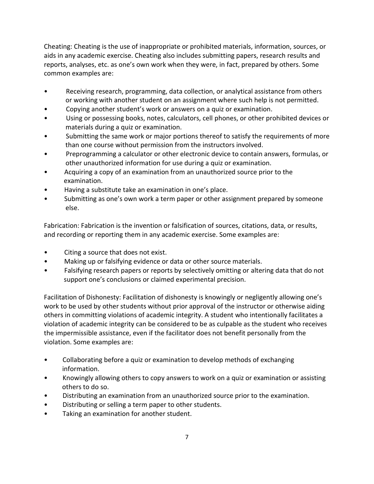Cheating: Cheating is the use of inappropriate or prohibited materials, information, sources, or aids in any academic exercise. Cheating also includes submitting papers, research results and reports, analyses, etc. as one's own work when they were, in fact, prepared by others. Some common examples are:

- Receiving research, programming, data collection, or analytical assistance from others or working with another student on an assignment where such help is not permitted.
- Copying another student's work or answers on a quiz or examination.
- Using or possessing books, notes, calculators, cell phones, or other prohibited devices or materials during a quiz or examination.
- Submitting the same work or major portions thereof to satisfy the requirements of more than one course without permission from the instructors involved.
- Preprogramming a calculator or other electronic device to contain answers, formulas, or other unauthorized information for use during a quiz or examination.
- Acquiring a copy of an examination from an unauthorized source prior to the examination.
- Having a substitute take an examination in one's place.
- Submitting as one's own work a term paper or other assignment prepared by someone else.

Fabrication: Fabrication is the invention or falsification of sources, citations, data, or results, and recording or reporting them in any academic exercise. Some examples are:

- Citing a source that does not exist.
- Making up or falsifying evidence or data or other source materials.
- Falsifying research papers or reports by selectively omitting or altering data that do not support one's conclusions or claimed experimental precision.

Facilitation of Dishonesty: Facilitation of dishonesty is knowingly or negligently allowing one's work to be used by other students without prior approval of the instructor or otherwise aiding others in committing violations of academic integrity. A student who intentionally facilitates a violation of academic integrity can be considered to be as culpable as the student who receives the impermissible assistance, even if the facilitator does not benefit personally from the violation. Some examples are:

- Collaborating before a quiz or examination to develop methods of exchanging information.
- Knowingly allowing others to copy answers to work on a quiz or examination or assisting others to do so.
- Distributing an examination from an unauthorized source prior to the examination.
- Distributing or selling a term paper to other students.
- Taking an examination for another student.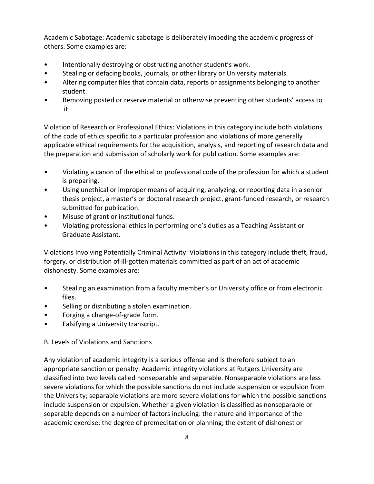Academic Sabotage: Academic sabotage is deliberately impeding the academic progress of others. Some examples are:

- Intentionally destroying or obstructing another student's work.
- Stealing or defacing books, journals, or other library or University materials.
- Altering computer files that contain data, reports or assignments belonging to another student.
- Removing posted or reserve material or otherwise preventing other students' access to it.

Violation of Research or Professional Ethics: Violations in this category include both violations of the code of ethics specific to a particular profession and violations of more generally applicable ethical requirements for the acquisition, analysis, and reporting of research data and the preparation and submission of scholarly work for publication. Some examples are:

- Violating a canon of the ethical or professional code of the profession for which a student is preparing.
- Using unethical or improper means of acquiring, analyzing, or reporting data in a senior thesis project, a master's or doctoral research project, grant-funded research, or research submitted for publication.
- Misuse of grant or institutional funds.
- Violating professional ethics in performing one's duties as a Teaching Assistant or Graduate Assistant.

Violations Involving Potentially Criminal Activity: Violations in this category include theft, fraud, forgery, or distribution of ill-gotten materials committed as part of an act of academic dishonesty. Some examples are:

- Stealing an examination from a faculty member's or University office or from electronic files.
- Selling or distributing a stolen examination.
- Forging a change-of-grade form.
- Falsifying a University transcript.

### B. Levels of Violations and Sanctions

Any violation of academic integrity is a serious offense and is therefore subject to an appropriate sanction or penalty. Academic integrity violations at Rutgers University are classified into two levels called nonseparable and separable. Nonseparable violations are less severe violations for which the possible sanctions do not include suspension or expulsion from the University; separable violations are more severe violations for which the possible sanctions include suspension or expulsion. Whether a given violation is classified as nonseparable or separable depends on a number of factors including: the nature and importance of the academic exercise; the degree of premeditation or planning; the extent of dishonest or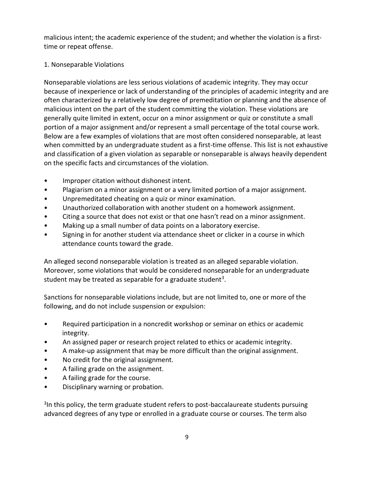malicious intent; the academic experience of the student; and whether the violation is a firsttime or repeat offense.

### 1. Nonseparable Violations

Nonseparable violations are less serious violations of academic integrity. They may occur because of inexperience or lack of understanding of the principles of academic integrity and are often characterized by a relatively low degree of premeditation or planning and the absence of malicious intent on the part of the student committing the violation. These violations are generally quite limited in extent, occur on a minor assignment or quiz or constitute a small portion of a major assignment and/or represent a small percentage of the total course work. Below are a few examples of violations that are most often considered nonseparable, at least when committed by an undergraduate student as a first-time offense. This list is not exhaustive and classification of a given violation as separable or nonseparable is always heavily dependent on the specific facts and circumstances of the violation.

- Improper citation without dishonest intent.
- Plagiarism on a minor assignment or a very limited portion of a major assignment.
- Unpremeditated cheating on a quiz or minor examination.
- Unauthorized collaboration with another student on a homework assignment.
- Citing a source that does not exist or that one hasn't read on a minor assignment.
- Making up a small number of data points on a laboratory exercise.
- Signing in for another student via attendance sheet or clicker in a course in which attendance counts toward the grade.

An alleged second nonseparable violation is treated as an alleged separable violation. Moreover, some violations that would be considered nonseparable for an undergraduate student may be treated as separable for a graduate student<sup>3</sup>.

Sanctions for nonseparable violations include, but are not limited to, one or more of the following, and do not include suspension or expulsion:

- Required participation in a noncredit workshop or seminar on ethics or academic integrity.
- An assigned paper or research project related to ethics or academic integrity.
- A make-up assignment that may be more difficult than the original assignment.
- No credit for the original assignment.
- A failing grade on the assignment.
- A failing grade for the course.
- Disciplinary warning or probation.

<sup>3</sup>In this policy, the term graduate student refers to post-baccalaureate students pursuing advanced degrees of any type or enrolled in a graduate course or courses. The term also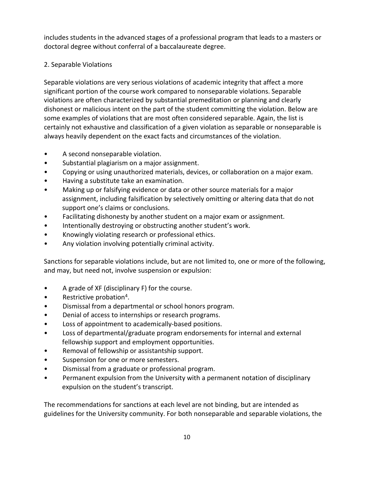includes students in the advanced stages of a professional program that leads to a masters or doctoral degree without conferral of a baccalaureate degree.

### 2. Separable Violations

Separable violations are very serious violations of academic integrity that affect a more significant portion of the course work compared to nonseparable violations. Separable violations are often characterized by substantial premeditation or planning and clearly dishonest or malicious intent on the part of the student committing the violation. Below are some examples of violations that are most often considered separable. Again, the list is certainly not exhaustive and classification of a given violation as separable or nonseparable is always heavily dependent on the exact facts and circumstances of the violation.

- A second nonseparable violation.
- Substantial plagiarism on a major assignment.
- Copying or using unauthorized materials, devices, or collaboration on a major exam.
- Having a substitute take an examination.
- Making up or falsifying evidence or data or other source materials for a major assignment, including falsification by selectively omitting or altering data that do not support one's claims or conclusions.
- Facilitating dishonesty by another student on a major exam or assignment.
- Intentionally destroying or obstructing another student's work.
- Knowingly violating research or professional ethics.
- Any violation involving potentially criminal activity.

Sanctions for separable violations include, but are not limited to, one or more of the following, and may, but need not, involve suspension or expulsion:

- A grade of XF (disciplinary F) for the course.
- Restrictive probation<sup>4</sup>.
- Dismissal from a departmental or school honors program.
- Denial of access to internships or research programs.
- Loss of appointment to academically-based positions.
- Loss of departmental/graduate program endorsements for internal and external fellowship support and employment opportunities.
- Removal of fellowship or assistantship support.
- Suspension for one or more semesters.
- Dismissal from a graduate or professional program.
- Permanent expulsion from the University with a permanent notation of disciplinary expulsion on the student's transcript.

The recommendations for sanctions at each level are not binding, but are intended as guidelines for the University community. For both nonseparable and separable violations, the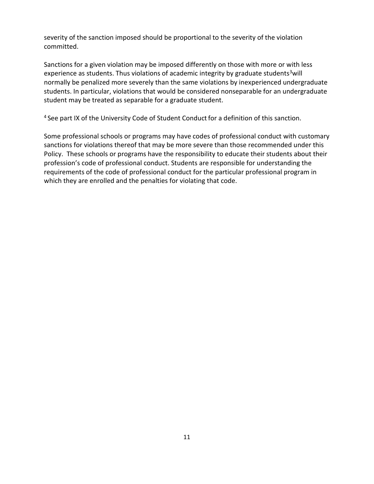severity of the sanction imposed should be proportional to the severity of the violation committed.

Sanctions for a given violation may be imposed differently on those with more or with less experience as students. Thus violations of academic integrity by graduate students<sup>3</sup>will normally be penalized more severely than the same violations by inexperienced undergraduate students. In particular, violations that would be considered nonseparable for an undergraduate student may be treated as separable for a graduate student.

<sup>4</sup> See part IX of the University Code of Student Conduct for a definition of this sanction.

Some professional schools or programs may have codes of professional conduct with customary sanctions for violations thereof that may be more severe than those recommended under this Policy. These schools or programs have the responsibility to educate their students about their profession's code of professional conduct. Students are responsible for understanding the requirements of the code of professional conduct for the particular professional program in which they are enrolled and the penalties for violating that code.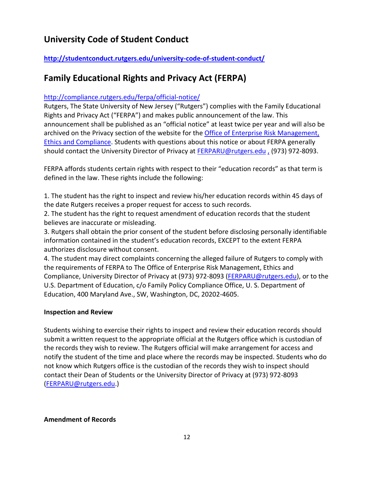# **University Code of Student Conduct**

## **<http://studentconduct.rutgers.edu/university-code-of-student-conduct/>**

# **Family Educational Rights and Privacy Act (FERPA)**

### <http://compliance.rutgers.edu/ferpa/official-notice/>

Rutgers, The State University of New Jersey ("Rutgers") complies with the Family Educational Rights and Privacy Act ("FERPA") and makes public announcement of the law. This announcement shall be published as an "official notice" at least twice per year and will also be archived on the Privacy section of the website for the [Office of Enterprise Risk Management,](https://uec.rutgers.edu/programs/ferpa-student-privacy/)  Ethics [and Compliance.](https://uec.rutgers.edu/programs/ferpa-student-privacy/) Students with questions about this notice or about FERPA generally should contact the University Director of Privacy at **FERPARU@rutgers.edu**, (973) 972-8093.

FERPA affords students certain rights with respect to their "education records" as that term is defined in the law. These rights include the following:

1. The student has the right to inspect and review his/her education records within 45 days of the date Rutgers receives a proper request for access to such records.

2. The student has the right to request amendment of education records that the student believes are inaccurate or misleading.

3. Rutgers shall obtain the prior consent of the student before disclosing personally identifiable information contained in the student's education records, EXCEPT to the extent FERPA authorizes disclosure without consent.

4. The student may direct complaints concerning the alleged failure of Rutgers to comply with the requirements of FERPA to The Office of Enterprise Risk Management, Ethics and Compliance, University Director of Privacy at (973) 972-8093 [\(FERPARU@rutgers.edu\)](mailto:FERPARU@rutgers.edu), or to the U.S. Department of Education, c/o Family Policy Compliance Office, U. S. Department of Education, 400 Maryland Ave., SW, Washington, DC, 20202-4605.

### **Inspection and Review**

Students wishing to exercise their rights to inspect and review their education records should submit a written request to the appropriate official at the Rutgers office which is custodian of the records they wish to review. The Rutgers official will make arrangement for access and notify the student of the time and place where the records may be inspected. Students who do not know which Rutgers office is the custodian of the records they wish to inspect should contact their Dean of Students or the University Director of Privacy at (973) 972-8093 [\(FERPARU@rutgers.edu.](mailto:FERPARU@rutgers.edu))

### **Amendment of Records**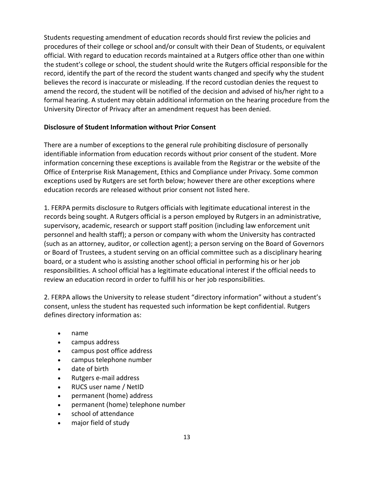Students requesting amendment of education records should first review the policies and procedures of their college or school and/or consult with their Dean of Students, or equivalent official. With regard to education records maintained at a Rutgers office other than one within the student's college or school, the student should write the Rutgers official responsible for the record, identify the part of the record the student wants changed and specify why the student believes the record is inaccurate or misleading. If the record custodian denies the request to amend the record, the student will be notified of the decision and advised of his/her right to a formal hearing. A student may obtain additional information on the hearing procedure from the University Director of Privacy after an amendment request has been denied.

### **Disclosure of Student Information without Prior Consent**

There are a number of exceptions to the general rule prohibiting disclosure of personally identifiable information from education records without prior consent of the student. More information concerning these exceptions is available from the Registrar or the website of the Office of Enterprise Risk Management, Ethics and Compliance under Privacy. Some common exceptions used by Rutgers are set forth below; however there are other exceptions where education records are released without prior consent not listed here.

1. FERPA permits disclosure to Rutgers officials with legitimate educational interest in the records being sought. A Rutgers official is a person employed by Rutgers in an administrative, supervisory, academic, research or support staff position (including law enforcement unit personnel and health staff); a person or company with whom the University has contracted (such as an attorney, auditor, or collection agent); a person serving on the Board of Governors or Board of Trustees, a student serving on an official committee such as a disciplinary hearing board, or a student who is assisting another school official in performing his or her job responsibilities. A school official has a legitimate educational interest if the official needs to review an education record in order to fulfill his or her job responsibilities.

2. FERPA allows the University to release student "directory information" without a student's consent, unless the student has requested such information be kept confidential. Rutgers defines directory information as:

- name
- campus address
- campus post office address
- campus telephone number
- date of birth
- Rutgers e-mail address
- RUCS user name / NetID
- permanent (home) address
- permanent (home) telephone number
- school of attendance
- major field of study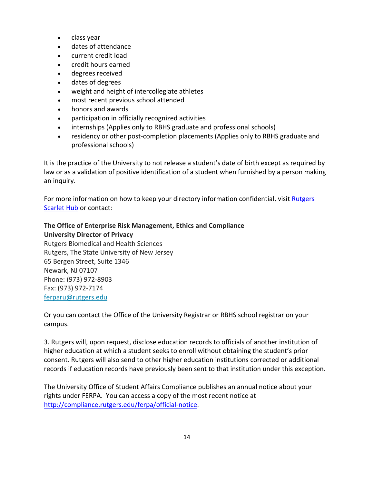- class year
- dates of attendance
- current credit load
- credit hours earned
- degrees received
- dates of degrees
- weight and height of intercollegiate athletes
- most recent previous school attended
- honors and awards
- participation in officially recognized activities
- internships (Applies only to RBHS graduate and professional schools)
- residency or other post-completion placements (Applies only to RBHS graduate and professional schools)

It is the practice of the University to not release a student's date of birth except as required by law or as a validation of positive identification of a student when furnished by a person making an inquiry.

For more information on how to keep your directory information confidential, visit Rutgers [Scarlet Hub](https://scarlethub.rutgers.edu/registrar/ferpa-information/confidentiality-security/) or contact:

## **The Office of Enterprise Risk Management, Ethics and Compliance University Director of Privacy**

Rutgers Biomedical and Health Sciences Rutgers, The State University of New Jersey 65 Bergen Street, Suite 1346 Newark, NJ 07107 Phone: (973) 972-8903 Fax: (973) 972-7174 [ferparu@rutgers.edu](mailto:ferparu@rutgers.edu)

Or you can contact the Office of the University Registrar or RBHS school registrar on your campus.

3. Rutgers will, upon request, disclose education records to officials of another institution of higher education at which a student seeks to enroll without obtaining the student's prior consent. Rutgers will also send to other higher education institutions corrected or additional records if education records have previously been sent to that institution under this exception.

The University Office of Student Affairs Compliance publishes an annual notice about your rights under FERPA. You can access a copy of the most recent notice at [http://compliance.rutgers.edu/ferpa/official-notice.](http://compliance.rutgers.edu/ferpa/official-notice)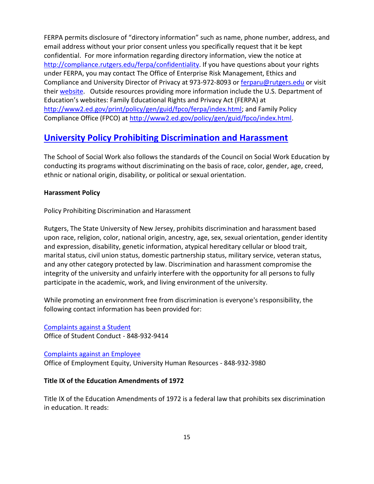FERPA permits disclosure of "directory information" such as name, phone number, address, and email address without your prior consent unless you specifically request that it be kept confidential. For more information regarding directory information, view the notice at [http://compliance.rutgers.edu/ferpa/confidentiality.](http://compliance.rutgers.edu/ferpa/confidentiality) If you have questions about your rights under FERPA, you may contact The Office of Enterprise Risk Management, Ethics and Compliance and University Director of Privacy at 973-972-8093 or [ferparu@rutgers.edu](mailto:ferparu@rutgers.edu) or visit their [website.](https://uec.rutgers.edu/programs/ferpa-student-privacy/) Outside resources providing more information include the U.S. Department of Education's websites: Family Educational Rights and Privacy Act (FERPA) at [http://www2.ed.gov/print/policy/gen/guid/fpco/ferpa/index.html;](http://www2.ed.gov/print/policy/gen/guid/fpco/ferpa/index.html) and Family Policy Compliance Office (FPCO) at [http://www2.ed.gov/policy/gen/guid/fpco/index.html.](http://www2.ed.gov/policy/gen/guid/fpco/index.html)

# **[University Policy Prohibiting Discrimination and Harassment](http://catalogs.rutgers.edu/generated/ssw_current/pg91.html)**

The School of Social Work also follows the standards of the Council on Social Work Education by conducting its programs without discriminating on the basis of race, color, gender, age, creed, ethnic or national origin, disability, or political or sexual orientation.

### **Harassment Policy**

Policy Prohibiting Discrimination and Harassment

Rutgers, The State University of New Jersey, prohibits discrimination and harassment based upon race, religion, color, national origin, ancestry, age, sex, sexual orientation, gender identity and expression, disability, genetic information, atypical hereditary cellular or blood trait, marital status, civil union status, domestic partnership status, military service, veteran status, and any other category protected by law. Discrimination and harassment compromise the integrity of the university and unfairly interfere with the opportunity for all persons to fully participate in the academic, work, and living environment of the university.

While promoting an environment free from discrimination is everyone's responsibility, the following contact information has been provided for:

[Complaints against a Student](http://studentconduct.rutgers.edu/) Office of Student Conduct - 848-932-9414

[Complaints against an Employee](https://socialwork.rutgers.edu/sites/default/files/60-1-12-current4.pdf_discrimination_-_employee.pdf) Office of Employment Equity, University Human Resources - 848-932-3980

### **Title IX of the Education Amendments of 1972**

Title IX of the Education Amendments of 1972 is a federal law that prohibits sex discrimination in education. It reads: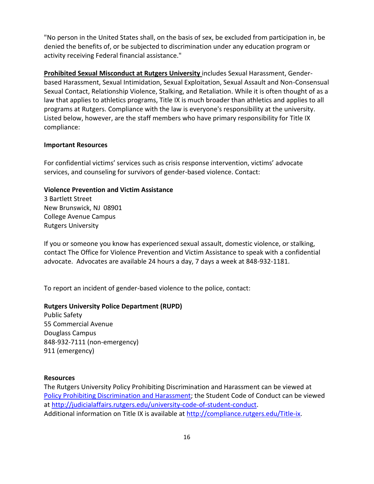"No person in the United States shall, on the basis of sex, be excluded from participation in, be denied the benefits of, or be subjected to discrimination under any education program or activity receiving Federal financial assistance."

**Prohibited Sexual Misconduct at Rutgers University** includes Sexual Harassment, Genderbased Harassment, Sexual Intimidation, Sexual Exploitation, Sexual Assault and Non-Consensual Sexual Contact, Relationship Violence, Stalking, and Retaliation. While it is often thought of as a law that applies to athletics programs, Title IX is much broader than athletics and applies to all programs at Rutgers. Compliance with the law is everyone's responsibility at the university. Listed below, however, are the staff members who have primary responsibility for Title IX compliance:

#### **Important Resources**

For confidential victims' services such as crisis response intervention, victims' advocate services, and counseling for survivors of gender-based violence. Contact:

#### **Violence Prevention and Victim Assistance**

3 Bartlett Street New Brunswick, NJ 08901 College Avenue Campus Rutgers University

If you or someone you know has experienced sexual assault, domestic violence, or stalking, contact The Office for Violence Prevention and Victim Assistance to speak with a confidential advocate. Advocates are available 24 hours a day, 7 days a week at 848-932-1181.

To report an incident of gender-based violence to the police, contact:

#### **Rutgers University Police Department (RUPD)**

Public Safety 55 Commercial Avenue Douglass Campus 848-932-7111 (non-emergency) 911 (emergency)

#### **Resources**

The Rutgers University Policy Prohibiting Discrimination and Harassment can be viewed at [Policy Prohibiting Discrimination and Harassment;](http://catalogs.rutgers.edu/generated/ssw_current/pg91.html) the Student Code of Conduct can be viewed at [http://judicialaffairs.rutgers.edu/university-code-of-student-conduct.](http://judicialaffairs.rutgers.edu/university-code-of-student-conduct) Additional information on Title IX is available at [http://compliance.rutgers.edu/Title-ix.](http://compliance.rutgers.edu/Title-ix)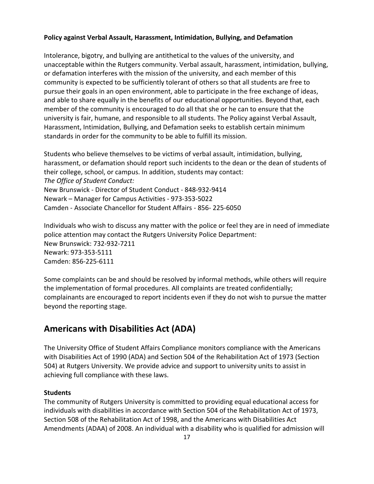### **Policy against Verbal Assault, Harassment, Intimidation, Bullying, and Defamation**

Intolerance, bigotry, and bullying are antithetical to the values of the university, and unacceptable within the Rutgers community. Verbal assault, harassment, intimidation, bullying, or defamation interferes with the mission of the university, and each member of this community is expected to be sufficiently tolerant of others so that all students are free to pursue their goals in an open environment, able to participate in the free exchange of ideas, and able to share equally in the benefits of our educational opportunities. Beyond that, each member of the community is encouraged to do all that she or he can to ensure that the university is fair, humane, and responsible to all students. The Policy against Verbal Assault, Harassment, Intimidation, Bullying, and Defamation seeks to establish certain minimum standards in order for the community to be able to fulfill its mission.

Students who believe themselves to be victims of verbal assault, intimidation, bullying, harassment, or defamation should report such incidents to the dean or the dean of students of their college, school, or campus. In addition, students may contact: *The Office of Student Conduct:* New Brunswick - Director of Student Conduct - 848-932-9414 Newark – Manager for Campus Activities - 973-353-5022 Camden - Associate Chancellor for Student Affairs - 856- 225-6050

Individuals who wish to discuss any matter with the police or feel they are in need of immediate police attention may contact the Rutgers University Police Department: New Brunswick: 732-932-7211 Newark: 973-353-5111 Camden: 856-225-6111

Some complaints can be and should be resolved by informal methods, while others will require the implementation of formal procedures. All complaints are treated confidentially; complainants are encouraged to report incidents even if they do not wish to pursue the matter beyond the reporting stage.

# **Americans with Disabilities Act (ADA)**

The University Office of Student Affairs Compliance monitors compliance with the Americans with Disabilities Act of 1990 (ADA) and Section 504 of the Rehabilitation Act of 1973 (Section 504) at Rutgers University. We provide advice and support to university units to assist in achieving full compliance with these laws.

### **Students**

The community of Rutgers University is committed to providing equal educational access for individuals with disabilities in accordance with Section 504 of the Rehabilitation Act of 1973, Section 508 of the Rehabilitation Act of 1998, and the Americans with Disabilities Act Amendments (ADAA) of 2008. An individual with a disability who is qualified for admission will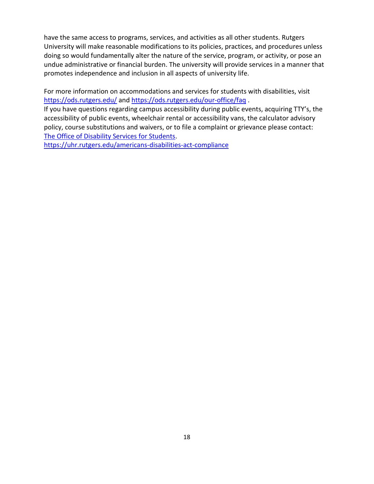have the same access to programs, services, and activities as all other students. Rutgers University will make reasonable modifications to its policies, practices, and procedures unless doing so would fundamentally alter the nature of the service, program, or activity, or pose an undue administrative or financial burden. The university will provide services in a manner that promotes independence and inclusion in all aspects of university life.

For more information on accommodations and services for students with disabilities, visit <https://ods.rutgers.edu/> and<https://ods.rutgers.edu/our-office/faq> .

If you have questions regarding campus accessibility during public events, acquiring TTY's, the accessibility of public events, wheelchair rental or accessibility vans, the calculator advisory policy, course substitutions and waivers, or to file a complaint or grievance please contact: [The Office of Disability Services for Students.](https://ods.rutgers.edu/)

<https://uhr.rutgers.edu/americans-disabilities-act-compliance>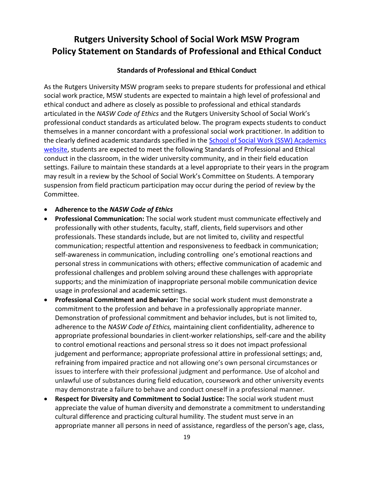# **Rutgers University School of Social Work MSW Program Policy Statement on Standards of Professional and Ethical Conduct**

#### **Standards of Professional and Ethical Conduct**

As the Rutgers University MSW program seeks to prepare students for professional and ethical social work practice, MSW students are expected to maintain a high level of professional and ethical conduct and adhere as closely as possible to professional and ethical standards articulated in the *NASW Code of Ethics* and the Rutgers University School of Social Work's professional conduct standards as articulated below. The program expects students to conduct themselves in a manner concordant with a professional social work practitioner. In addition to the clearly defined academic standards specified in the **School of Social Work (SSW) Academics** [website,](https://socialwork.rutgers.edu/academics) students are expected to meet the following Standards of Professional and Ethical conduct in the classroom, in the wider university community, and in their field education settings. Failure to maintain these standards at a level appropriate to their years in the program may result in a review by the School of Social Work's Committee on Students. A temporary suspension from field practicum participation may occur during the period of review by the Committee.

#### • **Adherence to the** *NASW Code of Ethics*

- **Professional Communication:** The social work student must communicate effectively and professionally with other students, faculty, staff, clients, field supervisors and other professionals. These standards include, but are not limited to, civility and respectful communication; respectful attention and responsiveness to feedback in communication; self-awareness in communication, including controlling one's emotional reactions and personal stress in communications with others; effective communication of academic and professional challenges and problem solving around these challenges with appropriate supports; and the minimization of inappropriate personal mobile communication device usage in professional and academic settings.
- **Professional Commitment and Behavior:** The social work student must demonstrate a commitment to the profession and behave in a professionally appropriate manner. Demonstration of professional commitment and behavior includes, but is not limited to, adherence to the *NASW Code of Ethics,* maintaining client confidentiality, adherence to appropriate professional boundaries in client-worker relationships, self-care and the ability to control emotional reactions and personal stress so it does not impact professional judgement and performance; appropriate professional attire in professional settings; and, refraining from impaired practice and not allowing one's own personal circumstances or issues to interfere with their professional judgment and performance. Use of alcohol and unlawful use of substances during field education, coursework and other university events may demonstrate a failure to behave and conduct oneself in a professional manner.
- **Respect for Diversity and Commitment to Social Justice:** The social work student must appreciate the value of human diversity and demonstrate a commitment to understanding cultural difference and practicing cultural humility. The student must serve in an appropriate manner all persons in need of assistance, regardless of the person's age, class,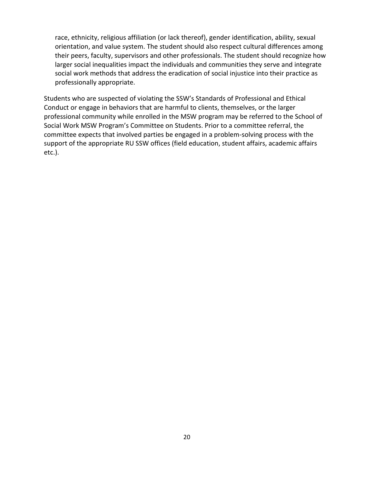race, ethnicity, religious affiliation (or lack thereof), gender identification, ability, sexual orientation, and value system. The student should also respect cultural differences among their peers, faculty, supervisors and other professionals. The student should recognize how larger social inequalities impact the individuals and communities they serve and integrate social work methods that address the eradication of social injustice into their practice as professionally appropriate.

Students who are suspected of violating the SSW's Standards of Professional and Ethical Conduct or engage in behaviors that are harmful to clients, themselves, or the larger professional community while enrolled in the MSW program may be referred to the School of Social Work MSW Program's Committee on Students. Prior to a committee referral, the committee expects that involved parties be engaged in a problem-solving process with the support of the appropriate RU SSW offices (field education, student affairs, academic affairs etc.).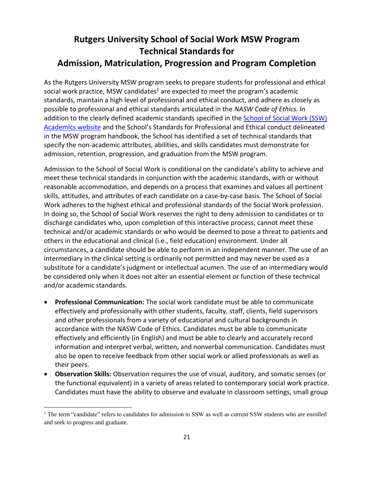# **Rutgers University School of Social Work MSW Program Technical Standards for Admission, Matriculation, Progression and Program Completion**

As the Rutgers University MSW program seeks to prepare students for professional and ethical social work practice, MSW candidates<sup>1</sup> are expected to meet the program's academic standards, maintain a high level of professional and ethical conduct, and adhere as closely as possible to professional and ethical standards articulated in the *NASW Code of Ethics.* In addition to the clearly defined academic standards specified in the School of Social Work (SSW) [Academics website](https://socialwork.rutgers.edu/academics) and the School's Standards for Professional and Ethical conduct delineated in the MSW program handbook, the School has identified a set of technical standards that specify the non-academic attributes, abilities, and skills candidates must demonstrate for admission, retention, progression, and graduation from the MSW program.

Admission to the School of Social Work is conditional on the candidate's ability to achieve and meet these technical standards in conjunction with the academic standards, with or without reasonable accommodation, and depends on a process that examines and values all pertinent skills, attitudes, and attributes of each candidate on a case-by-case basis. The School of Social Work adheres to the highest ethical and professional standards of the Social Work profession. In doing so, the School of Social Work reserves the right to deny admission to candidates or to discharge candidates who, upon completion of this interactive process, cannot meet these technical and/or academic standards or who would be deemed to pose a threat to patients and others in the educational and clinical (i.e., field education) environment. Under all circumstances, a candidate should be able to perform in an independent manner. The use of an intermediary in the clinical setting is ordinarily not permitted and may never be used as a substitute for a candidate's judgment or intellectual acumen. The use of an intermediary would be considered only when it does not alter an essential element or function of these technical and/or academic standards.

- **Professional Communication:** The social work candidate must be able to communicate effectively and professionally with other students, faculty, staff, clients, field supervisors and other professionals from a variety of educational and cultural backgrounds in accordance with the NASW Code of Ethics. Candidates must be able to communicate effectively and efficiently (in English) and must be able to clearly and accurately record information and interpret verbal, written, and nonverbal communication. Candidates must also be open to receive feedback from other social work or allied professionals as well as their peers.
- **Observation Skills:** Observation requires the use of visual, auditory, and somatic senses (or the functional equivalent) in a variety of areas related to contemporary social work practice. Candidates must have the ability to observe and evaluate in classroom settings, small group

<sup>&</sup>lt;sup>1</sup> The term "candidate" refers to candidates for admission to SSW as well as current SSW students who are enrolled and seek to progress and graduate.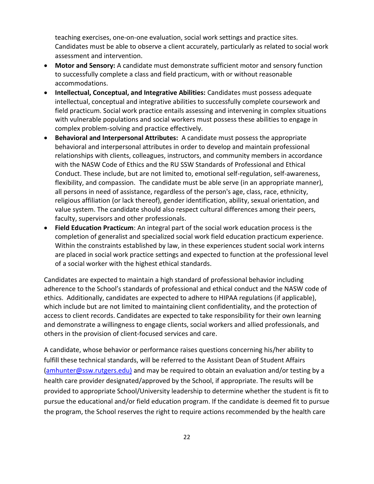teaching exercises, one-on-one evaluation, social work settings and practice sites. Candidates must be able to observe a client accurately, particularly as related to social work assessment and intervention.

- **Motor and Sensory:** A candidate must demonstrate sufficient motor and sensory function to successfully complete a class and field practicum, with or without reasonable accommodations.
- **Intellectual, Conceptual, and Integrative Abilities:** Candidates must possess adequate intellectual, conceptual and integrative abilities to successfully complete coursework and field practicum. Social work practice entails assessing and intervening in complex situations with vulnerable populations and social workers must possess these abilities to engage in complex problem-solving and practice effectively.
- **Behavioral and Interpersonal Attributes:** A candidate must possess the appropriate behavioral and interpersonal attributes in order to develop and maintain professional relationships with clients, colleagues, instructors, and community members in accordance with the NASW Code of Ethics and the RU SSW Standards of Professional and Ethical Conduct. These include, but are not limited to, emotional self-regulation, self-awareness, flexibility, and compassion. The candidate must be able serve (in an appropriate manner), all persons in need of assistance, regardless of the person's age, class, race, ethnicity, religious affiliation (or lack thereof), gender identification, ability, sexual orientation, and value system. The candidate should also respect cultural differences among their peers, faculty, supervisors and other professionals.
- **Field Education Practicum**: An integral part of the social work education process is the completion of generalist and specialized social work field education practicum experience. Within the constraints established by law, in these experiences student social work interns are placed in social work practice settings and expected to function at the professional level of a social worker with the highest ethical standards.

Candidates are expected to maintain a high standard of professional behavior including adherence to the School's standards of professional and ethical conduct and the NASW code of ethics. Additionally, candidates are expected to adhere to HIPAA regulations (if applicable), which include but are not limited to maintaining client confidentiality, and the protection of access to client records. Candidates are expected to take responsibility for their own learning and demonstrate a willingness to engage clients, social workers and allied professionals, and others in the provision of client-focused services and care.

A candidate, whose behavior or performance raises questions concerning his/her ability to fulfill these technical standards, will be referred to the Assistant Dean of Student Affairs [\(amhunter@ssw.rutgers.edu\)](mailto:amhunter@ssw.rutgers.edu)) and may be required to obtain an evaluation and/or testing by a health care provider designated/approved by the School, if appropriate. The results will be provided to appropriate School/University leadership to determine whether the student is fit to pursue the educational and/or field education program. If the candidate is deemed fit to pursue the program, the School reserves the right to require actions recommended by the health care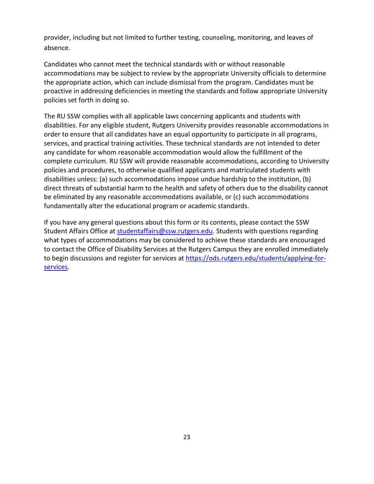provider, including but not limited to further testing, counseling, monitoring, and leaves of absence.

Candidates who cannot meet the technical standards with or without reasonable accommodations may be subject to review by the appropriate University officials to determine the appropriate action, which can include dismissal from the program. Candidates must be proactive in addressing deficiencies in meeting the standards and follow appropriate University policies set forth in doing so.

The RU SSW complies with all applicable laws concerning applicants and students with disabilities. For any eligible student, Rutgers University provides reasonable accommodations in order to ensure that all candidates have an equal opportunity to participate in all programs, services, and practical training activities. These technical standards are not intended to deter any candidate for whom reasonable accommodation would allow the fulfillment of the complete curriculum. RU SSW will provide reasonable accommodations, according to University policies and procedures, to otherwise qualified applicants and matriculated students with disabilities unless: (a) such accommodations impose undue hardship to the institution, (b) direct threats of substantial harm to the health and safety of others due to the disability cannot be eliminated by any reasonable accommodations available, or (c) such accommodations fundamentally alter the educational program or academic standards.

If you have any general questions about this form or its contents, please contact the SSW Student Affairs Office at [studentaffairs@ssw.rutgers.edu.](mailto:studentaffirs@ssw.rutegrs.edu) Students with questions regarding what types of accommodations may be considered to achieve these standards are encouraged to contact the Office of Disability Services at the Rutgers Campus they are enrolled immediately to begin discussions and register for services at [https://ods.rutgers.edu/students/applying-for](https://ods.rutgers.edu/students/applying-for-services)[services.](https://ods.rutgers.edu/students/applying-for-services)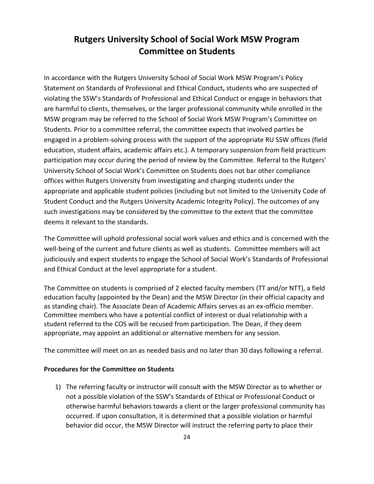# **Rutgers University School of Social Work MSW Program Committee on Students**

In accordance with the Rutgers University School of Social Work MSW Program's Policy Statement on Standards of Professional and Ethical Conduct**,** students who are suspected of violating the SSW's Standards of Professional and Ethical Conduct or engage in behaviors that are harmful to clients, themselves, or the larger professional community while enrolled in the MSW program may be referred to the School of Social Work MSW Program's Committee on Students. Prior to a committee referral, the committee expects that involved parties be engaged in a problem-solving process with the support of the appropriate RU SSW offices (field education, student affairs, academic affairs etc.). A temporary suspension from field practicum participation may occur during the period of review by the Committee. Referral to the Rutgers' University School of Social Work's Committee on Students does not bar other compliance offices within Rutgers University from investigating and charging students under the appropriate and applicable student policies (including but not limited to the University Code of Student Conduct and the Rutgers University Academic Integrity Policy). The outcomes of any such investigations may be considered by the committee to the extent that the committee deems it relevant to the standards.

The Committee will uphold professional social work values and ethics and is concerned with the well-being of the current and future clients as well as students. Committee members will act judiciously and expect students to engage the School of Social Work's Standards of Professional and Ethical Conduct at the level appropriate for a student.

The Committee on students is comprised of 2 elected faculty members (TT and/or NTT), a field education faculty (appointed by the Dean) and the MSW Director (in their official capacity and as standing chair). The Associate Dean of Academic Affairs serves as an ex-officio member. Committee members who have a potential conflict of interest or dual relationship with a student referred to the COS will be recused from participation. The Dean, if they deem appropriate, may appoint an additional or alternative members for any session.

The committee will meet on an as needed basis and no later than 30 days following a referral.

#### **Procedures for the Committee on Students**

1) The referring faculty or instructor will consult with the MSW Director as to whether or not a possible violation of the SSW's Standards of Ethical or Professional Conduct or otherwise harmful behaviors towards a client or the larger professional community has occurred. If upon consultation, it is determined that a possible violation or harmful behavior did occur, the MSW Director will instruct the referring party to place their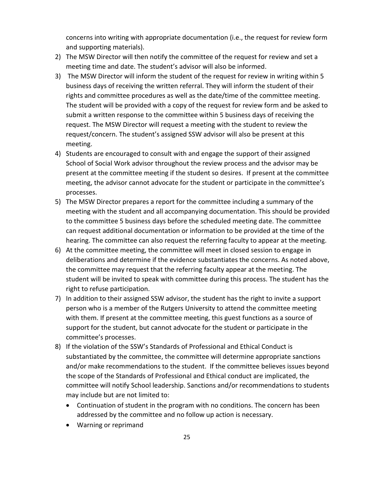concerns into writing with appropriate documentation (i.e., the request for review form and supporting materials).

- 2) The MSW Director will then notify the committee of the request for review and set a meeting time and date. The student's advisor will also be informed.
- 3) The MSW Director will inform the student of the request for review in writing within 5 business days of receiving the written referral. They will inform the student of their rights and committee procedures as well as the date/time of the committee meeting. The student will be provided with a copy of the request for review form and be asked to submit a written response to the committee within 5 business days of receiving the request. The MSW Director will request a meeting with the student to review the request/concern. The student's assigned SSW advisor will also be present at this meeting.
- 4) Students are encouraged to consult with and engage the support of their assigned School of Social Work advisor throughout the review process and the advisor may be present at the committee meeting if the student so desires. If present at the committee meeting, the advisor cannot advocate for the student or participate in the committee's processes.
- 5) The MSW Director prepares a report for the committee including a summary of the meeting with the student and all accompanying documentation. This should be provided to the committee 5 business days before the scheduled meeting date. The committee can request additional documentation or information to be provided at the time of the hearing. The committee can also request the referring faculty to appear at the meeting.
- 6) At the committee meeting, the committee will meet in closed session to engage in deliberations and determine if the evidence substantiates the concerns. As noted above, the committee may request that the referring faculty appear at the meeting. The student will be invited to speak with committee during this process. The student has the right to refuse participation.
- 7) In addition to their assigned SSW advisor, the student has the right to invite a support person who is a member of the Rutgers University to attend the committee meeting with them. If present at the committee meeting, this guest functions as a source of support for the student, but cannot advocate for the student or participate in the committee's processes.
- 8) If the violation of the SSW's Standards of Professional and Ethical Conduct is substantiated by the committee, the committee will determine appropriate sanctions and/or make recommendations to the student. If the committee believes issues beyond the scope of the Standards of Professional and Ethical conduct are implicated, the committee will notify School leadership. Sanctions and/or recommendations to students may include but are not limited to:
	- Continuation of student in the program with no conditions. The concern has been addressed by the committee and no follow up action is necessary.
	- Warning or reprimand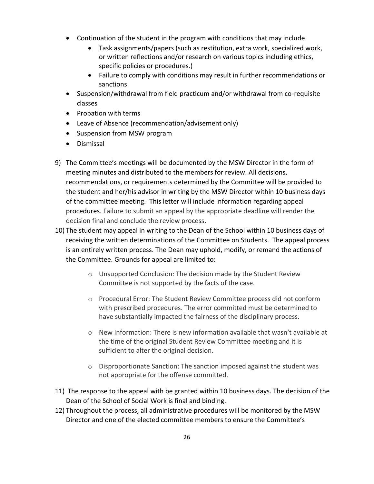- Continuation of the student in the program with conditions that may include
	- Task assignments/papers (such as restitution, extra work, specialized work, or written reflections and/or research on various topics including ethics, specific policies or procedures.)
	- Failure to comply with conditions may result in further recommendations or sanctions
- Suspension/withdrawal from field practicum and/or withdrawal from co-requisite classes
- Probation with terms
- Leave of Absence (recommendation/advisement only)
- Suspension from MSW program
- Dismissal
- 9) The Committee's meetings will be documented by the MSW Director in the form of meeting minutes and distributed to the members for review. All decisions, recommendations, or requirements determined by the Committee will be provided to the student and her/his advisor in writing by the MSW Director within 10 business days of the committee meeting. This letter will include information regarding appeal procedures. Failure to submit an appeal by the appropriate deadline will render the decision final and conclude the review process.
- 10) The student may appeal in writing to the Dean of the School within 10 business days of receiving the written determinations of the Committee on Students. The appeal process is an entirely written process. The Dean may uphold, modify, or remand the actions of the Committee. Grounds for appeal are limited to:
	- $\circ$  Unsupported Conclusion: The decision made by the Student Review Committee is not supported by the facts of the case.
	- o Procedural Error: The Student Review Committee process did not conform with prescribed procedures. The error committed must be determined to have substantially impacted the fairness of the disciplinary process.
	- $\circ$  New Information: There is new information available that wasn't available at the time of the original Student Review Committee meeting and it is sufficient to alter the original decision.
	- o Disproportionate Sanction: The sanction imposed against the student was not appropriate for the offense committed.
- 11) The response to the appeal with be granted within 10 business days. The decision of the Dean of the School of Social Work is final and binding.
- 12) Throughout the process, all administrative procedures will be monitored by the MSW Director and one of the elected committee members to ensure the Committee's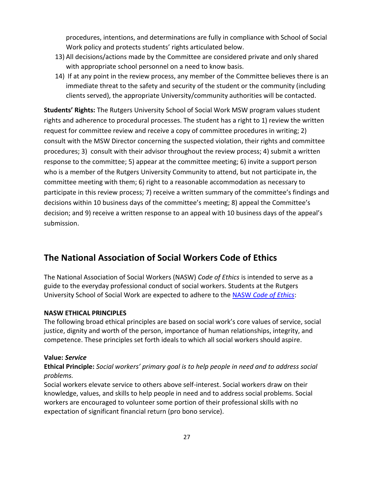procedures, intentions, and determinations are fully in compliance with School of Social Work policy and protects students' rights articulated below.

- 13) All decisions/actions made by the Committee are considered private and only shared with appropriate school personnel on a need to know basis.
- 14) If at any point in the review process, any member of the Committee believes there is an immediate threat to the safety and security of the student or the community (including clients served), the appropriate University/community authorities will be contacted.

**Students' Rights:** The Rutgers University School of Social Work MSW program values student rights and adherence to procedural processes. The student has a right to 1) review the written request for committee review and receive a copy of committee procedures in writing; 2) consult with the MSW Director concerning the suspected violation, their rights and committee procedures; 3) consult with their advisor throughout the review process; 4) submit a written response to the committee; 5) appear at the committee meeting; 6) invite a support person who is a member of the Rutgers University Community to attend, but not participate in, the committee meeting with them; 6) right to a reasonable accommodation as necessary to participate in this review process; 7) receive a written summary of the committee's findings and decisions within 10 business days of the committee's meeting; 8) appeal the Committee's decision; and 9) receive a written response to an appeal with 10 business days of the appeal's submission.

# **The National Association of Social Workers Code of Ethics**

The National Association of Social Workers (NASW) *Code of Ethics* is intended to serve as a guide to the everyday professional conduct of social workers. Students at the Rutgers University School of Social Work are expected to adhere to the NASW *[Code of Ethics](https://www.socialworkers.org/About/Ethics/Code-of-Ethics/Code-of-Ethics-English)*:

### **NASW ETHICAL PRINCIPLES**

The following broad ethical principles are based on social work's core values of service, social justice, dignity and worth of the person, importance of human relationships, integrity, and competence. These principles set forth ideals to which all social workers should aspire.

#### **Value:** *Service*

### **Ethical Principle:** *Social workers' primary goal is to help people in need and to address social problems.*

Social workers elevate service to others above self-interest. Social workers draw on their knowledge, values, and skills to help people in need and to address social problems. Social workers are encouraged to volunteer some portion of their professional skills with no expectation of significant financial return (pro bono service).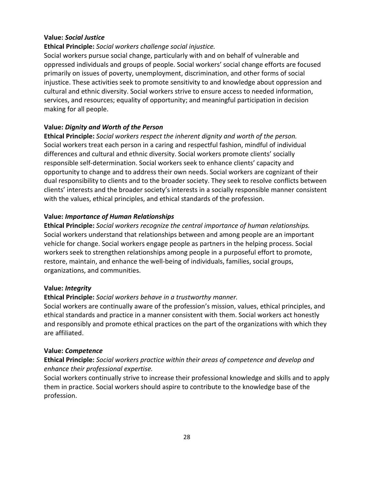#### **Value:** *Social Justice*

#### **Ethical Principle:** *Social workers challenge social injustice.*

Social workers pursue social change, particularly with and on behalf of vulnerable and oppressed individuals and groups of people. Social workers' social change efforts are focused primarily on issues of poverty, unemployment, discrimination, and other forms of social injustice. These activities seek to promote sensitivity to and knowledge about oppression and cultural and ethnic diversity. Social workers strive to ensure access to needed information, services, and resources; equality of opportunity; and meaningful participation in decision making for all people.

#### **Value:** *Dignity and Worth of the Person*

**Ethical Principle:** *Social workers respect the inherent dignity and worth of the person.*  Social workers treat each person in a caring and respectful fashion, mindful of individual differences and cultural and ethnic diversity. Social workers promote clients' socially responsible self-determination. Social workers seek to enhance clients' capacity and opportunity to change and to address their own needs. Social workers are cognizant of their dual responsibility to clients and to the broader society. They seek to resolve conflicts between clients' interests and the broader society's interests in a socially responsible manner consistent with the values, ethical principles, and ethical standards of the profession.

#### **Value:** *Importance of Human Relationships*

**Ethical Principle:** *Social workers recognize the central importance of human relationships.*  Social workers understand that relationships between and among people are an important vehicle for change. Social workers engage people as partners in the helping process. Social workers seek to strengthen relationships among people in a purposeful effort to promote, restore, maintain, and enhance the well-being of individuals, families, social groups, organizations, and communities.

#### **Value:** *Integrity*

#### **Ethical Principle:** *Social workers behave in a trustworthy manner.*

Social workers are continually aware of the profession's mission, values, ethical principles, and ethical standards and practice in a manner consistent with them. Social workers act honestly and responsibly and promote ethical practices on the part of the organizations with which they are affiliated.

#### **Value:** *Competence*

### **Ethical Principle:** *Social workers practice within their areas of competence and develop and enhance their professional expertise.*

Social workers continually strive to increase their professional knowledge and skills and to apply them in practice. Social workers should aspire to contribute to the knowledge base of the profession.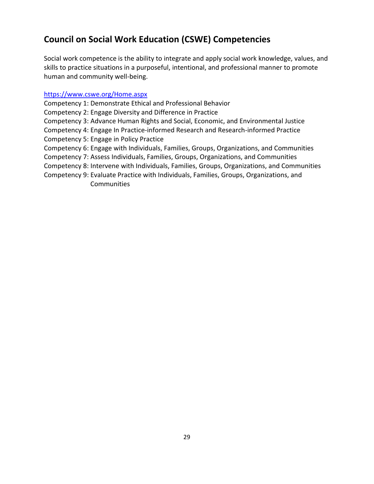# **Council on Social Work Education (CSWE) Competencies**

Social work competence is the ability to integrate and apply social work knowledge, values, and skills to practice situations in a purposeful, intentional, and professional manner to promote human and community well-being.

### <https://www.cswe.org/Home.aspx>

Competency 1: Demonstrate Ethical and Professional Behavior

Competency 2: Engage Diversity and Difference in Practice

Competency 3: Advance Human Rights and Social, Economic, and Environmental Justice

Competency 4: Engage In Practice-informed Research and Research-informed Practice Competency 5: Engage in Policy Practice

Competency 6: Engage with Individuals, Families, Groups, Organizations, and Communities

Competency 7: Assess Individuals, Families, Groups, Organizations, and Communities

Competency 8: Intervene with Individuals, Families, Groups, Organizations, and Communities

Competency 9: Evaluate Practice with Individuals, Families, Groups, Organizations, and Communities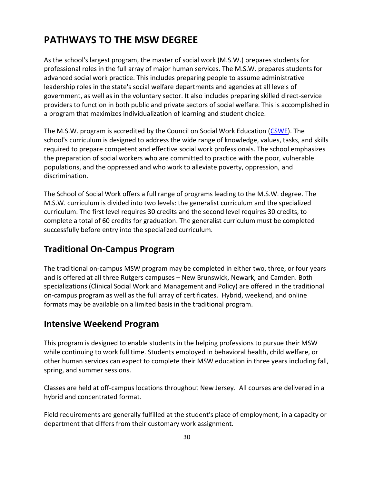# **PATHWAYS TO THE MSW DEGREE**

As the school's largest program, the master of social work (M.S.W.) prepares students for professional roles in the full array of major human services. The M.S.W. prepares students for advanced social work practice. This includes preparing people to assume administrative leadership roles in the state's social welfare departments and agencies at all levels of government, as well as in the voluntary sector. It also includes preparing skilled direct-service providers to function in both public and private sectors of social welfare. This is accomplished in a program that maximizes individualization of learning and student choice.

The M.S.W. program is accredited by the Council on Social Work Education [\(CSWE\)](http://www.cswe.org/). The school's curriculum is designed to address the wide range of knowledge, values, tasks, and skills required to prepare competent and effective social work professionals. The school emphasizes the preparation of social workers who are committed to practice with the poor, vulnerable populations, and the oppressed and who work to alleviate poverty, oppression, and discrimination.

The School of Social Work offers a full range of programs leading to the M.S.W. degree. The M.S.W. curriculum is divided into two levels: the generalist curriculum and the specialized curriculum. The first level requires 30 credits and the second level requires 30 credits, to complete a total of 60 credits for graduation. The generalist curriculum must be completed successfully before entry into the specialized curriculum.

# **Traditional On-Campus Program**

The traditional on-campus MSW program may be completed in either two, three, or four years and is offered at all three Rutgers campuses – New Brunswick, Newark, and Camden. Both specializations (Clinical Social Work and Management and Policy) are offered in the traditional on-campus program as well as the full array of certificates. Hybrid, weekend, and online formats may be available on a limited basis in the traditional program.

## **Intensive Weekend Program**

This program is designed to enable students in the helping professions to pursue their MSW while continuing to work full time. Students employed in behavioral health, child welfare, or other human services can expect to complete their MSW education in three years including fall, spring, and summer sessions.

Classes are held at off-campus locations throughout New Jersey. All courses are delivered in a hybrid and concentrated format.

Field requirements are generally fulfilled at the student's place of employment, in a capacity or department that differs from their customary work assignment.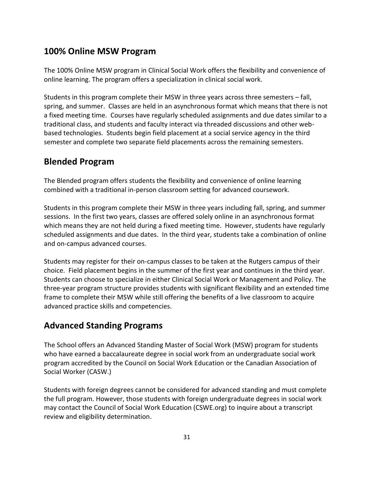# **100% Online MSW Program**

The 100% Online MSW program in Clinical Social Work offers the flexibility and convenience of online learning. The program offers a specialization in clinical social work.

Students in this program complete their MSW in three years across three semesters – fall, spring, and summer. Classes are held in an asynchronous format which means that there is not a fixed meeting time. Courses have regularly scheduled assignments and due dates similar to a traditional class, and students and faculty interact via threaded discussions and other webbased technologies. Students begin field placement at a social service agency in the third semester and complete two separate field placements across the remaining semesters.

## **Blended Program**

The Blended program offers students the flexibility and convenience of online learning combined with a traditional in-person classroom setting for advanced coursework.

Students in this program complete their MSW in three years including fall, spring, and summer sessions. In the first two years, classes are offered solely online in an asynchronous format which means they are not held during a fixed meeting time. However, students have regularly scheduled assignments and due dates. In the third year, students take a combination of online and on-campus advanced courses.

Students may register for their on-campus classes to be taken at the Rutgers campus of their choice. Field placement begins in the summer of the first year and continues in the third year. Students can choose to specialize in either Clinical Social Work or Management and Policy. The three-year program structure provides students with significant flexibility and an extended time frame to complete their MSW while still offering the benefits of a live classroom to acquire advanced practice skills and competencies.

# **Advanced Standing Programs**

The School offers an Advanced Standing Master of Social Work (MSW) program for students who have earned a baccalaureate degree in social work from an undergraduate social work program accredited by the Council on Social Work Education or the Canadian Association of Social Worker (CASW.)

Students with foreign degrees cannot be considered for advanced standing and must complete the full program. However, those students with foreign undergraduate degrees in social work may contact the Council of Social Work Education (CSWE.org) to inquire about a transcript review and eligibility determination.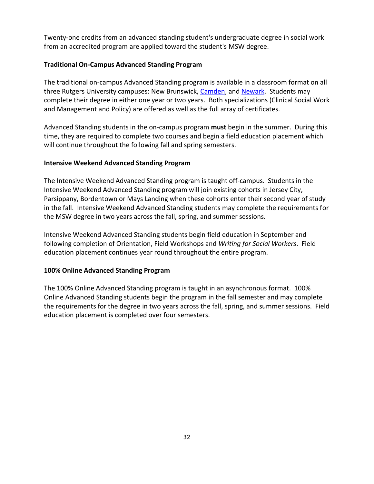Twenty-one credits from an advanced standing student's undergraduate degree in social work from an accredited program are applied toward the student's MSW degree.

#### **Traditional On-Campus Advanced Standing Program**

The traditional on-campus Advanced Standing program is available in a classroom format on all three Rutgers University campuses: New Brunswick, [Camden,](https://socialwork.rutgers.edu/node/34) and [Newark.](https://socialwork.rutgers.edu/node/35) Students may complete their degree in either one year or two years. Both specializations (Clinical Social Work and Management and Policy) are offered as well as the full array of certificates.

Advanced Standing students in the on-campus program **must** begin in the summer. During this time, they are required to complete two courses and begin a field education placement which will continue throughout the following fall and spring semesters.

#### **Intensive Weekend Advanced Standing Program**

The Intensive Weekend Advanced Standing program is taught off-campus. Students in the Intensive Weekend Advanced Standing program will join existing cohorts in Jersey City, Parsippany, Bordentown or Mays Landing when these cohorts enter their second year of study in the fall. Intensive Weekend Advanced Standing students may complete the requirements for the MSW degree in two years across the fall, spring, and summer sessions.

Intensive Weekend Advanced Standing students begin field education in September and following completion of Orientation, Field Workshops and *Writing for Social Workers*. Field education placement continues year round throughout the entire program.

#### **100% Online Advanced Standing Program**

The 100% Online Advanced Standing program is taught in an asynchronous format. 100% Online Advanced Standing students begin the program in the fall semester and may complete the requirements for the degree in two years across the fall, spring, and summer sessions. Field education placement is completed over four semesters.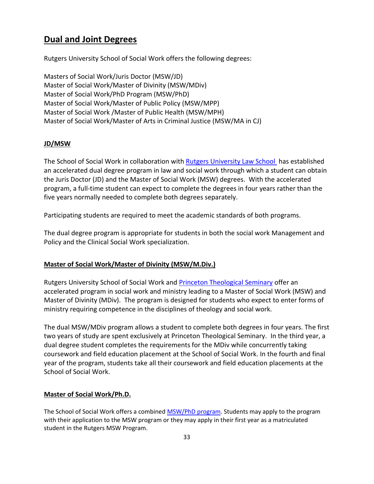# **[Dual and Joint Degrees](https://socialwork.rutgers.edu/academics/dual-degrees)**

Rutgers University School of Social Work offers the following degrees:

Masters of Social Work/Juris Doctor (MSW/JD) Master of Social Work/Master of Divinity (MSW/MDiv) Master of Social Work/PhD Program (MSW/PhD) Master of Social Work/Master of Public Policy (MSW/MPP) Master of Social Work /Master of Public Health (MSW/MPH) Master of Social Work/Master of Arts in Criminal Justice (MSW/MA in CJ)

### **JD/MSW**

The School of Social Work in collaboration with [Rutgers University Law School](https://law.rutgers.edu/) has established an accelerated dual degree program in law and social work through which a student can obtain the Juris Doctor (JD) and the Master of Social Work (MSW) degrees. With the accelerated program, a full-time student can expect to complete the degrees in four years rather than the five years normally needed to complete both degrees separately.

Participating students are required to meet the academic standards of both programs.

The dual degree program is appropriate for students in both the social work Management and Policy and the Clinical Social Work specialization.

### **Master of Social Work/Master of Divinity (MSW/M.Div.)**

Rutgers University School of Social Work and [Princeton Theological Seminary](http://www.ptsem.edu/) offer an accelerated program in social work and ministry leading to a Master of Social Work (MSW) and Master of Divinity (MDiv). The program is designed for students who expect to enter forms of ministry requiring competence in the disciplines of theology and social work.

The dual MSW/MDiv program allows a student to complete both degrees in four years. The first two years of study are spent exclusively at Princeton Theological Seminary. In the third year, a dual degree student completes the requirements for the MDiv while concurrently taking coursework and field education placement at the School of Social Work. In the fourth and final year of the program, students take all their coursework and field education placements at the School of Social Work.

### **Master of Social Work/Ph.D.**

The School of Social Work offers a combine[d MSW/PhD program.](https://socialwork.rutgers.edu/node/480) Students may apply to the program with their application to the MSW program or they may apply in their first year as a matriculated student in the Rutgers MSW Program.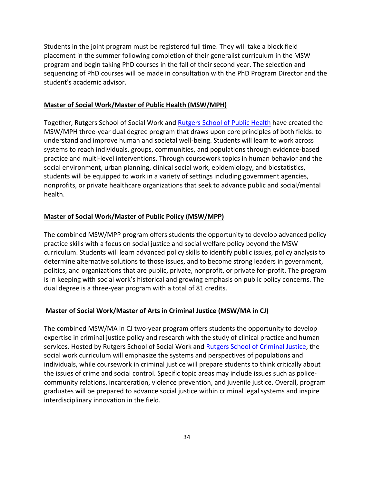Students in the joint program must be registered full time. They will take a block field placement in the summer following completion of their generalist curriculum in the MSW program and begin taking PhD courses in the fall of their second year. The selection and sequencing of PhD courses will be made in consultation with the PhD Program Director and the student's academic advisor.

#### **Master of Social Work/Master of Public Health (MSW/MPH)**

Together, Rutgers School of Social Work and [Rutgers School of Public Health](https://sph.rutgers.edu/) have created the MSW/MPH three-year dual degree program that draws upon core principles of both fields: to understand and improve human and societal well-being. Students will learn to work across systems to reach individuals, groups, communities, and populations through evidence-based practice and multi-level interventions. Through coursework topics in human behavior and the social environment, urban planning, clinical social work, epidemiology, and biostatistics, students will be equipped to work in a variety of settings including government agencies, nonprofits, or private healthcare organizations that seek to advance public and social/mental health.

#### **Master of Social Work/Master of Public Policy (MSW/MPP)**

The combined MSW/MPP program offers students the opportunity to develop advanced policy practice skills with a focus on social justice and social welfare policy beyond the MSW curriculum. Students will learn advanced policy skills to identify public issues, policy analysis to determine alternative solutions to those issues, and to become strong leaders in government, politics, and organizations that are public, private, nonprofit, or private for-profit. The program is in keeping with social work's historical and growing emphasis on public policy concerns. The dual degree is a three-year program with a total of 81 credits.

#### **Master of Social Work/Master of Arts in Criminal Justice (MSW/MA in CJ)**

The combined MSW/MA in CJ two-year program offers students the opportunity to develop expertise in criminal justice policy and research with the study of clinical practice and human services. Hosted by Rutgers School of Social Work and [Rutgers School of Criminal Justice,](https://rscj.newark.rutgers.edu/) the social work curriculum will emphasize the systems and perspectives of populations and individuals, while coursework in criminal justice will prepare students to think critically about the issues of crime and social control. Specific topic areas may include issues such as policecommunity relations, incarceration, violence prevention, and juvenile justice. Overall, program graduates will be prepared to advance social justice within criminal legal systems and inspire interdisciplinary innovation in the field.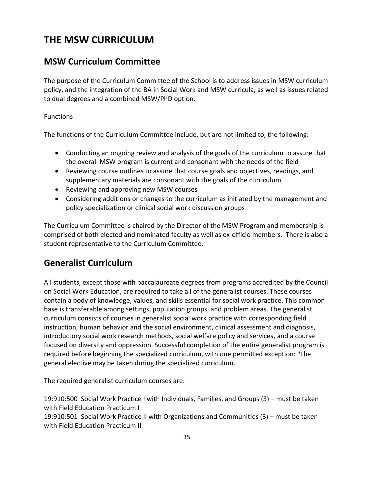# **THE MSW CURRICULUM**

# **MSW Curriculum Committee**

The purpose of the Curriculum Committee of the School is to address issues in MSW curriculum policy, and the integration of the BA in Social Work and MSW curricula, as well as issues related to dual degrees and a combined MSW/PhD option.

#### **Functions**

The functions of the Curriculum Committee include, but are not limited to, the following:

- Conducting an ongoing review and analysis of the goals of the curriculum to assure that the overall MSW program is current and consonant with the needs of the field
- Reviewing course outlines to assure that course goals and objectives, readings, and supplementary materials are consonant with the goals of the curriculum
- Reviewing and approving new MSW courses
- Considering additions or changes to the curriculum as initiated by the management and policy specialization or clinical social work discussion groups

The Curriculum Committee is chaired by the Director of the MSW Program and membership is comprised of both elected and nominated faculty as well as ex-officio members. There is also a student representative to the Curriculum Committee.

### **Generalist Curriculum**

All students, except those with baccalaureate degrees from programs accredited by the Council on Social Work Education, are required to take all of the generalist courses. These courses contain a body of knowledge, values, and skills essential for social work practice. This common base is transferable among settings, population groups, and problem areas. The generalist curriculum consists of courses in generalist social work practice with corresponding field instruction, human behavior and the social environment, clinical assessment and diagnosis, introductory social work research methods, social welfare policy and services, and a course focused on diversity and oppression. Successful completion of the entire generalist program is required before beginning the specialized curriculum, with one permitted exception: \*the general elective may be taken during the specialized curriculum.

The required generalist curriculum courses are:

19:910:500 Social Work Practice I with Individuals, Families, and Groups (3) – must be taken with Field Education Practicum I

19:910:501 Social Work Practice II with Organizations and Communities (3) – must be taken with Field Education Practicum II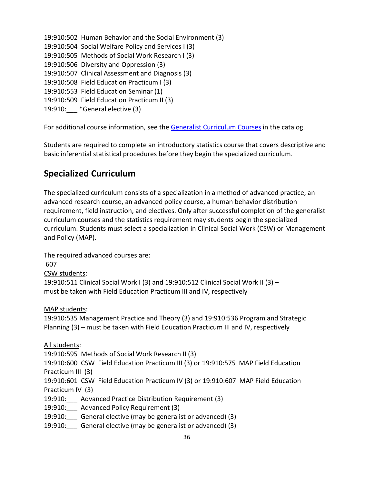19:910:502 Human Behavior and the Social Environment (3) 19:910:504 Social Welfare Policy and Services I (3) 19:910:505 Methods of Social Work Research I (3) 19:910:506 Diversity and Oppression (3) 19:910:507 Clinical Assessment and Diagnosis (3) 19:910:508 Field Education Practicum I (3) 19:910:553 Field Education Seminar (1) 19:910:509 Field Education Practicum II (3) 19:910:\_\_\_ \*General elective (3)

For additional course information, see the [Generalist Curriculum](http://catalogs.rutgers.edu/generated/ssw_current/pg105.html) Courses in the catalog.

Students are required to complete an introductory statistics course that covers descriptive and basic inferential statistical procedures before they begin the specialized curriculum.

### **Specialized Curriculum**

The specialized curriculum consists of a specialization in a method of advanced practice, an advanced research course, an advanced policy course, a human behavior distribution requirement, field instruction, and electives. Only after successful completion of the generalist curriculum courses and the statistics requirement may students begin the specialized curriculum. Students must select a specialization in Clinical Social Work (CSW) or Management and Policy (MAP).

The required advanced courses are: 607 CSW students: 19:910:511 Clinical Social Work I (3) and 19:910:512 Clinical Social Work II (3) – must be taken with Field Education Practicum III and IV, respectively MAP students: 19:910:535 Management Practice and Theory (3) and 19:910:536 Program and Strategic Planning (3) – must be taken with Field Education Practicum III and IV, respectively All students: 19:910:595 Methods of Social Work Research II (3) 19:910:600 CSW Field Education Practicum III (3) or 19:910:575 MAP Field Education Practicum III (3) 19:910:601 CSW Field Education Practicum IV (3) or 19:910:607 MAP Field Education Practicum IV (3) 19:910:\_\_\_ Advanced Practice Distribution Requirement (3) 19:910:\_\_\_ Advanced Policy Requirement (3) 19:910: General elective (may be generalist or advanced) (3)

19:910: General elective (may be generalist or advanced) (3)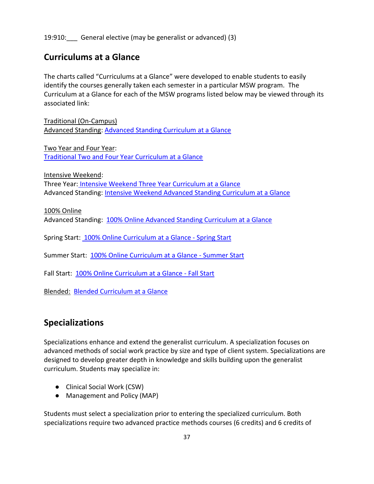19:910: General elective (may be generalist or advanced) (3)

### **Curriculums at a Glance**

The charts called "Curriculums at a Glance" were developed to enable students to easily identify the courses generally taken each semester in a particular MSW program. The Curriculum at a Glance for each of the MSW programs listed below may be viewed through its associated link:

Traditional (On-Campus) Advanced Standing: [Advanced Standing Curriculum at a Glance](file://///ssw-nas-02.ssw.rutgers.edu/units/StudentServices/Student%20Handbook%202020/advanced_standing_curriculum_at_a_glance_-_summer_2020.pdf)

Two Year and Four Year: [Traditional Two and Four Year Curriculum at a Glance](file://///ssw-nas-02.ssw.rutgers.edu/units/StudentServices/Student%20Handbook%202020/updated_for_fall_2020_curriculum_at_a_glance_-_2.pdf)

Intensive Weekend: Three Year: [Intensive Weekend Three Year Curriculum at a Glance](https://socialwork.rutgers.edu/file/5611/download) Advanced Standing: [Intensive Weekend Advanced Standing Curriculum at a Glance](https://socialwork.rutgers.edu/file/5612/download)

100% Online Advanced Standing: [100% Online Advanced Standing Curriculum at a Glance](https://socialwork.rutgers.edu/file/5808/download)

Spring Start: [100% Online Curriculum at a Glance -](https://socialwork.rutgers.edu/file/5806/download) Spring Start

Summer Start: [100% Online Curriculum at a Glance -](https://socialwork.rutgers.edu/file/5807/download) Summer Start

Fall Start: [100% Online Curriculum at a Glance -](https://socialwork.rutgers.edu/file/5805/download) Fall Start

Blended: [Blended Curriculum at a Glance](https://socialwork.rutgers.edu/file/5809/download)

### **Specializations**

Specializations enhance and extend the generalist curriculum. A specialization focuses on advanced methods of social work practice by size and type of client system. Specializations are designed to develop greater depth in knowledge and skills building upon the generalist curriculum. Students may specialize in:

- Clinical Social Work (CSW)
- Management and Policy (MAP)

Students must select a specialization prior to entering the specialized curriculum. Both specializations require two advanced practice methods courses (6 credits) and 6 credits of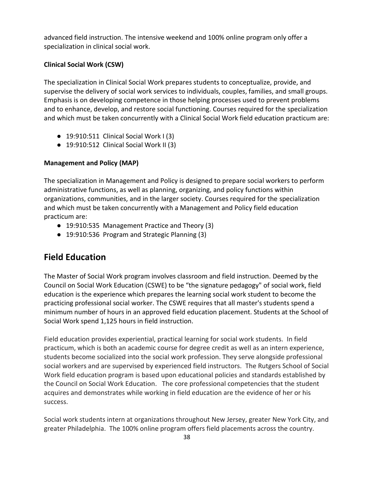advanced field instruction. The intensive weekend and 100% online program only offer a specialization in clinical social work.

#### **Clinical Social Work (CSW)**

The specialization in Clinical Social Work prepares students to conceptualize, provide, and supervise the delivery of social work services to individuals, couples, families, and small groups. Emphasis is on developing competence in those helping processes used to prevent problems and to enhance, develop, and restore social functioning. Courses required for the specialization and which must be taken concurrently with a Clinical Social Work field education practicum are:

- 19:910:511 Clinical Social Work I (3)
- 19:910:512 Clinical Social Work II (3)

#### **Management and Policy (MAP)**

The specialization in Management and Policy is designed to prepare social workers to perform administrative functions, as well as planning, organizing, and policy functions within organizations, communities, and in the larger society. Courses required for the specialization and which must be taken concurrently with a Management and Policy field education practicum are:

- 19:910:535 Management Practice and Theory (3)
- 19:910:536 Program and Strategic Planning (3)

# **Field Education**

The Master of Social Work program involves classroom and field instruction. Deemed by the Council on Social Work Education (CSWE) to be "the signature pedagogy" of social work, field education is the experience which prepares the learning social work student to become the practicing professional social worker. The CSWE requires that all master's students spend a minimum number of hours in an approved field education placement. Students at the School of Social Work spend 1,125 hours in field instruction.

Field education provides experiential, practical learning for social work students. In field practicum, which is both an academic course for degree credit as well as an intern experience, students become socialized into the social work profession. They serve alongside professional social workers and are supervised by experienced field instructors. The Rutgers School of Social Work field education program is based upon educational policies and standards established by the Council on Social Work Education. The core professional competencies that the student acquires and demonstrates while working in field education are the evidence of her or his success.

Social work students intern at organizations throughout New Jersey, greater New York City, and greater Philadelphia. The 100% online program offers field placements across the country.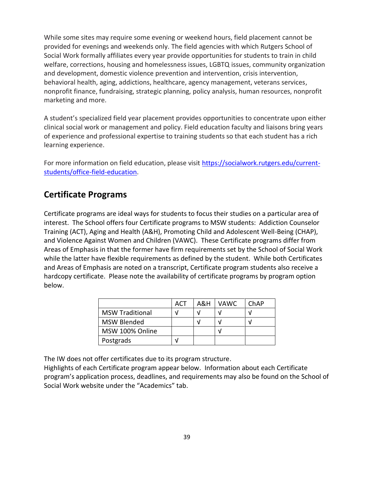While some sites may require some evening or weekend hours, field placement cannot be provided for evenings and weekends only. The field agencies with which Rutgers School of Social Work formally affiliates every year provide opportunities for students to train in child welfare, corrections, housing and homelessness issues, LGBTQ issues, community organization and development, domestic violence prevention and intervention, crisis intervention, behavioral health, aging, addictions, healthcare, agency management, veterans services, nonprofit finance, fundraising, strategic planning, policy analysis, human resources, nonprofit marketing and more.

A student's specialized field year placement provides opportunities to concentrate upon either clinical social work or management and policy. Field education faculty and liaisons bring years of experience and professional expertise to training students so that each student has a rich learning experience.

For more information on field education, please visit [https://socialwork.rutgers.edu/current](https://socialwork.rutgers.edu/current-students/office-field-education)[students/office-field-education.](https://socialwork.rutgers.edu/current-students/office-field-education)

### **Certificate Programs**

Certificate programs are ideal ways for students to focus their studies on a particular area of interest. The School offers four Certificate programs to MSW students: Addiction Counselor Training (ACT), Aging and Health (A&H), Promoting Child and Adolescent Well-Being (CHAP), and Violence Against Women and Children (VAWC). These Certificate programs differ from Areas of Emphasis in that the former have firm requirements set by the School of Social Work while the latter have flexible requirements as defined by the student. While both Certificates and Areas of Emphasis are noted on a transcript, Certificate program students also receive a hardcopy certificate. Please note the availability of certificate programs by program option below.

|                        | <b>ACT</b> | A&H | VAWC. | ChAP |
|------------------------|------------|-----|-------|------|
| <b>MSW Traditional</b> |            |     |       |      |
| <b>MSW Blended</b>     |            | V   |       |      |
| MSW 100% Online        |            |     |       |      |
| Postgrads              |            |     |       |      |

The IW does not offer certificates due to its program structure.

Highlights of each Certificate program appear below. Information about each Certificate program's application process, deadlines, and requirements may also be found on the School of Social Work website under the "Academics" tab.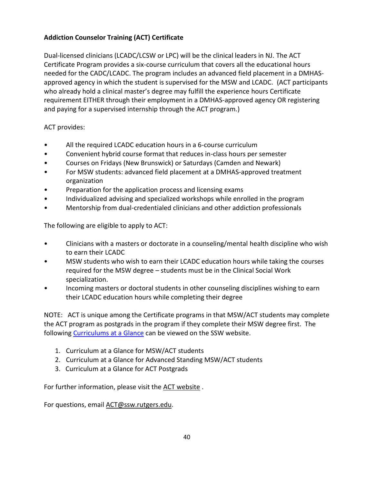### **Addiction Counselor Training (ACT) Certificate**

Dual-licensed clinicians (LCADC/LCSW or LPC) will be the clinical leaders in NJ. The ACT Certificate Program provides a six-course curriculum that covers all the educational hours needed for the CADC/LCADC. The program includes an advanced field placement in a DMHASapproved agency in which the student is supervised for the MSW and LCADC. (ACT participants who already hold a clinical master's degree may fulfill the experience hours Certificate requirement EITHER through their employment in a DMHAS-approved agency OR registering and paying for a supervised internship through the ACT program.)

ACT provides:

- All the required LCADC education hours in a 6-course curriculum
- Convenient hybrid course format that reduces in-class hours per semester
- Courses on Fridays (New Brunswick) or Saturdays (Camden and Newark)
- For MSW students: advanced field placement at a DMHAS-approved treatment organization
- Preparation for the application process and licensing exams
- Individualized advising and specialized workshops while enrolled in the program
- Mentorship from dual-credentialed clinicians and other addiction professionals

The following are eligible to apply to ACT:

- Clinicians with a masters or doctorate in a counseling/mental health discipline who wish to earn their LCADC
- MSW students who wish to earn their LCADC education hours while taking the courses required for the MSW degree – students must be in the Clinical Social Work specialization.
- Incoming masters or doctoral students in other counseling disciplines wishing to earn their LCADC education hours while completing their degree

NOTE: ACT is unique among the Certificate programs in that MSW/ACT students may complete the ACT program as postgrads in the program if they complete their MSW degree first. The following [Curriculums at a Glance](https://socialwork.rutgers.edu/academics/master-social-work-msw/addiction-counselor-training-act-certificate-program/academics) can be viewed on the SSW website.

- 1. Curriculum at a Glance for MSW/ACT students
- 2. Curriculum at a Glance for Advanced Standing MSW/ACT students
- 3. Curriculum at a Glance for ACT Postgrads

For further information, please visit the [ACT website](https://socialwork.rutgers.edu/academics/master-social-work-msw/addiction-counselor-training-act-certificate-program) .

For questions, email [ACT@ssw.rutgers.edu.](mailto:ACT@ssw.rutgers.edu)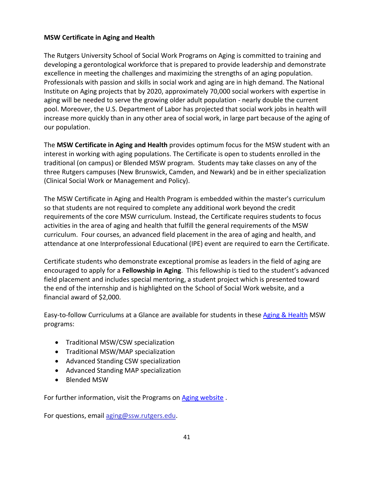#### **[MSW Certificate in Aging and Health](https://socialwork.rutgers.edu/academics/master-social-work-msw/programs-aging/msw-certificate-aging-health)**

The Rutgers University School of Social Work Programs on Aging is committed to training and developing a gerontological workforce that is prepared to provide leadership and demonstrate excellence in meeting the challenges and maximizing the strengths of an aging population. Professionals with passion and skills in social work and aging are in high demand. The National Institute on Aging projects that by 2020, approximately 70,000 social workers with expertise in aging will be needed to serve the growing older adult population - nearly double the current pool. Moreover, the U.S. Department of Labor has projected that social work jobs in health will increase more quickly than in any other area of social work, in large part because of the aging of our population.

The **MSW Certificate in Aging and Health** provides optimum focus for the MSW student with an interest in working with aging populations. The Certificate is open to students enrolled in the traditional (on campus) or Blended MSW program. Students may take classes on any of the three Rutgers campuses (New Brunswick, Camden, and Newark) and be in either specialization (Clinical Social Work or Management and Policy).

The MSW Certificate in Aging and Health Program is embedded within the master's curriculum so that students are not required to complete any additional work beyond the credit requirements of the core MSW curriculum. Instead, the Certificate requires students to focus activities in the area of aging and health that fulfill the general requirements of the MSW curriculum. Four courses, an advanced field placement in the area of aging and health, and attendance at one Interprofessional Educational (IPE) event are required to earn the Certificate.

Certificate students who demonstrate exceptional promise as leaders in the field of aging are encouraged to apply for a **Fellowship in Aging**. This fellowship is tied to the student's advanced field placement and includes special mentoring, a student project which is presented toward the end of the internship and is highlighted on the School of Social Work website, and a financial award of \$2,000.

Easy-to-follow Curriculums at a Glance are available for students in these [Aging & Health](https://socialwork.rutgers.edu/node/520) MSW programs:

- Traditional MSW/CSW specialization
- Traditional MSW/MAP specialization
- Advanced Standing CSW specialization
- Advanced Standing MAP specialization
- Blended MSW

For further information, visit the Programs on [Aging website](https://socialwork.rutgers.edu/academics/master-social-work-msw/programs-aging) .

For questions, email [aging@ssw.rutgers.edu.](mailto:aging@ssw.rutgers.edu)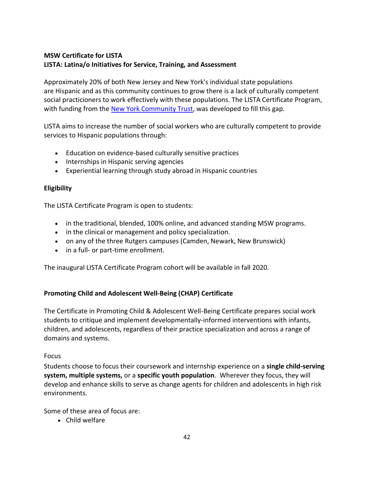### **[MSW Certificate for LISTA](https://socialwork.rutgers.edu/academics/master-social-work-msw/msw-certificate-lista) LISTA: Latina/o Initiatives for Service, Training, and Assessment**

Approximately 20% of both New Jersey and New York's individual state populations are Hispanic and as this community continues to grow there is a lack of culturally competent social practicioners to work effectively with these populations. The LISTA Certificate Program, with funding from the [New York Community Trust,](https://www.nycommunitytrust.org/) was developed to fill this gap.

LISTA aims to increase the number of social workers who are culturally competent to provide services to Hispanic populations through:

- Education on evidence-based culturally sensitive practices
- Internships in Hispanic serving agencies
- Experiential learning through study abroad in Hispanic countries

#### **Eligibility**

The LISTA Certificate Program is open to students:

- in the traditional, blended, 100% online, and advanced standing MSW programs.
- in the clinical or management and policy specialization.
- on any of the three Rutgers campuses (Camden, Newark, New Brunswick)
- in a full- or part-time enrollment.

The inaugural LISTA Certificate Program cohort will be available in fall 2020.

#### **[Promoting Child and Adolescent Well-Being \(CHAP\) Certificate](https://socialwork.rutgers.edu/childwellbeing)**

The Certificate in Promoting Child & Adolescent Well-Being Certificate prepares social work students to critique and implement developmentally-informed interventions with infants, children, and adolescents, regardless of their practice specialization and across a range of domains and systems.

#### Focus

Students choose to focus their coursework and internship experience on a **single child-serving system, multiple systems,** or a **specific youth population**. Wherever they focus, they will develop and enhance skills to serve as change agents for children and adolescents in high risk environments.

Some of these area of focus are:

• Child welfare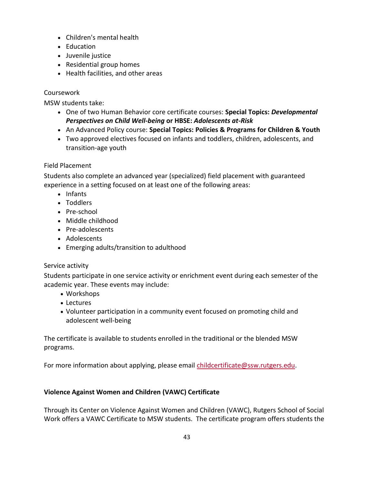- Children's mental health
- Education
- Juvenile justice
- Residential group homes
- Health facilities, and other areas

### Coursework

MSW students take:

- One of two Human Behavior core certificate courses: **Special Topics:** *Developmental Perspectives on Child Well-being* **or HBSE:** *Adolescents at-Risk*
- An Advanced Policy course: **Special Topics: Policies & Programs for Children & Youth**
- Two approved electives focused on infants and toddlers, children, adolescents, and transition-age youth

### Field Placement

Students also complete an advanced year (specialized) field placement with guaranteed experience in a setting focused on at least one of the following areas:

- Infants
- Toddlers
- Pre-school
- Middle childhood
- Pre-adolescents
- Adolescents
- Emerging adults/transition to adulthood

### Service activity

Students participate in one service activity or enrichment event during each semester of the academic year. These events may include:

- Workshops
- Lectures
- Volunteer participation in a community event focused on promoting child and adolescent well-being

The certificate is available to students enrolled in the traditional or the blended MSW programs.

For more information about applying, please email [childcertificate@ssw.rutgers.edu.](mailto:childcertificate@ssw.rutgers.edu)

### **Violence Against Women and Children (VAWC) Certificate**

Through its Center on Violence Against Women and Children (VAWC), Rutgers School of Social Work offers a VAWC Certificate to MSW students. The certificate program offers students the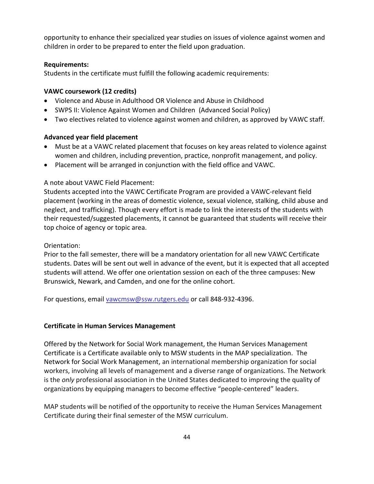opportunity to enhance their specialized year studies on issues of violence against women and children in order to be prepared to enter the field upon graduation.

#### **Requirements:**

Students in the certificate must fulfill the following academic requirements:

#### **VAWC coursework (12 credits)**

- Violence and Abuse in Adulthood OR Violence and Abuse in Childhood
- SWPS II: Violence Against Women and Children (Advanced Social Policy)
- Two electives related to violence against women and children, as approved by VAWC staff.

#### **Advanced year field placement**

- Must be at a VAWC related placement that focuses on key areas related to violence against women and children, including prevention, practice, nonprofit management, and policy.
- Placement will be arranged in conjunction with the field office and VAWC.

#### A note about VAWC Field Placement:

Students accepted into the VAWC Certificate Program are provided a VAWC-relevant field placement (working in the areas of domestic violence, sexual violence, stalking, child abuse and neglect, and trafficking). Though every effort is made to link the interests of the students with their requested/suggested placements, it cannot be guaranteed that students will receive their top choice of agency or topic area.

#### Orientation:

Prior to the fall semester, there will be a mandatory orientation for all new VAWC Certificate students. Dates will be sent out well in advance of the event, but it is expected that all accepted students will attend. We offer one orientation session on each of the three campuses: New Brunswick, Newark, and Camden, and one for the online cohort.

For questions, email [vawcmsw@ssw.rutgers.edu](mailto:vawcmsw@ssw.rutgers.edu) or call 848-932-4396.

#### **Certificate in Human Services Management**

Offered by the Network for Social Work management, the Human Services Management Certificate is a Certificate available only to MSW students in the MAP specialization. The Network for Social Work Management, an international membership organization for social workers, involving all levels of management and a diverse range of organizations. The Network is the *only* professional association in the United States dedicated to improving the quality of organizations by equipping managers to become effective "people-centered" leaders.

MAP students will be notified of the opportunity to receive the Human Services Management Certificate during their final semester of the MSW curriculum.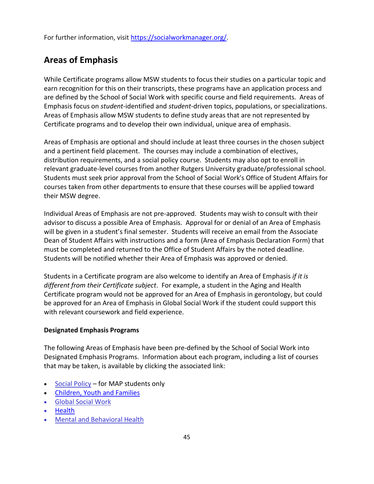For further information, visit [https://socialworkmanager.org/.](https://socialworkmanager.org/)

# **Areas of Emphasis**

While Certificate programs allow MSW students to focus their studies on a particular topic and earn recognition for this on their transcripts, these programs have an application process and are defined by the School of Social Work with specific course and field requirements. Areas of Emphasis focus on *student*-identified and *student*-driven topics, populations, or specializations. Areas of Emphasis allow MSW students to define study areas that are not represented by Certificate programs and to develop their own individual, unique area of emphasis.

Areas of Emphasis are optional and should include at least three courses in the chosen subject and a pertinent field placement. The courses may include a combination of electives, distribution requirements, and a social policy course. Students may also opt to enroll in relevant graduate-level courses from another Rutgers University graduate/professional school. Students must seek prior approval from the School of Social Work's Office of Student Affairs for courses taken from other departments to ensure that these courses will be applied toward their MSW degree.

Individual Areas of Emphasis are not pre-approved. Students may wish to consult with their advisor to discuss a possible Area of Emphasis. Approval for or denial of an Area of Emphasis will be given in a student's final semester. Students will receive an email from the Associate Dean of Student Affairs with instructions and a form (Area of Emphasis Declaration Form) that must be completed and returned to the Office of Student Affairs by the noted deadline. Students will be notified whether their Area of Emphasis was approved or denied.

Students in a Certificate program are also welcome to identify an Area of Emphasis *if it is different from their Certificate subject*. For example, a student in the Aging and Health Certificate program would not be approved for an Area of Emphasis in gerontology, but could be approved for an Area of Emphasis in Global Social Work if the student could support this with relevant coursework and field experience.

#### **Designated Emphasis Programs**

The following Areas of Emphasis have been pre-defined by the School of Social Work into Designated Emphasis Programs. Information about each program, including a list of courses that may be taken, is available by clicking the associated link:

- [Social Policy](https://socialwork.rutgers.edu/node/581) for MAP students only
- [Children, Youth and Families](https://socialwork.rutgers.edu/node/584)
- [Global Social Work](https://socialwork.rutgers.edu/node/583)
- [Health](https://socialwork.rutgers.edu/academics/master-social-work-msw/designated-emphasis-programs/health-area-emphasis)
- [Mental and Behavioral Health](https://socialwork.rutgers.edu/node/585)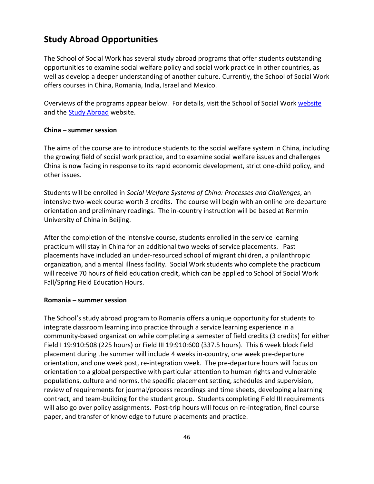## **Study Abroad Opportunities**

The School of Social Work has several study abroad programs that offer students outstanding opportunities to examine social welfare policy and social work practice in other countries, as well as develop a deeper understanding of another culture. Currently, the School of Social Work offers courses in China, Romania, India, Israel and Mexico.

Overviews of the programs appear below. For details, visit the School of Social Work [website](https://socialwork.rutgers.edu/academics/master-social-work-msw/study-abroad-programs-through-school-social-work) and the [Study Abroad](http://studyabroad.rutgers.edu/) website.

#### **China – summer session**

The aims of the course are to introduce students to the social welfare system in China, including the growing field of social work practice, and to examine social welfare issues and challenges China is now facing in response to its rapid economic development, strict one-child policy, and other issues.

Students will be enrolled in *Social Welfare Systems of China: Processes and Challenges*, an intensive two-week course worth 3 credits. The course will begin with an online pre-departure orientation and preliminary readings. The in-country instruction will be based at Renmin University of China in Beijing.

After the completion of the intensive course, students enrolled in the service learning practicum will stay in China for an additional two weeks of service placements. Past placements have included an under-resourced school of migrant children, a philanthropic organization, and a mental illness facility. Social Work students who complete the practicum will receive 70 hours of field education credit, which can be applied to School of Social Work Fall/Spring Field Education Hours.

#### **Romania – summer session**

The School's study abroad program to Romania offers a unique opportunity for students to integrate classroom learning into practice through a service learning experience in a community-based organization while completing a semester of field credits (3 credits) for either Field I 19:910:508 (225 hours) or Field III 19:910:600 (337.5 hours). This 6 week block field placement during the summer will include 4 weeks in-country, one week pre-departure orientation, and one week post, re-integration week. The pre-departure hours will focus on orientation to a global perspective with particular attention to human rights and vulnerable populations, culture and norms, the specific placement setting, schedules and supervision, review of requirements for journal/process recordings and time sheets, developing a learning contract, and team-building for the student group. Students completing Field III requirements will also go over policy assignments. Post-trip hours will focus on re-integration, final course paper, and transfer of knowledge to future placements and practice.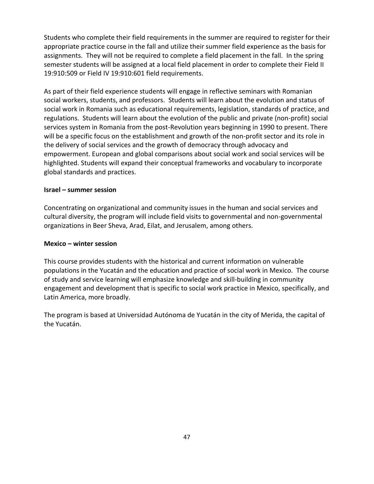Students who complete their field requirements in the summer are required to register for their appropriate practice course in the fall and utilize their summer field experience as the basis for assignments. They will not be required to complete a field placement in the fall. In the spring semester students will be assigned at a local field placement in order to complete their Field II 19:910:509 or Field IV 19:910:601 field requirements.

As part of their field experience students will engage in reflective seminars with Romanian social workers, students, and professors. Students will learn about the evolution and status of social work in Romania such as educational requirements, legislation, standards of practice, and regulations. Students will learn about the evolution of the public and private (non-profit) social services system in Romania from the post-Revolution years beginning in 1990 to present. There will be a specific focus on the establishment and growth of the non-profit sector and its role in the delivery of social services and the growth of democracy through advocacy and empowerment. European and global comparisons about social work and social services will be highlighted. Students will expand their conceptual frameworks and vocabulary to incorporate global standards and practices.

#### **Israel – summer session**

Concentrating on organizational and community issues in the human and social services and cultural diversity, the program will include field visits to governmental and non-governmental organizations in Beer Sheva, Arad, Eilat, and Jerusalem, among others.

#### **Mexico – winter session**

This course provides students with the historical and current information on vulnerable populations in the Yucatán and the education and practice of social work in Mexico. The course of study and service learning will emphasize knowledge and skill-building in community engagement and development that is specific to social work practice in Mexico, specifically, and Latin America, more broadly.

The program is based at Universidad Autónoma de Yucatán in the city of Merida, the capital of the Yucatán.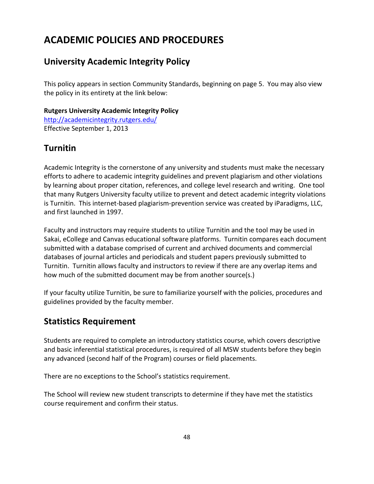# **ACADEMIC POLICIES AND PROCEDURES**

# **University Academic Integrity Policy**

This policy appears in section Community Standards, beginning on page 5. You may also view the policy in its entirety at the link below:

### **Rutgers University Academic Integrity Policy**

<http://academicintegrity.rutgers.edu/> Effective September 1, 2013

# **Turnitin**

Academic Integrity is the cornerstone of any university and students must make the necessary efforts to adhere to academic integrity guidelines and prevent plagiarism and other violations by learning about proper citation, references, and college level research and writing. One tool that many Rutgers University faculty utilize to prevent and detect academic integrity violations is Turnitin. This internet-based plagiarism-prevention service was created by iParadigms, LLC, and first launched in 1997.

Faculty and instructors may require students to utilize Turnitin and the tool may be used in Sakai, eCollege and Canvas educational software platforms. Turnitin compares each document submitted with a database comprised of current and archived documents and commercial databases of journal articles and periodicals and student papers previously submitted to Turnitin. Turnitin allows faculty and instructors to review if there are any overlap items and how much of the submitted document may be from another source(s.)

If your faculty utilize Turnitin, be sure to familiarize yourself with the policies, procedures and guidelines provided by the faculty member.

# **Statistics Requirement**

Students are required to complete an introductory statistics course, which covers descriptive and basic inferential statistical procedures, is required of all MSW students before they begin any advanced (second half of the Program) courses or field placements.

There are no exceptions to the School's statistics requirement.

The School will review new student transcripts to determine if they have met the statistics course requirement and confirm their status.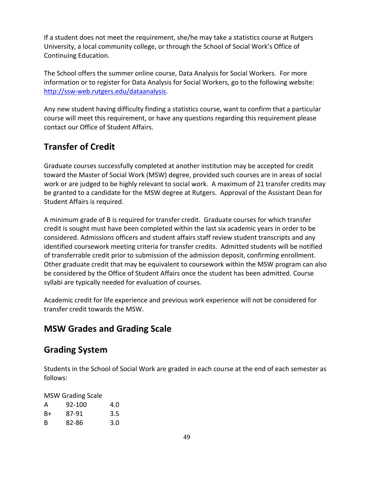If a student does not meet the requirement, she/he may take a statistics course at Rutgers University, a local community college, or through the School of Social Work's Office of Continuing Education.

The School offers the summer online course, Data Analysis for Social Workers. For more information or to register for Data Analysis for Social Workers, go to the following website: [http://ssw-web.rutgers.edu/dataanalysis.](http://ssw-web.rutgers.edu/dataanalysis)

Any new student having difficulty finding a statistics course, want to confirm that a particular course will meet this requirement, or have any questions regarding this requirement please contact our Office of Student Affairs.

# **Transfer of Credit**

Graduate courses successfully completed at another institution may be accepted for credit toward the Master of Social Work (MSW) degree, provided such courses are in areas of social work or are judged to be highly relevant to social work. A maximum of 21 transfer credits may be granted to a candidate for the MSW degree at Rutgers. Approval of the Assistant Dean for Student Affairs is required.

A minimum grade of B is required for transfer credit. Graduate courses for which transfer credit is sought must have been completed within the last six academic years in order to be considered. Admissions officers and student affairs staff review student transcripts and any identified coursework meeting criteria for transfer credits. Admitted students will be notified of transferrable credit prior to submission of the admission deposit, confirming enrollment. Other graduate credit that may be equivalent to coursework within the MSW program can also be considered by the Office of Student Affairs once the student has been admitted. Course syllabi are typically needed for evaluation of courses.

Academic credit for life experience and previous work experience will not be considered for transfer credit towards the MSW.

### **MSW Grades and Grading Scale**

### **Grading System**

Students in the School of Social Work are graded in each course at the end of each semester as follows:

MSW Grading Scale

| А  | 92-100 | 4.0           |
|----|--------|---------------|
| B+ | 87-91  | $3.5^{\circ}$ |
| B  | 82-86  | 3.0           |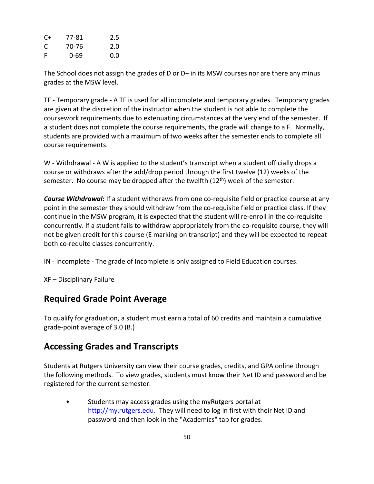| C+ | 77-81 | $2.5\,$ |
|----|-------|---------|
| C  | 70-76 | 2.0     |
| F  | 0-69  | 0.0     |

The School does not assign the grades of D or D+ in its MSW courses nor are there any minus grades at the MSW level.

TF - Temporary grade - A TF is used for all incomplete and temporary grades. Temporary grades are given at the discretion of the instructor when the student is not able to complete the coursework requirements due to extenuating circumstances at the very end of the semester. If a student does not complete the course requirements, the grade will change to a F. Normally, students are provided with a maximum of two weeks after the semester ends to complete all course requirements.

W - Withdrawal - A W is applied to the student's transcript when a student officially drops a course or withdraws after the add/drop period through the first twelve (12) weeks of the semester. No course may be dropped after the twelfth (12<sup>th</sup>) week of the semester.

*Course Withdrawal***:** If a student withdraws from one co-requisite field or practice course at any point in the semester they should withdraw from the co-requisite field or practice class. If they continue in the MSW program, it is expected that the student will re-enroll in the co-requisite concurrently. If a student fails to withdraw appropriately from the co-requisite course, they will not be given credit for this course (E marking on transcript) and they will be expected to repeat both co-requite classes concurrently.

IN - Incomplete - The grade of Incomplete is only assigned to Field Education courses.

XF – Disciplinary Failure

### **Required Grade Point Average**

To qualify for graduation, a student must earn a total of 60 credits and maintain a cumulative grade-point average of 3.0 (B.)

### **Accessing Grades and Transcripts**

Students at Rutgers University can view their course grades, credits, and GPA online through the following methods. To view grades, students must know their Net ID and password and be registered for the current semester.

• Students may access grades using the myRutgers portal at [http://my.rutgers.edu.](http://my.rutgers.edu/) They will need to log in first with their Net ID and password and then look in the "Academics" tab for grades.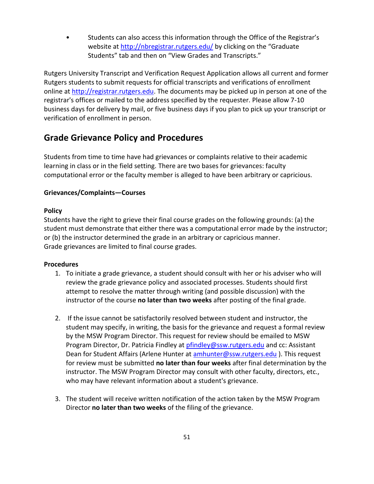• Students can also access this information through the Office of the Registrar's website at<http://nbregistrar.rutgers.edu/> by clicking on the "Graduate Students" tab and then on "View Grades and Transcripts."

Rutgers University Transcript and Verification Request Application allows all current and former Rutgers students to submit requests for official transcripts and verifications of enrollment online at [http://registrar.rutgers.edu.](http://registrar.rutgers.edu/) The documents may be picked up in person at one of the registrar's offices or mailed to the address specified by the requester. Please allow 7-10 business days for delivery by mail, or five business days if you plan to pick up your transcript or verification of enrollment in person.

### **Grade Grievance Policy and Procedures**

Students from time to time have had grievances or complaints relative to their academic learning in class or in the field setting. There are two bases for grievances: faculty computational error or the faculty member is alleged to have been arbitrary or capricious.

#### **Grievances/Complaints—Courses**

#### **Policy**

Students have the right to grieve their final course grades on the following grounds: (a) the student must demonstrate that either there was a computational error made by the instructor; or (b) the instructor determined the grade in an arbitrary or capricious manner. Grade grievances are limited to final course grades.

#### **Procedures**

- 1. To initiate a grade grievance, a student should consult with her or his adviser who will review the grade grievance policy and associated processes. Students should first attempt to resolve the matter through writing (and possible discussion) with the instructor of the course **no later than two weeks** after posting of the final grade.
- 2. If the issue cannot be satisfactorily resolved between student and instructor, the student may specify, in writing, the basis for the grievance and request a formal review by the MSW Program Director. This request for review should be emailed to MSW Program Director, Dr. Patricia Findley at [pfindley@ssw.rutgers.edu](mailto:pfindley@ssw.rutgers.edu) and cc: Assistant Dean for Student Affairs (Arlene Hunter at [amhunter@ssw.rutgers.edu](mailto:amhunter@ssw.rutgers.edu)). This request for review must be submitted **no later than four weeks** after final determination by the instructor. The MSW Program Director may consult with other faculty, directors, etc., who may have relevant information about a student's grievance.
- 3. The student will receive written notification of the action taken by the MSW Program Director **no later than two weeks** of the filing of the grievance.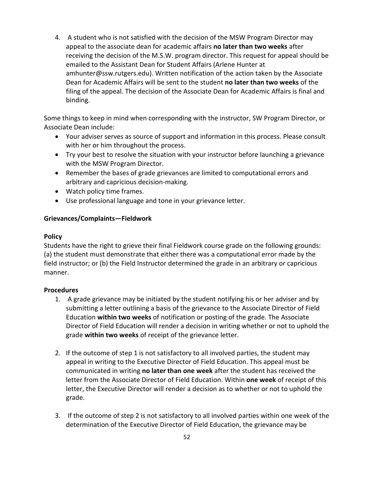4. A student who is not satisfied with the decision of the MSW Program Director may appeal to the associate dean for academic affairs **no later than two weeks** after receiving the decision of the M.S.W. program director. This request for appeal should be emailed to the Assistant Dean for Student Affairs (Arlene Hunter at amhunter@ssw.rutgers.edu). Written notification of the action taken by the Associate Dean for Academic Affairs will be sent to the student **no later than two weeks** of the filing of the appeal. The decision of the Associate Dean for Academic Affairs is final and binding.

Some things to keep in mind when corresponding with the instructor, SW Program Director, or Associate Dean include:

- Your adviser serves as source of support and information in this process. Please consult with her or him throughout the process.
- Try your best to resolve the situation with your instructor before launching a grievance with the MSW Program Director.
- Remember the bases of grade grievances are limited to computational errors and arbitrary and capricious decision-making.
- Watch policy time frames.
- Use professional language and tone in your grievance letter.

#### **Grievances/Complaints—Fieldwork**

#### **Policy**

Students have the right to grieve their final Fieldwork course grade on the following grounds: (a) the student must demonstrate that either there was a computational error made by the field instructor; or (b) the Field Instructor determined the grade in an arbitrary or capricious manner.

#### **Procedures**

- 1. A grade grievance may be initiated by the student notifying his or her adviser and by submitting a letter outlining a basis of the grievance to the Associate Director of Field Education **within two weeks** of notification or posting of the grade. The Associate Director of Field Education will render a decision in writing whether or not to uphold the grade **within two weeks** of receipt of the grievance letter.
- 2. If the outcome of step 1 is not satisfactory to all involved parties, the student may appeal in writing to the Executive Director of Field Education. This appeal must be communicated in writing **no later than one week** after the student has received the letter from the Associate Director of Field Education. Within **one week** of receipt of this letter, the Executive Director will render a decision as to whether or not to uphold the grade.
- 3. If the outcome of step 2 is not satisfactory to all involved parties within one week of the determination of the Executive Director of Field Education, the grievance may be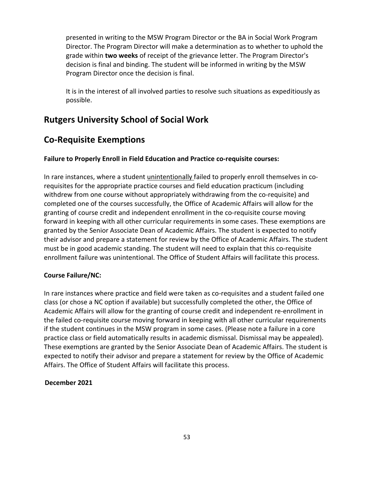presented in writing to the MSW Program Director or the BA in Social Work Program Director. The Program Director will make a determination as to whether to uphold the grade within **two weeks** of receipt of the grievance letter. The Program Director's decision is final and binding. The student will be informed in writing by the MSW Program Director once the decision is final.

It is in the interest of all involved parties to resolve such situations as expeditiously as possible.

# **Rutgers University School of Social Work**

# **Co-Requisite Exemptions**

#### **Failure to Properly Enroll in Field Education and Practice co-requisite courses:**

In rare instances, where a student unintentionally failed to properly enroll themselves in corequisites for the appropriate practice courses and field education practicum (including withdrew from one course without appropriately withdrawing from the co-requisite) and completed one of the courses successfully, the Office of Academic Affairs will allow for the granting of course credit and independent enrollment in the co-requisite course moving forward in keeping with all other curricular requirements in some cases. These exemptions are granted by the Senior Associate Dean of Academic Affairs. The student is expected to notify their advisor and prepare a statement for review by the Office of Academic Affairs. The student must be in good academic standing. The student will need to explain that this co-requisite enrollment failure was unintentional. The Office of Student Affairs will facilitate this process.

#### **Course Failure/NC:**

In rare instances where practice and field were taken as co-requisites and a student failed one class (or chose a NC option if available) but successfully completed the other, the Office of Academic Affairs will allow for the granting of course credit and independent re-enrollment in the failed co-requisite course moving forward in keeping with all other curricular requirements if the student continues in the MSW program in some cases. (Please note a failure in a core practice class or field automatically results in academic dismissal. Dismissal may be appealed). These exemptions are granted by the Senior Associate Dean of Academic Affairs. The student is expected to notify their advisor and prepare a statement for review by the Office of Academic Affairs. The Office of Student Affairs will facilitate this process.

#### **December 2021**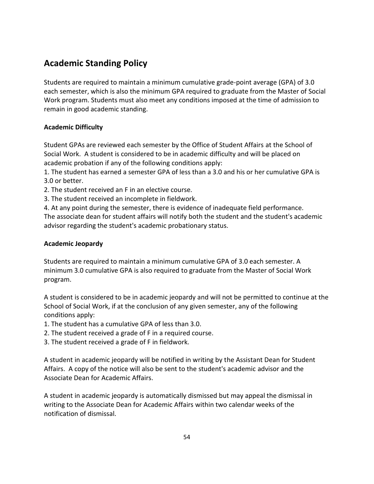# **Academic Standing Policy**

Students are required to maintain a minimum cumulative grade-point average (GPA) of 3.0 each semester, which is also the minimum GPA required to graduate from the Master of Social Work program. Students must also meet any conditions imposed at the time of admission to remain in good academic standing.

### **Academic Difficulty**

Student GPAs are reviewed each semester by the Office of Student Affairs at the School of Social Work. A student is considered to be in academic difficulty and will be placed on academic probation if any of the following conditions apply:

1. The student has earned a semester GPA of less than a 3.0 and his or her cumulative GPA is 3.0 or better.

2. The student received an F in an elective course.

3. The student received an incomplete in fieldwork.

4. At any point during the semester, there is evidence of inadequate field performance. The associate dean for student affairs will notify both the student and the student's academic advisor regarding the student's academic probationary status.

### **Academic Jeopardy**

Students are required to maintain a minimum cumulative GPA of 3.0 each semester. A minimum 3.0 cumulative GPA is also required to graduate from the Master of Social Work program.

A student is considered to be in academic jeopardy and will not be permitted to continue at the School of Social Work, if at the conclusion of any given semester, any of the following conditions apply:

- 1. The student has a cumulative GPA of less than 3.0.
- 2. The student received a grade of F in a required course.
- 3. The student received a grade of F in fieldwork.

A student in academic jeopardy will be notified in writing by the Assistant Dean for Student Affairs. A copy of the notice will also be sent to the student's academic advisor and the Associate Dean for Academic Affairs.

A student in academic jeopardy is automatically dismissed but may appeal the dismissal in writing to the Associate Dean for Academic Affairs within two calendar weeks of the notification of dismissal.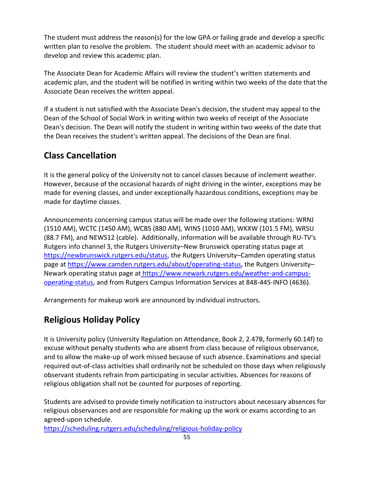The student must address the reason(s) for the low GPA or failing grade and develop a specific written plan to resolve the problem. The student should meet with an academic advisor to develop and review this academic plan.

The Associate Dean for Academic Affairs will review the student's written statements and academic plan, and the student will be notified in writing within two weeks of the date that the Associate Dean receives the written appeal.

If a student is not satisfied with the Associate Dean's decision, the student may appeal to the Dean of the School of Social Work in writing within two weeks of receipt of the Associate Dean's decision. The Dean will notify the student in writing within two weeks of the date that the Dean receives the student's written appeal. The decisions of the Dean are final.

# **Class Cancellation**

It is the general policy of the University not to cancel classes because of inclement weather. However, because of the occasional hazards of night driving in the winter, exceptions may be made for evening classes, and under exceptionally hazardous conditions, exceptions may be made for daytime classes.

Announcements concerning campus status will be made over the following stations: WRNJ (1510 AM), WCTC (1450 AM), WCBS (880 AM), WINS (1010 AM), WKXW (101.5 FM), WRSU (88.7 FM), and NEWS12 (cable). Additionally, information will be available through RU-TV's Rutgers info channel 3, the Rutgers University–New Brunswick operating status page at [https://newbrunswick.rutgers.edu/status,](https://newbrunswick.rutgers.edu/status) the Rutgers University–Camden operating status page at [https://www.camden.rutgers.edu/about/operating-status,](https://www.camden.rutgers.edu/about/operating-status) the Rutgers University-Newark operating status page at [https://www.newark.rutgers.edu/weather-and-campus](https://www.newark.rutgers.edu/weather-and-campus-operating-status)[operating-status,](https://www.newark.rutgers.edu/weather-and-campus-operating-status) and from Rutgers Campus Information Services at 848-445-INFO (4636).

Arrangements for makeup work are announced by individual instructors.

# **Religious Holiday Policy**

It is University policy (University Regulation on Attendance, Book 2, 2.47B, formerly 60.14f) to excuse without penalty students who are absent from class because of religious observance, and to allow the make-up of work missed because of such absence. Examinations and special required out-of-class activities shall ordinarily not be scheduled on those days when religiously observant students refrain from participating in secular activities. Absences for reasons of religious obligation shall not be counted for purposes of reporting.

Students are advised to provide timely notification to instructors about necessary absences for religious observances and are responsible for making up the work or exams according to an agreed-upon schedule.

<https://scheduling.rutgers.edu/scheduling/religious-holiday-policy>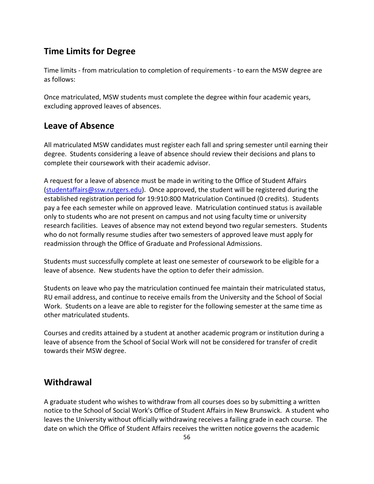## **Time Limits for Degree**

Time limits - from matriculation to completion of requirements - to earn the MSW degree are as follows:

Once matriculated, MSW students must complete the degree within four academic years, excluding approved leaves of absences.

# **Leave of Absence**

All matriculated MSW candidates must register each fall and spring semester until earning their degree. Students considering a leave of absence should review their decisions and plans to complete their coursework with their academic advisor.

A request for a leave of absence must be made in writing to the Office of Student Affairs [\(studentaffairs@ssw.rutgers.edu\)](mailto:studentaffairs@ssw.rutgers.edu). Once approved, the student will be registered during the established registration period for 19:910:800 Matriculation Continued (0 credits). Students pay a fee each semester while on approved leave. Matriculation continued status is available only to students who are not present on campus and not using faculty time or university research facilities. Leaves of absence may not extend beyond two regular semesters. Students who do not formally resume studies after two semesters of approved leave must apply for readmission through the Office of Graduate and Professional Admissions.

Students must successfully complete at least one semester of coursework to be eligible for a leave of absence. New students have the option to defer their admission.

Students on leave who pay the matriculation continued fee maintain their matriculated status, RU email address, and continue to receive emails from the University and the School of Social Work. Students on a leave are able to register for the following semester at the same time as other matriculated students.

Courses and credits attained by a student at another academic program or institution during a leave of absence from the School of Social Work will not be considered for transfer of credit towards their MSW degree.

# **Withdrawal**

A graduate student who wishes to withdraw from all courses does so by submitting a written notice to the School of Social Work's Office of Student Affairs in New Brunswick. A student who leaves the University without officially withdrawing receives a failing grade in each course. The date on which the Office of Student Affairs receives the written notice governs the academic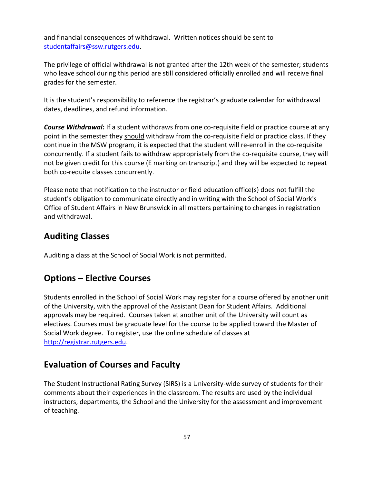and financial consequences of withdrawal. Written notices should be sent to [studentaffairs@ssw.rutgers.edu.](mailto:studentaffairs@ssw.rutgers.edu)

The privilege of official withdrawal is not granted after the 12th week of the semester; students who leave school during this period are still considered officially enrolled and will receive final grades for the semester.

It is the student's responsibility to reference the registrar's graduate calendar for withdrawal dates, deadlines, and refund information.

*Course Withdrawal***:** If a student withdraws from one co-requisite field or practice course at any point in the semester they should withdraw from the co-requisite field or practice class. If they continue in the MSW program, it is expected that the student will re-enroll in the co-requisite concurrently. If a student fails to withdraw appropriately from the co-requisite course, they will not be given credit for this course (E marking on transcript) and they will be expected to repeat both co-requite classes concurrently.

Please note that notification to the instructor or field education office(s) does not fulfill the student's obligation to communicate directly and in writing with the School of Social Work's Office of Student Affairs in New Brunswick in all matters pertaining to changes in registration and withdrawal.

### **Auditing Classes**

Auditing a class at the School of Social Work is not permitted.

### **Options – Elective Courses**

Students enrolled in the School of Social Work may register for a course offered by another unit of the University, with the approval of the Assistant Dean for Student Affairs. Additional approvals may be required. Courses taken at another unit of the University will count as electives. Courses must be graduate level for the course to be applied toward the Master of Social Work degree. To register, use the online schedule of classes at [http://registrar.rutgers.edu.](http://registrar.rutgers.edu/)

### **Evaluation of Courses and Faculty**

The Student Instructional Rating Survey (SIRS) is a University-wide survey of students for their comments about their experiences in the classroom. The results are used by the individual instructors, departments, the School and the University for the assessment and improvement of teaching.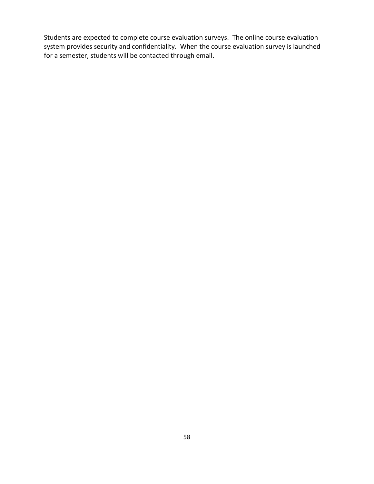Students are expected to complete course evaluation surveys. The online course evaluation system provides security and confidentiality. When the course evaluation survey is launched for a semester, students will be contacted through email.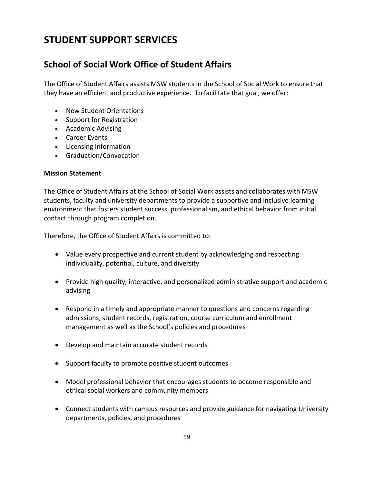# **STUDENT SUPPORT SERVICES**

# **School of Social Work Office of Student Affairs**

The Office of Student Affairs assists MSW students in the School of Social Work to ensure that they have an efficient and productive experience. To facilitate that goal, we offer:

- New Student Orientations
- Support for Registration
- Academic Advising
- Career Events
- Licensing Information
- Graduation/Convocation

#### **Mission Statement**

The Office of Student Affairs at the School of Social Work assists and collaborates with MSW students, faculty and university departments to provide a supportive and inclusive learning environment that fosters student success, professionalism, and ethical behavior from initial contact through program completion.

Therefore, the Office of Student Affairs is committed to:

- Value every prospective and current student by acknowledging and respecting individuality, potential, culture, and diversity
- Provide high quality, interactive, and personalized administrative support and academic advising
- Respond in a timely and appropriate manner to questions and concerns regarding admissions, student records, registration, course curriculum and enrollment management as well as the School's policies and procedures
- Develop and maintain accurate student records
- Support faculty to promote positive student outcomes
- Model professional behavior that encourages students to become responsible and ethical social workers and community members
- Connect students with campus resources and provide guidance for navigating University departments, policies, and procedures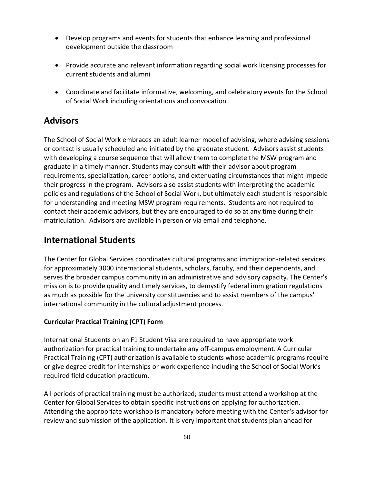- Develop programs and events for students that enhance learning and professional development outside the classroom
- Provide accurate and relevant information regarding social work licensing processes for current students and alumni
- Coordinate and facilitate informative, welcoming, and celebratory events for the School of Social Work including orientations and convocation

### **Advisors**

The School of Social Work embraces an adult learner model of advising, where advising sessions or contact is usually scheduled and initiated by the graduate student. Advisors assist students with developing a course sequence that will allow them to complete the MSW program and graduate in a timely manner. Students may consult with their advisor about program requirements, specialization, career options, and extenuating circumstances that might impede their progress in the program. Advisors also assist students with interpreting the academic policies and regulations of the School of Social Work, but ultimately each student is responsible for understanding and meeting MSW program requirements. Students are not required to contact their academic advisors, but they are encouraged to do so at any time during their matriculation. Advisors are available in person or via email and telephone.

# **International Students**

The Center for Global Services coordinates cultural programs and immigration-related services for approximately 3000 international students, scholars, faculty, and their dependents, and serves the broader campus community in an administrative and advisory capacity. The Center's mission is to provide quality and timely services, to demystify federal immigration regulations as much as possible for the university constituencies and to assist members of the campus' international community in the cultural adjustment process.

### **Curricular Practical Training (CPT) Form**

International Students on an F1 Student Visa are required to have appropriate work authorization for practical training to undertake any off-campus employment. A Curricular Practical Training (CPT) authorization is available to students whose academic programs require or give degree credit for internships or work experience including the School of Social Work's required field education practicum.

All periods of practical training must be authorized; students must attend a workshop at the Center for Global Services to obtain specific instructions on applying for authorization. Attending the appropriate workshop is mandatory before meeting with the Center's advisor for review and submission of the application. It is very important that students plan ahead for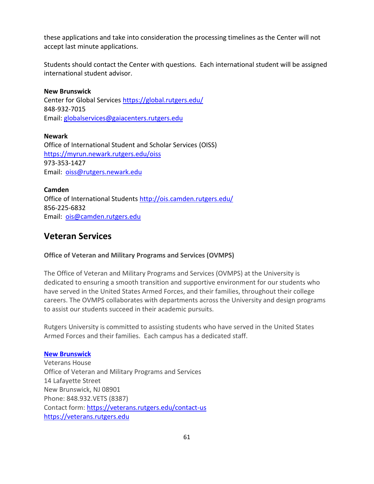these applications and take into consideration the processing timelines as the Center will not accept last minute applications.

Students should contact the Center with questions. Each international student will be assigned international student advisor.

# **New Brunswick**

Center for Global Services<https://global.rutgers.edu/> 848-932-7015 Email: [globalservices@gaiacenters.rutgers.edu](mailto:globalservices@gaiacenters.rutgers.edu) 

### **Newark**

Office of International Student and Scholar Services (OISS) <https://myrun.newark.rutgers.edu/oiss> 973-353-1427 Email: [oiss@rutgers.newark.edu](mailto:oiss@rutgers.newark.edu)

**Camden** Office of International Students<http://ois.camden.rutgers.edu/> 856-225-6832 Email: [ois@camden.rutgers.edu](mailto:ois@camden.rutgers.edu)

### **Veteran Services**

### **Office of Veteran and Military Programs and Services (OVMPS)**

The Office of Veteran and Military Programs and Services (OVMPS) at the University is dedicated to ensuring a smooth transition and supportive environment for our students who have served in the United States Armed Forces, and their families, throughout their college careers. The OVMPS collaborates with departments across the University and design programs to assist our students succeed in their academic pursuits.

Rutgers University is committed to assisting students who have served in the United States Armed Forces and their families. Each campus has a dedicated staff.

#### **[New Brunswick](https://veterans.rutgers.edu/)**

Veterans House Office of Veteran and Military Programs and Services 14 Lafayette Street New Brunswick, NJ 08901 Phone: 848.932.VETS (8387) Contact form: <https://veterans.rutgers.edu/contact-us> [https://veterans.rutgers.edu](https://veterans.rutgers.edu/)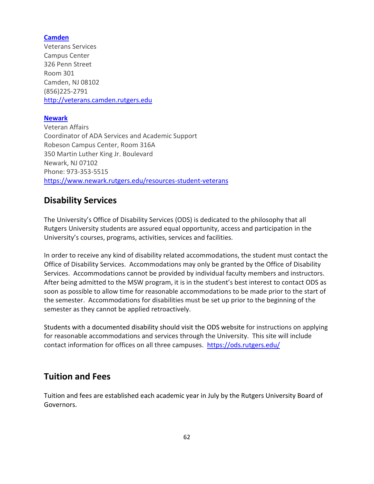#### **[Camden](https://veterans.camden.rutgers.edu/)**

Veterans Services Campus Center 326 Penn Street Room 301 Camden, NJ 08102 (856)225-2791 [http://veterans.camden.rutgers.edu](http://veterans.camden.rutgers.edu/)

#### **[Newark](https://www.newark.rutgers.edu/resources-student-veterans)**

Veteran Affairs Coordinator of ADA Services and Academic Support Robeson Campus Center, Room 316A 350 Martin Luther King Jr. Boulevard Newark, NJ 07102 Phone: 973-353-5515 <https://www.newark.rutgers.edu/resources-student-veterans>

### **Disability Services**

The University's Office of Disability Services (ODS) is dedicated to the philosophy that all Rutgers University students are assured equal opportunity, access and participation in the University's courses, programs, activities, services and facilities.

In order to receive any kind of disability related accommodations, the student must contact the Office of Disability Services. Accommodations may only be granted by the Office of Disability Services. Accommodations cannot be provided by individual faculty members and instructors. After being admitted to the MSW program, it is in the student's best interest to contact ODS as soon as possible to allow time for reasonable accommodations to be made prior to the start of the semester. Accommodations for disabilities must be set up prior to the beginning of the semester as they cannot be applied retroactively.

Students with a documented disability should visit the ODS website for instructions on applying for reasonable accommodations and services through the University. This site will include contact information for offices on all three campuses. <https://ods.rutgers.edu/>

### **Tuition and Fees**

Tuition and fees are established each academic year in July by the Rutgers University Board of Governors.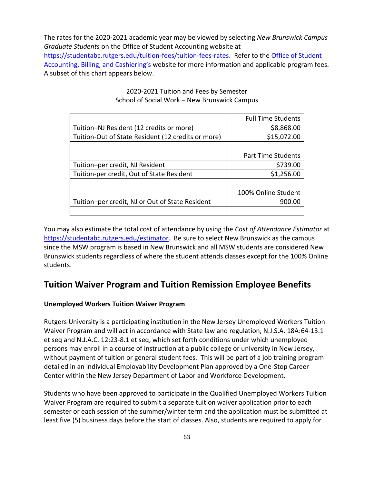The rates for the 2020-2021 academic year may be viewed by selecting *New Brunswick Campus Graduate Students* on the Office of Student Accounting website at [https://studentabc.rutgers.edu/tuition-fees/tuition-fees-rates.](https://studentabc.rutgers.edu/tuition-fees/tuition-fees-rates) Refer to the [Office of Student](https://studentabc.rutgers.edu/payments/fee-descriptions)  Accounting, [Billing, and Cashiering's](https://studentabc.rutgers.edu/payments/fee-descriptions) website for more information and applicable program fees. A subset of this chart appears below.

|                                                    | <b>Full Time Students</b> |
|----------------------------------------------------|---------------------------|
| Tuition-NJ Resident (12 credits or more)           | \$8,868.00                |
| Tuition-Out of State Resident (12 credits or more) | \$15,072.00               |
|                                                    |                           |
|                                                    | <b>Part Time Students</b> |
| Tuition-per credit, NJ Resident                    | \$739.00                  |
| Tuition-per credit, Out of State Resident          | \$1,256.00                |
|                                                    |                           |
|                                                    | 100% Online Student       |
| Tuition-per credit, NJ or Out of State Resident    | 900.00                    |
|                                                    |                           |

### 2020-2021 Tuition and Fees by Semester School of Social Work – New Brunswick Campus

You may also estimate the total cost of attendance by using the *Cost of Attendance Estimator* at [https://studentabc.rutgers.edu/estimator.](https://studentabc.rutgers.edu/estimator) Be sure to select New Brunswick as the campus since the MSW program is based in New Brunswick and all MSW students are considered New Brunswick students regardless of where the student attends classes except for the 100% Online students.

### **Tuition Waiver Program and Tuition Remission Employee Benefits**

#### **Unemployed Workers Tuition Waiver Program**

Rutgers University is a participating institution in the New Jersey Unemployed Workers Tuition Waiver Program and will act in accordance with State law and regulation, N.J.S.A. 18A:64-13.1 et seq and N.J.A.C. 12:23-8.1 et seq, which set forth conditions under which unemployed persons may enroll in a course of instruction at a public college or university in New Jersey, without payment of tuition or general student fees. This will be part of a job training program detailed in an individual Employability Development Plan approved by a One-Stop Career Center within the New Jersey Department of Labor and Workforce Development.

Students who have been approved to participate in the Qualified Unemployed Workers Tuition Waiver Program are required to submit a separate tuition waiver application prior to each semester or each session of the summer/winter term and the application must be submitted at least five (5) business days before the start of classes. Also, students are required to apply for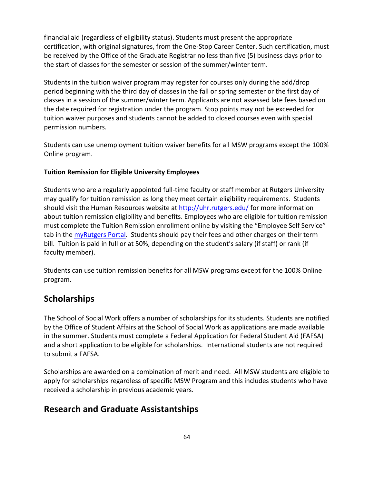financial aid (regardless of eligibility status). Students must present the appropriate certification, with original signatures, from the One-Stop Career Center. Such certification, must be received by the Office of the Graduate Registrar no less than five (5) business days prior to the start of classes for the semester or session of the summer/winter term.

Students in the tuition waiver program may register for courses only during the add/drop period beginning with the third day of classes in the fall or spring semester or the first day of classes in a session of the summer/winter term. Applicants are not assessed late fees based on the date required for registration under the program. Stop points may not be exceeded for tuition waiver purposes and students cannot be added to closed courses even with special permission numbers.

Students can use unemployment tuition waiver benefits for all MSW programs except the 100% Online program.

#### **Tuition Remission for Eligible University Employees**

Students who are a regularly appointed full-time faculty or staff member at Rutgers University may qualify for tuition remission as long they meet certain eligibility requirements. Students should visit the Human Resources website at<http://uhr.rutgers.edu/> for more information about tuition remission eligibility and benefits. Employees who are eligible for tuition remission must complete the Tuition Remission enrollment online by visiting the "Employee Self Service" tab in the [myRutgers Portal.](http://uhr.rutgers.edu/benefits/tuition-remission/href=) Students should pay their fees and other charges on their term bill. Tuition is paid in full or at 50%, depending on the student's salary (if staff) or rank (if faculty member).

Students can use tuition remission benefits for all MSW programs except for the 100% Online program.

### **Scholarships**

The School of Social Work offers a number of scholarships for its students. Students are notified by the Office of Student Affairs at the School of Social Work as applications are made available in the summer. Students must complete a Federal Application for Federal Student Aid (FAFSA) and a short application to be eligible for scholarships. International students are not required to submit a FAFSA.

Scholarships are awarded on a combination of merit and need. All MSW students are eligible to apply for scholarships regardless of specific MSW Program and this includes students who have received a scholarship in previous academic years.

### **Research and Graduate Assistantships**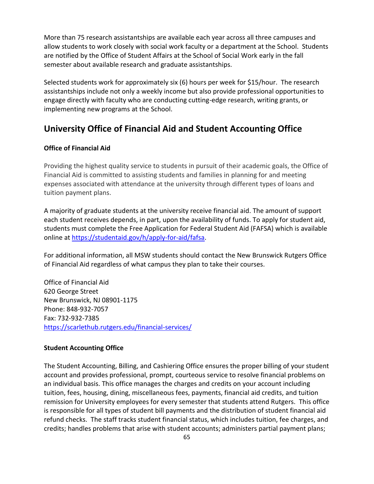More than 75 research assistantships are available each year across all three campuses and allow students to work closely with social work faculty or a department at the School. Students are notified by the Office of Student Affairs at the School of Social Work early in the fall semester about available research and graduate assistantships.

Selected students work for approximately six (6) hours per week for \$15/hour. The research assistantships include not only a weekly income but also provide professional opportunities to engage directly with faculty who are conducting cutting-edge research, writing grants, or implementing new programs at the School.

# **University Office of Financial Aid and Student Accounting Office**

#### **Office of Financial Aid**

Providing the highest quality service to students in pursuit of their academic goals, the Office of Financial Aid is committed to assisting students and families in planning for and meeting expenses associated with attendance at the university through different types of loans and tuition payment plans.

A majority of graduate students at the university receive financial aid. The amount of support each student receives depends, in part, upon the availability of funds. To apply for student aid, students must complete the Free Application for Federal Student Aid (FAFSA) which is available online at [https://studentaid.gov/h/apply-for-aid/fafsa.](https://studentaid.gov/h/apply-for-aid/fafsa)

For additional information, all MSW students should contact the New Brunswick Rutgers Office of Financial Aid regardless of what campus they plan to take their courses.

Office of Financial Aid 620 George Street New Brunswick, NJ 08901-1175 Phone: 848-932-7057 Fax: 732-932-7385 <https://scarlethub.rutgers.edu/financial-services/>

#### **Student Accounting Office**

The Student Accounting, Billing, and Cashiering Office ensures the proper billing of your student account and provides professional, prompt, courteous service to resolve financial problems on an individual basis. This office manages the charges and credits on your account including tuition, fees, housing, dining, miscellaneous fees, payments, financial aid credits, and tuition remission for University employees for every semester that students attend Rutgers. This office is responsible for all types of student bill payments and the distribution of student financial aid refund checks. The staff tracks student financial status, which includes tuition, fee charges, and credits; handles problems that arise with student accounts; administers partial payment plans;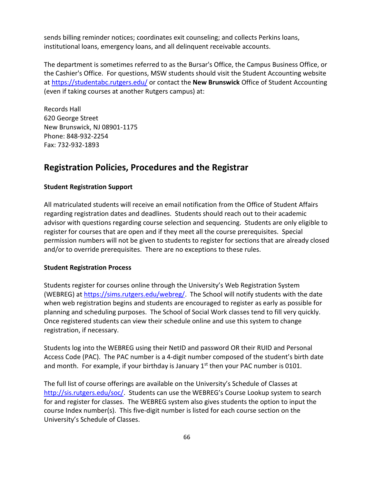sends billing reminder notices; coordinates exit counseling; and collects Perkins loans, institutional loans, emergency loans, and all delinquent receivable accounts.

The department is sometimes referred to as the Bursar's Office, the Campus Business Office, or the Cashier's Office. For questions, MSW students should visit the Student Accounting website at<https://studentabc.rutgers.edu/> or contact the **New Brunswick** Office of Student Accounting (even if taking courses at another Rutgers campus) at:

Records Hall 620 George Street New Brunswick, NJ 08901-1175 Phone: 848-932-2254 Fax: 732-932-1893

## **Registration Policies, Procedures and the Registrar**

#### **Student Registration Support**

All matriculated students will receive an email notification from the Office of Student Affairs regarding registration dates and deadlines. Students should reach out to their academic advisor with questions regarding course selection and sequencing. Students are only eligible to register for courses that are open and if they meet all the course prerequisites. Special permission numbers will not be given to students to register for sections that are already closed and/or to override prerequisites. There are no exceptions to these rules.

#### **Student Registration Process**

Students register for courses online through the University's Web Registration System (WEBREG) at [https://sims.rutgers.edu/webreg/.](https://sims.rutgers.edu/webreg/) The School will notify students with the date when web registration begins and students are encouraged to register as early as possible for planning and scheduling purposes. The School of Social Work classes tend to fill very quickly. Once registered students can view their schedule online and use this system to change registration, if necessary.

Students log into the WEBREG using their NetID and password OR their RUID and Personal Access Code (PAC). The PAC number is a 4-digit number composed of the student's birth date and month. For example, if your birthday is January  $1<sup>st</sup>$  then your PAC number is 0101.

The full list of course offerings are available on the University's Schedule of Classes at <http://sis.rutgers.edu/soc/>. Students can use the WEBREG's Course Lookup system to search for and register for classes. The WEBREG system also gives students the option to input the course Index number(s). This five-digit number is listed for each course section on the University's Schedule of Classes.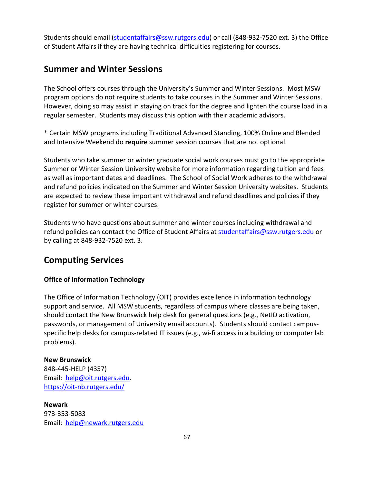Students should email [\(studentaffairs@ssw.rutgers.edu\)](mailto:studentaffairs@ssw.rutgers.edu) or call (848-932-7520 ext. 3) the Office of Student Affairs if they are having technical difficulties registering for courses.

### **Summer and Winter Sessions**

The School offers courses through the University's Summer and Winter Sessions. Most MSW program options do not require students to take courses in the Summer and Winter Sessions. However, doing so may assist in staying on track for the degree and lighten the course load in a regular semester. Students may discuss this option with their academic advisors.

\* Certain MSW programs including Traditional Advanced Standing, 100% Online and Blended and Intensive Weekend do **require** summer session courses that are not optional.

Students who take summer or winter graduate social work courses must go to the appropriate Summer or Winter Session University website for more information regarding tuition and fees as well as important dates and deadlines. The School of Social Work adheres to the withdrawal and refund policies indicated on the Summer and Winter Session University websites. Students are expected to review these important withdrawal and refund deadlines and policies if they register for summer or winter courses.

Students who have questions about summer and winter courses including withdrawal and refund policies can contact the Office of Student Affairs at [studentaffairs@ssw.rutgers.edu](mailto:studentaffairs@ssw.rutgers.edu) or by calling at 848-932-7520 ext. 3.

### **Computing Services**

#### **Office of Information Technology**

The Office of Information Technology (OIT) provides excellence in information technology support and service. All MSW students, regardless of campus where classes are being taken, should contact the New Brunswick help desk for general questions (e.g., NetID activation, passwords, or management of University email accounts). Students should contact campusspecific help desks for campus-related IT issues (e.g., wi-fi access in a building or computer lab problems).

#### **New Brunswick**

848-445-HELP (4357) Email: [help@oit.rutgers.edu.](mailto:help@oit.rutgers.edu) <https://oit-nb.rutgers.edu/>

**Newark** 973-353-5083 Email: [help@newark.rutgers.edu](mailto:help@newark.rutgers.edu)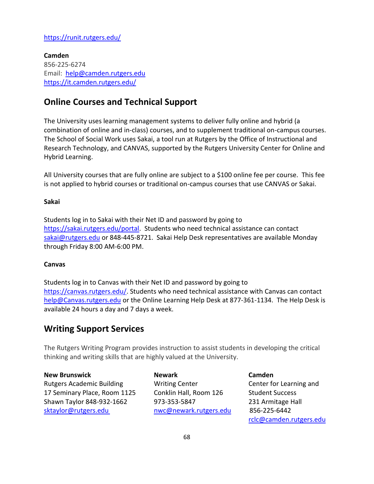### <https://runit.rutgers.edu/>

**Camden** 856-225-6274 Email: [help@camden.rutgers.edu](mailto:help@camden.rutgers.edu) <https://it.camden.rutgers.edu/>

### **Online Courses and Technical Support**

The University uses learning management systems to deliver fully online and hybrid (a combination of online and in-class) courses, and to supplement traditional on-campus courses. The School of Social Work uses Sakai, a tool run at Rutgers by the Office of Instructional and Research Technology, and CANVAS, supported by the Rutgers University Center for Online and Hybrid Learning.

All University courses that are fully online are subject to a \$100 online fee per course. This fee is not applied to hybrid courses or traditional on-campus courses that use CANVAS or Sakai.

#### **Sakai**

Students log in to Sakai with their Net ID and password by going to [https://sakai.rutgers.edu/portal.](https://sakai.rutgers.edu/portal) Students who need technical assistance can contact [sakai@rutgers.edu](mailto:sakai@rutgers.edu) or 848-445-8721. Sakai Help Desk representatives are available Monday through Friday 8:00 AM-6:00 PM.

#### **Canvas**

Students log in to Canvas with their Net ID and password by going to [https://canvas.rutgers.edu/.](https://canvas.rutgers.edu/) Students who need technical assistance with Canvas can contact [help@Canvas.rutgers.edu](mailto:help@ecollege.rutgers.edu) or the Online Learning Help Desk at 877-361-1134. The Help Desk is available 24 hours a day and 7 days a week.

### **Writing Support Services**

The Rutgers Writing Program provides instruction to assist students in developing the critical thinking and writing skills that are highly valued at the University.

**New Brunswick Cambridge Cambridge Cambridge Cambridge Cambridge Cambridge Cambridge Cambridge Cambridge Cambridge Cambridge Cambridge Cambridge Cambridge Cambridge Cambridge Cambridge Cambridge Cambridge Cambridge Cambrid** Rutgers Academic Building Writing Center Center for Learning and 17 Seminary Place, Room 1125 Conklin Hall, Room 126 Student Success Shawn Taylor 848-932-1662 973-353-5847 231 Armitage Hall [sktaylor@rutgers.edu](mailto:sktaylor@rutgers.edu) [nwc@newark.rutgers.edu](mailto:nwc@newark.rutgers.edu) 856-225-6442

[rclc@camden.rutgers.edu](mailto:rclc@camden.rutgers.edu)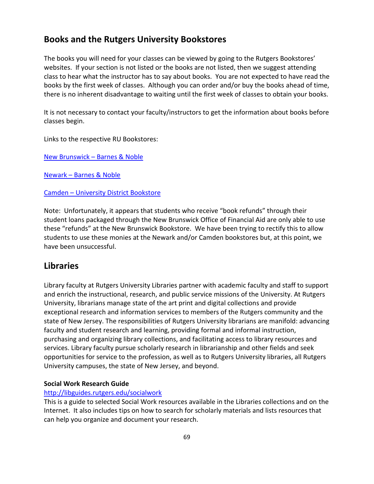### **Books and the Rutgers University Bookstores**

The books you will need for your classes can be viewed by going to the Rutgers Bookstores' websites. If your section is not listed or the books are not listed, then we suggest attending class to hear what the instructor has to say about books. You are not expected to have read the books by the first week of classes. Although you can order and/or buy the books ahead of time, there is no inherent disadvantage to waiting until the first week of classes to obtain your books.

It is not necessary to contact your faculty/instructors to get the information about books before classes begin.

Links to the respective RU Bookstores:

New Brunswick – [Barnes & Noble](https://rutgers.bncollege.com/shop/rutgers/page/find-textbooks)

Newark – [Barnes & Noble](https://newark-rutgers.bncollege.com/shop/rutgers-newark/page/find-textbooks)

#### Camden – [University District Bookstore](https://universitydistrict.bncollege.com/shop/university-district/page/find-textbooks)

Note: Unfortunately, it appears that students who receive "book refunds" through their student loans packaged through the New Brunswick Office of Financial Aid are only able to use these "refunds" at the New Brunswick Bookstore. We have been trying to rectify this to allow students to use these monies at the Newark and/or Camden bookstores but, at this point, we have been unsuccessful.

### **Libraries**

Library faculty at Rutgers University Libraries partner with academic faculty and staff to support and enrich the instructional, research, and public service missions of the University. At Rutgers University, librarians manage state of the art print and digital collections and provide exceptional research and information services to members of the Rutgers community and the state of New Jersey. The responsibilities of Rutgers University librarians are manifold: advancing faculty and student research and learning, providing formal and informal instruction, purchasing and organizing library collections, and facilitating access to library resources and services. Library faculty pursue scholarly research in librarianship and other fields and seek opportunities for service to the profession, as well as to Rutgers University libraries, all Rutgers University campuses, the state of New Jersey, and beyond.

### **Social Work Research Guide**

### <http://libguides.rutgers.edu/socialwork>

This is a guide to selected Social Work resources available in the Libraries collections and on the Internet. It also includes tips on how to search for scholarly materials and lists resources that can help you organize and document your research.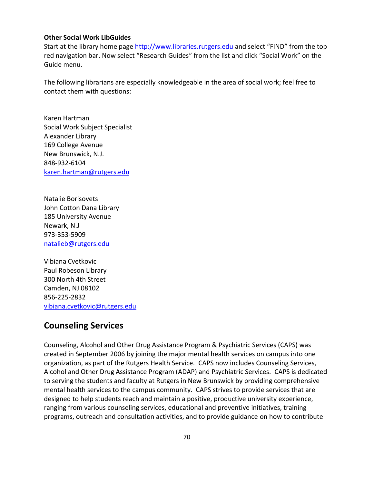#### **Other Social Work LibGuides**

Start at the library home page [http://www.libraries.rutgers.edu](http://www.libraries.rutgers.edu/) and select "FIND" from the top red navigation bar. Now select "Research Guides" from the list and click "Social Work" on the Guide menu.

The following librarians are especially knowledgeable in the area of social work; feel free to contact them with questions:

Karen Hartman Social Work Subject Specialist Alexander Library 169 College Avenue New Brunswick, N.J. 848-932-6104 [karen.hartman@rutgers.edu](mailto:karen.hartman@rutgers.edu)

Natalie Borisovets John Cotton Dana Library 185 University Avenue Newark, N.J 973-353-5909 [natalieb@rutgers.edu](mailto:natalieb@rutgers.edu)

Vibiana Cvetkovic Paul Robeson Library 300 North 4th Street Camden, NJ 08102 856-225-2832 [vibiana.cvetkovic@rutgers.edu](mailto:vibiana.cvetkovic@rutgers.edu)

### **Counseling Services**

Counseling, Alcohol and Other Drug Assistance Program & Psychiatric Services (CAPS) was created in September 2006 by joining the major mental health services on campus into one organization, as part of the Rutgers Health Service. CAPS now includes Counseling Services, Alcohol and Other Drug Assistance Program (ADAP) and Psychiatric Services. CAPS is dedicated to serving the students and faculty at Rutgers in New Brunswick by providing comprehensive mental health services to the campus community. CAPS strives to provide services that are designed to help students reach and maintain a positive, productive university experience, ranging from various counseling services, educational and preventive initiatives, training programs, outreach and consultation activities, and to provide guidance on how to contribute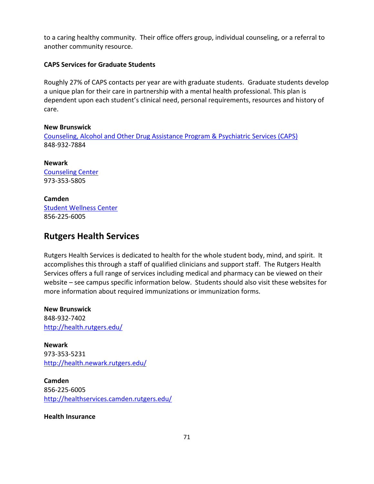to a caring healthy community. Their office offers group, individual counseling, or a referral to another community resource.

#### **CAPS Services for Graduate Students**

Roughly 27% of CAPS contacts per year are with graduate students. Graduate students develop a unique plan for their care in partnership with a mental health professional. This plan is dependent upon each student's clinical need, personal requirements, resources and history of care.

#### **New Brunswick**

[Counseling, Alcohol and Other Drug Assistance Program & Psychiatric](http://health.rutgers.edu/medical-counseling-services/counseling/) Services (CAPS) 848-932-7884

**Newark** [Counseling Center](http://counseling.newark.rutgers.edu/) 973-353-5805

**Camden** [Student Wellness Center](https://wellnesscenter.camden.rutgers.edu/index.php) 856-225-6005

### **Rutgers Health Services**

Rutgers Health Services is dedicated to health for the whole student body, mind, and spirit. It accomplishes this through a staff of qualified clinicians and support staff. The Rutgers Health Services offers a full range of services including medical and pharmacy can be viewed on their website – see campus specific information below. Students should also visit these websites for more information about required immunizations or immunization forms.

**New Brunswick** 848-932-7402 <http://health.rutgers.edu/>

**Newark** 973-353-5231 <http://health.newark.rutgers.edu/>

**Camden** 856-225-6005 <http://healthservices.camden.rutgers.edu/>

**Health Insurance**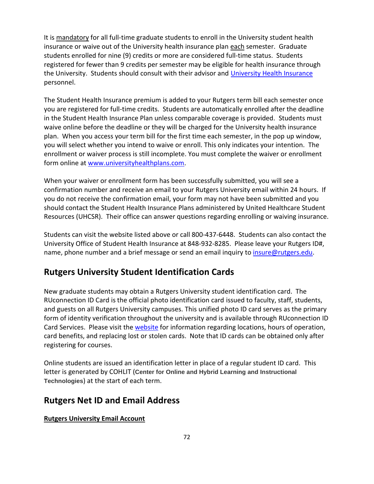It is mandatory for all full-time graduate students to enroll in the University student health insurance or waive out of the University health insurance plan each semester. Graduate students enrolled for nine (9) credits or more are considered full-time status. Students registered for fewer than 9 credits per semester may be eligible for health insurance through the University. Students should consult with their advisor and [University Health Insurance](https://riskmanagement.rutgers.edu/student-health-insurance) personnel.

The Student Health Insurance premium is added to your Rutgers term bill each semester once you are registered for full-time credits. Students are automatically enrolled after the deadline in the Student Health Insurance Plan unless comparable coverage is provided. Students must waive online before the deadline or they will be charged for the University health insurance plan. When you access your term bill for the first time each semester, in the pop up window, you will select whether you intend to waive or enroll. This only indicates your intention. The enrollment or waiver process is still incomplete. You must complete the waiver or enrollment form online at [www.universityhealthplans.com.](http://www.universityhealthplans.com/)

When your waiver or enrollment form has been successfully submitted, you will see a confirmation number and receive an email to your Rutgers University email within 24 hours. If you do not receive the confirmation email, your form may not have been submitted and you should contact the Student Health Insurance Plans administered by United Healthcare Student Resources (UHCSR). Their office can answer questions regarding enrolling or waiving insurance.

Students can visit the website listed above or call 800-437-6448. Students can also contact the University Office of Student Health Insurance at 848-932-8285. Please leave your Rutgers ID#, name, phone number and a brief message or send an email inquiry to *insure@rutgers.edu*.

### **Rutgers University Student Identification Cards**

New graduate students may obtain a Rutgers University student identification card. The RUconnection ID Card is the official photo identification card issued to faculty, staff, students, and guests on all Rutgers University campuses. This unified photo ID card serves as the primary form of identity verification throughout the university and is available through RUconnection ID Card Services. Please visit the [website](https://ipo.rutgers.edu/bs/id-process) for information regarding locations, hours of operation, card benefits, and replacing lost or stolen cards. Note that ID cards can be obtained only after registering for courses.

Online students are issued an identification letter in place of a regular student ID card. This letter is generated by COHLIT (**Center for Online and Hybrid Learning and Instructional Technologies**) at the start of each term.

### **Rutgers Net ID and Email Address**

### **Rutgers University Email Account**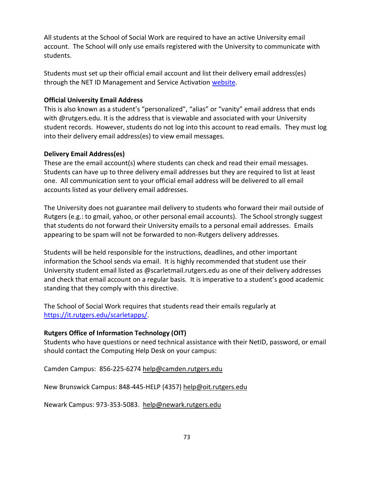All students at the School of Social Work are required to have an active University email account. The School will only use emails registered with the University to communicate with students.

Students must set up their official email account and list their delivery email address(es) through the NET ID Management and Service Activation [website.](https://netid.rutgers.edu/index.htm)

### **Official University Email Address**

This is also known as a student's "personalized", "alias" or "vanity" email address that ends with @rutgers.edu. It is the address that is viewable and associated with your University student records. However, students do not log into this account to read emails. They must log into their delivery email address(es) to view email messages.

#### **Delivery Email Address(es)**

These are the email account(s) where students can check and read their email messages. Students can have up to three delivery email addresses but they are required to list at least one. All communication sent to your official email address will be delivered to all email accounts listed as your delivery email addresses.

The University does not guarantee mail delivery to students who forward their mail outside of Rutgers (e.g.: to gmail, yahoo, or other personal email accounts). The School strongly suggest that students do not forward their University emails to a personal email addresses. Emails appearing to be spam will not be forwarded to non-Rutgers delivery addresses.

Students will be held responsible for the instructions, deadlines, and other important information the School sends via email. It is highly recommended that student use their University student email listed as @scarletmail.rutgers.edu as one of their delivery addresses and check that email account on a regular basis. It is imperative to a student's good academic standing that they comply with this directive.

The School of Social Work requires that students read their emails regularly at [https://it.rutgers.edu/scarletapps/.](https://it.rutgers.edu/scarletapps/)

### **Rutgers Office of Information Technology (OIT)**

Students who have questions or need technical assistance with their NetID, password, or email should contact the Computing Help Desk on your campus:

Camden Campus: 856-225-627[4 help@camden.rutgers.edu](mailto:help@camden.rutgers.edu)

New Brunswick Campus: 848-445-HELP (4357) [help@oit.rutgers.edu](mailto:help@oit.rutgers.edu)

Newark Campus: 973-353-5083. [help@newark.rutgers.edu](mailto:help@newark.rutgers.edu)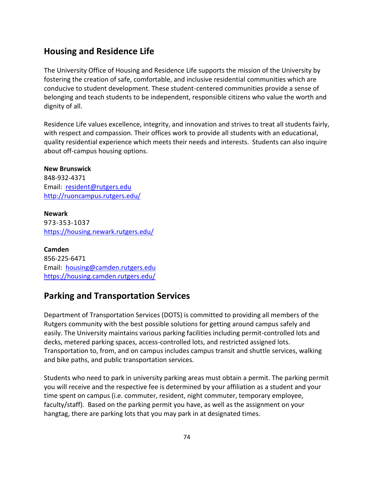### **Housing and Residence Life**

The University Office of Housing and Residence Life supports the mission of the University by fostering the creation of safe, comfortable, and inclusive residential communities which are conducive to student development. These student-centered communities provide a sense of belonging and teach students to be independent, responsible citizens who value the worth and dignity of all.

Residence Life values excellence, integrity, and innovation and strives to treat all students fairly, with respect and compassion. Their offices work to provide all students with an educational, quality residential experience which meets their needs and interests. Students can also inquire about off-campus housing options.

**New Brunswick** 848-932-4371 Email: [resident@rutgers.edu](mailto:resident@rutgers.edu) <http://ruoncampus.rutgers.edu/>

**Newark** 973-353-1037 <https://housing.newark.rutgers.edu/>

**Camden** 856-225-6471 Email: [housing@camden.rutgers.edu](mailto:housing@camden.rutgers.edu) <https://housing.camden.rutgers.edu/>

### **Parking and Transportation Services**

Department of Transportation Services (DOTS) is committed to providing all members of the Rutgers community with the best possible solutions for getting around campus safely and easily. The University maintains various parking facilities including permit-controlled lots and decks, metered parking spaces, access-controlled lots, and restricted assigned lots. Transportation to, from, and on campus includes campus transit and shuttle services, walking and bike paths, and public transportation services.

Students who need to park in university parking areas must obtain a permit. The parking permit you will receive and the respective fee is determined by your affiliation as a student and your time spent on campus (i.e. commuter, resident, night commuter, temporary employee, faculty/staff). Based on the parking permit you have, as well as the assignment on your hangtag, there are parking lots that you may park in at designated times.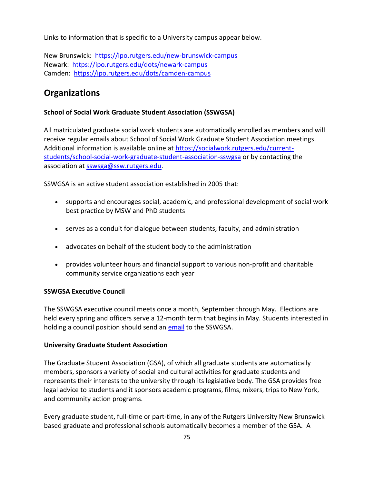Links to information that is specific to a University campus appear below.

New Brunswick: <https://ipo.rutgers.edu/new-brunswick-campus> Newark: <https://ipo.rutgers.edu/dots/newark-campus> Camden: <https://ipo.rutgers.edu/dots/camden-campus>

### **Organizations**

### **School of Social Work Graduate Student Association (SSWGSA)**

All matriculated graduate social work students are automatically enrolled as members and will receive regular emails about School of Social Work Graduate Student Association meetings. Additional information is available online at [https://socialwork.rutgers.edu/current](https://socialwork.rutgers.edu/current-students/school-social-work-graduate-student-association-sswgsa)[students/school-social-work-graduate-student-association-sswgsa](https://socialwork.rutgers.edu/current-students/school-social-work-graduate-student-association-sswgsa) or by contacting the association a[t sswsga@ssw.rutgers.edu.](mailto:sswsa@ssw.rutgers.edu)

SSWGSA is an active student association established in 2005 that:

- supports and encourages social, academic, and professional development of social work best practice by MSW and PhD students
- serves as a conduit for dialogue between students, faculty, and administration
- advocates on behalf of the student body to the administration
- provides volunteer hours and financial support to various non-profit and charitable community service organizations each year

### **SSWGSA Executive Council**

The SSWGSA executive council meets once a month, September through May. Elections are held every spring and officers serve a 12-month term that begins in May. Students interested in holding a council position should send an [email](mailto:rutgersSSWSA@gmail.com) to the SSWGSA.

### **University Graduate Student Association**

The Graduate Student Association (GSA), of which all graduate students are automatically members, sponsors a variety of social and cultural activities for graduate students and represents their interests to the university through its legislative body. The GSA provides free legal advice to students and it sponsors academic programs, films, mixers, trips to New York, and community action programs.

Every graduate student, full-time or part-time, in any of the Rutgers University New Brunswick based graduate and professional schools automatically becomes a member of the GSA. A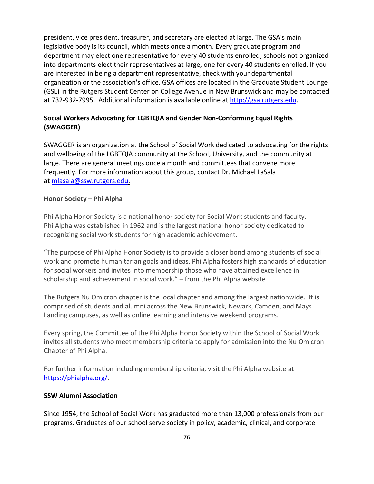president, vice president, treasurer, and secretary are elected at large. The GSA's main legislative body is its council, which meets once a month. Every graduate program and department may elect one representative for every 40 students enrolled; schools not organized into departments elect their representatives at large, one for every 40 students enrolled. If you are interested in being a department representative, check with your departmental organization or the association's office. GSA offices are located in the Graduate Student Lounge (GSL) in the Rutgers Student Center on College Avenue in New Brunswick and may be contacted at 732-932-7995. Additional information is available online at [http://gsa.rutgers.edu.](http://gsa.rutgers.edu/)

### **Social Workers Advocating for LGBTQIA and Gender Non-Conforming Equal Rights (SWAGGER)**

SWAGGER is an organization at the School of Social Work dedicated to advocating for the rights and wellbeing of the LGBTQIA community at the School, University, and the community at large. There are general meetings once a month and committees that convene more frequently. For more information about this group, contact Dr. Michael LaSala at [mlasala@ssw.rutgers.edu.](mailto:mlasala@ssw.rutgers.edu)

#### **Honor Society – Phi Alpha**

Phi Alpha Honor Society is a national honor society for Social Work students and faculty. Phi Alpha was established in 1962 and is the largest national honor society dedicated to recognizing social work students for high academic achievement.

"The purpose of Phi Alpha Honor Society is to provide a closer bond among students of social work and promote humanitarian goals and ideas. Phi Alpha fosters high standards of education for social workers and invites into membership those who have attained excellence in scholarship and achievement in social work." – from the Phi Alpha website

The Rutgers Nu Omicron chapter is the local chapter and among the largest nationwide. It is comprised of students and alumni across the New Brunswick, Newark, Camden, and Mays Landing campuses, as well as online learning and intensive weekend programs.

Every spring, the Committee of the Phi Alpha Honor Society within the School of Social Work invites all students who meet membership criteria to apply for admission into the Nu Omicron Chapter of Phi Alpha.

For further information including membership criteria, visit the Phi Alpha website at [https://phialpha.org/.](https://phialpha.org/)

#### **SSW Alumni Association**

Since 1954, the School of Social Work has graduated more than 13,000 professionals from our programs. Graduates of our school serve society in policy, academic, clinical, and corporate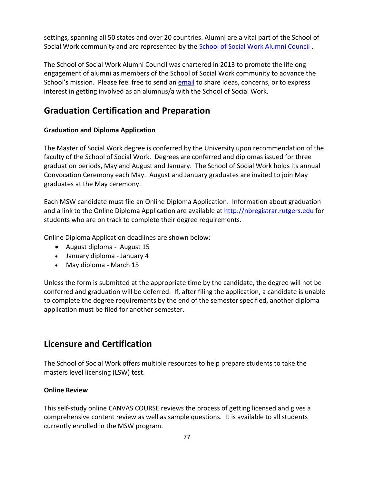settings, spanning all 50 states and over 20 countries. Alumni are a vital part of the School of Social Work community and are represented by the [School of Social Work Alumni Council](https://socialwork.rutgers.edu/node/59) .

The School of Social Work Alumni Council was chartered in 2013 to promote the lifelong engagement of alumni as members of the School of Social Work community to advance the School's mission. Please feel free to send an [email](mailto:alumni@ssw.rutgers.edu) to share ideas, concerns, or to express interest in getting involved as an alumnus/a with the School of Social Work.

### **Graduation Certification and Preparation**

### **Graduation and Diploma Application**

The Master of Social Work degree is conferred by the University upon recommendation of the faculty of the School of Social Work. Degrees are conferred and diplomas issued for three graduation periods, May and August and January. The School of Social Work holds its annual Convocation Ceremony each May. August and January graduates are invited to join May graduates at the May ceremony.

Each MSW candidate must file an Online Diploma Application. Information about graduation and a link to the Online Diploma Application are available at [http://nbregistrar.rutgers.edu](http://nbregistrar.rutgers.edu/grad/gradip.htm) for students who are on track to complete their degree requirements.

Online Diploma Application deadlines are shown below:

- August diploma August 15
- January diploma January 4
- May diploma March 15

Unless the form is submitted at the appropriate time by the candidate, the degree will not be conferred and graduation will be deferred. If, after filing the application, a candidate is unable to complete the degree requirements by the end of the semester specified, another diploma application must be filed for another semester.

### **Licensure and Certification**

The School of Social Work offers multiple resources to help prepare students to take the masters level licensing (LSW) test.

### **Online Review**

This self-study online CANVAS COURSE reviews the process of getting licensed and gives a comprehensive content review as well as sample questions. It is available to all students currently enrolled in the MSW program.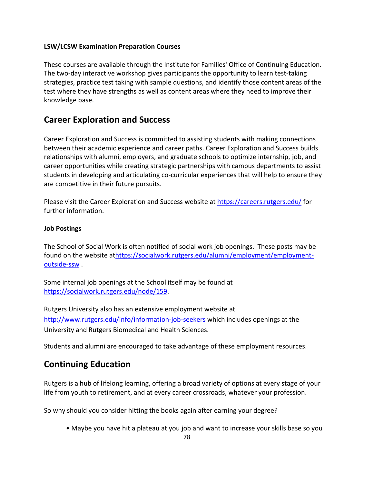### **LSW/LCSW Examination Preparation Courses**

These courses are available through the Institute for Families' Office of Continuing Education. The two-day interactive workshop gives participants the opportunity to learn test-taking strategies, practice test taking with sample questions, and identify those content areas of the test where they have strengths as well as content areas where they need to improve their knowledge base.

### **Career Exploration and Success**

Career Exploration and Success is committed to assisting students with making connections between their academic experience and career paths. Career Exploration and Success builds relationships with alumni, employers, and graduate schools to optimize internship, job, and career opportunities while creating strategic partnerships with campus departments to assist students in developing and articulating co-curricular experiences that will help to ensure they are competitive in their future pursuits.

Please visit the Career Exploration and Success website a[t https://careers.rutgers.edu/](https://careers.rutgers.edu/) for further information.

### **Job Postings**

The School of Social Work is often notified of social work job openings. These posts may be found on the website a[thttps://socialwork.rutgers.edu/alumni/employment/employment](https://socialwork.rutgers.edu/alumni/employment/employment-outside-ssw)[outside-ssw](https://socialwork.rutgers.edu/alumni/employment/employment-outside-ssw) .

Some internal job openings at the School itself may be found at [https://socialwork.rutgers.edu/node/159.](https://socialwork.rutgers.edu/node/159)

Rutgers University also has an extensive employment website at <http://www.rutgers.edu/info/information-job-seekers> which includes openings at the University and Rutgers Biomedical and Health Sciences.

Students and alumni are encouraged to take advantage of these employment resources.

### **Continuing Education**

Rutgers is a hub of lifelong learning, offering a broad variety of options at every stage of your life from youth to retirement, and at every career crossroads, whatever your profession.

So why should you consider hitting the books again after earning your degree?

• Maybe you have hit a plateau at you job and want to increase your skills base so you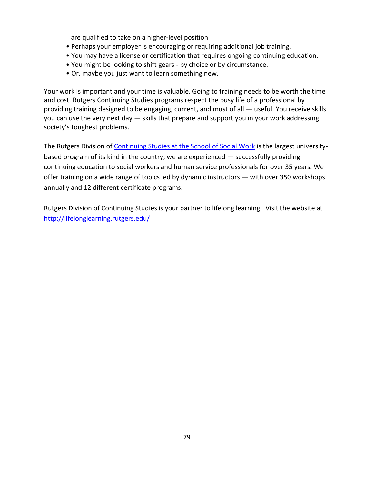are qualified to take on a higher-level position

- Perhaps your employer is encouraging or requiring additional job training.
- You may have a license or certification that requires ongoing continuing education.
- You might be looking to shift gears by choice or by circumstance.
- Or, maybe you just want to learn something new.

Your work is important and your time is valuable. Going to training needs to be worth the time and cost. Rutgers Continuing Studies programs respect the busy life of a professional by providing training designed to be engaging, current, and most of all — useful. You receive skills you can use the very next day — skills that prepare and support you in your work addressing society's toughest problems.

The Rutgers Division of Continuing Studies [at the School of Social Work](https://socialwork.rutgers.edu/academics/continuing-education) is the largest universitybased program of its kind in the country; we are experienced — successfully providing continuing education to social workers and human service professionals for over 35 years. We offer training on a wide range of topics led by dynamic instructors — with over 350 workshops annually and 12 different certificate programs.

Rutgers Division of Continuing Studies is your partner to lifelong learning. Visit the website at <http://lifelonglearning.rutgers.edu/>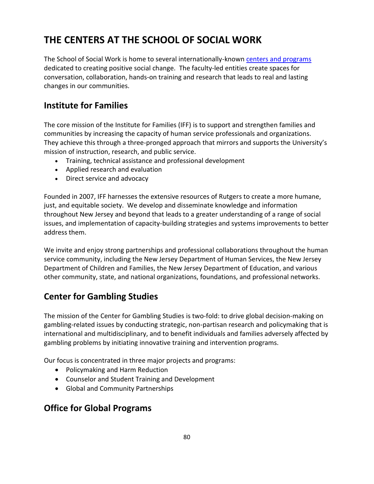# **THE CENTERS AT THE SCHOOL OF SOCIAL WORK**

The School of Social Work is home to several internationally-known [centers and programs](https://socialwork.rutgers.edu/centers) dedicated to creating positive social change. The faculty-led entities create spaces for conversation, collaboration, hands-on training and research that leads to real and lasting changes in our communities.

## **[Institute for Families](https://socialwork.rutgers.edu/node/47)**

The core mission of the Institute for Families (IFF) is to support and strengthen families and communities by increasing the capacity of human service professionals and organizations. They achieve this through a three-pronged approach that mirrors and supports the University's mission of instruction, research, and public service.

- Training, technical assistance and professional development
- Applied research and evaluation
- Direct service and advocacy

Founded in 2007, IFF harnesses the extensive resources of Rutgers to create a more humane, just, and equitable society. We develop and disseminate knowledge and information throughout New Jersey and beyond that leads to a greater understanding of a range of social issues, and implementation of capacity-building strategies and systems improvements to better address them.

We invite and enjoy strong partnerships and professional collaborations throughout the human service community, including the New Jersey Department of Human Services, the New Jersey Department of Children and Families, the New Jersey Department of Education, and various other community, state, and national organizations, foundations, and professional networks.

# **[Center for Gambling Studies](https://socialwork.rutgers.edu/node/48)**

The mission of the Center for Gambling Studies is two-fold: to drive global decision-making on gambling-related issues by conducting strategic, non-partisan research and policymaking that is international and multidisciplinary, and to benefit individuals and families adversely affected by gambling problems by initiating innovative training and intervention programs.

Our focus is concentrated in three major projects and programs:

- Policymaking and Harm Reduction
- Counselor and Student Training and Development
- Global and Community Partnerships

### **[Office for Global Programs](https://socialwork.rutgers.edu/node/49)**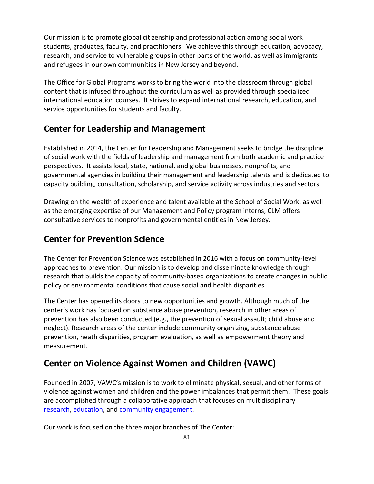Our mission is to promote global citizenship and professional action among social work students, graduates, faculty, and practitioners. We achieve this through education, advocacy, research, and service to vulnerable groups in other parts of the world, as well as immigrants and refugees in our own communities in New Jersey and beyond.

The Office for Global Programs works to bring the world into the classroom through global content that is infused throughout the curriculum as well as provided through specialized international education courses. It strives to expand international research, education, and service opportunities for students and faculty.

### **[Center for Leadership and Management](https://socialwork.rutgers.edu/node/50)**

Established in 2014, the Center for Leadership and Management seeks to bridge the discipline of social work with the fields of leadership and management from both academic and practice perspectives. It assists local, state, national, and global businesses, nonprofits, and governmental agencies in building their management and leadership talents and is dedicated to capacity building, consultation, scholarship, and service activity across industries and sectors.

Drawing on the wealth of experience and talent available at the School of Social Work, as well as the emerging expertise of our Management and Policy program interns, CLM offers consultative services to nonprofits and governmental entities in New Jersey.

# **Center for Prevention Science**

The Center for Prevention Science was established in 2016 with a focus on community-level approaches to prevention. Our mission is to develop and disseminate knowledge through research that builds the capacity of community-based organizations to create changes in public policy or environmental conditions that cause social and health disparities.

The Center has opened its doors to new opportunities and growth. Although much of the center's work has focused on substance abuse prevention, research in other areas of prevention has also been conducted (e.g., the prevention of sexual assault; child abuse and neglect). Research areas of the center include community organizing, substance abuse prevention, heath disparities, program evaluation, as well as empowerment theory and measurement.

# **[Center on Violence Against Women and Children](https://socialwork.rutgers.edu/node/51) (VAWC)**

Founded in 2007, VAWC's mission is to work to eliminate physical, sexual, and other forms of violence against women and children and the power imbalances that permit them. These goals are accomplished through a collaborative approach that focuses on multidisciplinary [research,](https://socialwork.rutgers.edu/node/668) [education,](https://socialwork.rutgers.edu/node/675) and [community engagement.](https://socialwork.rutgers.edu/node/677)

Our work is focused on the three major branches of The Center: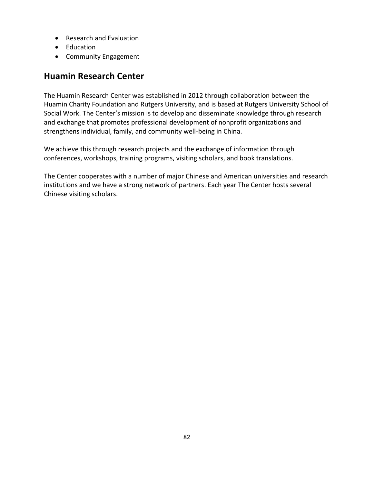- Research and Evaluation
- Education
- Community Engagement

### **[Huamin Research Center](https://socialwork.rutgers.edu/node/52)**

The Huamin Research Center was established in 2012 through collaboration between the Huamin Charity Foundation and Rutgers University, and is based at Rutgers University School of Social Work. The Center's mission is to develop and disseminate knowledge through research and exchange that promotes professional development of nonprofit organizations and strengthens individual, family, and community well-being in China.

We achieve this through research projects and the exchange of information through conferences, workshops, training programs, visiting scholars, and book translations.

The Center cooperates with a number of major Chinese and American universities and research institutions and we have a strong network of partners. Each year The Center hosts several Chinese visiting scholars.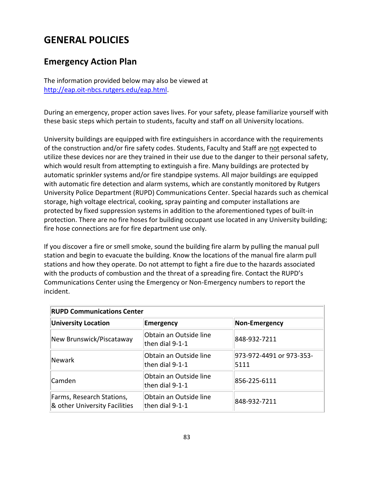# **GENERAL POLICIES**

# **Emergency Action Plan**

The information provided below may also be viewed at [http://eap.oit-nbcs.rutgers.edu/eap.html.](http://eap.oit-nbcs.rutgers.edu/eap.html)

During an emergency, proper action saves lives. For your safety, please familiarize yourself with these basic steps which pertain to students, faculty and staff on all University locations.

University buildings are equipped with fire extinguishers in accordance with the requirements of the construction and/or fire safety codes. Students, Faculty and Staff are not expected to utilize these devices nor are they trained in their use due to the danger to their personal safety, which would result from attempting to extinguish a fire. Many buildings are protected by automatic sprinkler systems and/or fire standpipe systems. All major buildings are equipped with automatic fire detection and alarm systems, which are constantly monitored by Rutgers University Police Department (RUPD) Communications Center. Special hazards such as chemical storage, high voltage electrical, cooking, spray painting and computer installations are protected by fixed suppression systems in addition to the aforementioned types of built-in protection. There are no fire hoses for building occupant use located in any University building; fire hose connections are for fire department use only.

If you discover a fire or smell smoke, sound the building fire alarm by pulling the manual pull station and begin to evacuate the building. Know the locations of the manual fire alarm pull stations and how they operate. Do not attempt to fight a fire due to the hazards associated with the products of combustion and the threat of a spreading fire. Contact the RUPD's Communications Center using the Emergency or Non-Emergency numbers to report the incident.

| <b>RUPD Communications Center</b>                          |                                             |                                  |  |  |  |
|------------------------------------------------------------|---------------------------------------------|----------------------------------|--|--|--|
| <b>University Location</b>                                 | Emergency                                   | Non-Emergency                    |  |  |  |
| New Brunswick/Piscataway                                   | Obtain an Outside line<br>then dial $9-1-1$ | 848-932-7211                     |  |  |  |
| Newark                                                     | Obtain an Outside line<br>then dial $9-1-1$ | 973-972-4491 or 973-353-<br>5111 |  |  |  |
| Camden                                                     | Obtain an Outside line<br>then dial $9-1-1$ | 856-225-6111                     |  |  |  |
| Farms, Research Stations,<br>& other University Facilities | Obtain an Outside line<br>then dial $9-1-1$ | 848-932-7211                     |  |  |  |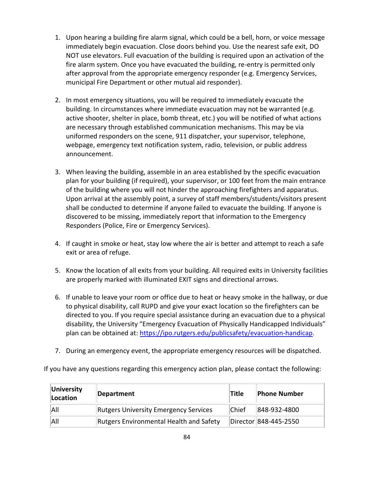- 1. Upon hearing a building fire alarm signal, which could be a bell, horn, or voice message immediately begin evacuation. Close doors behind you. Use the nearest safe exit, DO NOT use elevators. Full evacuation of the building is required upon an activation of the fire alarm system. Once you have evacuated the building, re-entry is permitted only after approval from the appropriate emergency responder (e.g. Emergency Services, municipal Fire Department or other mutual aid responder).
- 2. In most emergency situations, you will be required to immediately evacuate the building. In circumstances where immediate evacuation may not be warranted (e.g. active shooter, shelter in place, bomb threat, etc.) you will be notified of what actions are necessary through established communication mechanisms. This may be via uniformed responders on the scene, 911 dispatcher, your supervisor, telephone, webpage, emergency text notification system, radio, television, or public address announcement.
- 3. When leaving the building, assemble in an area established by the specific evacuation plan for your building (if required), your supervisor, or 100 feet from the main entrance of the building where you will not hinder the approaching firefighters and apparatus. Upon arrival at the assembly point, a survey of staff members/students/visitors present shall be conducted to determine if anyone failed to evacuate the building. If anyone is discovered to be missing, immediately report that information to the Emergency Responders (Police, Fire or Emergency Services).
- 4. If caught in smoke or heat, stay low where the air is better and attempt to reach a safe exit or area of refuge.
- 5. Know the location of all exits from your building. All required exits in University facilities are properly marked with illuminated EXIT signs and directional arrows.
- 6. If unable to leave your room or office due to heat or heavy smoke in the hallway, or due to physical disability, call RUPD and give your exact location so the firefighters can be directed to you. If you require special assistance during an evacuation due to a physical disability, the University "Emergency Evacuation of Physically Handicapped Individuals" plan can be obtained at: [https://ipo.rutgers.edu/publicsafety/evacuation-handicap.](https://ipo.rutgers.edu/publicsafety/evacuation-handicap)
- 7. During an emergency event, the appropriate emergency resources will be dispatched.

If you have any questions regarding this emergency action plan, please contact the following:

| University<br>Location | Department                              | <b>Title</b> | <b>Phone Number</b>   |
|------------------------|-----------------------------------------|--------------|-----------------------|
| All                    | Rutgers University Emergency Services   | <b>Chief</b> | 848-932-4800          |
| All                    | Rutgers Environmental Health and Safety |              | Director 848-445-2550 |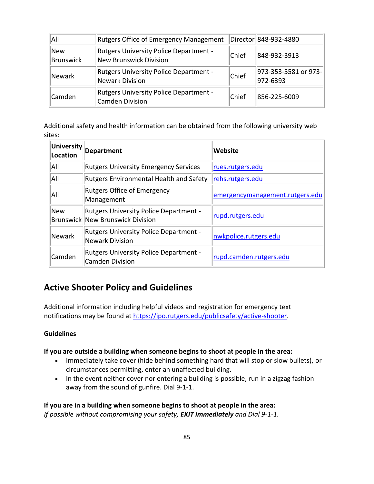| All              | <b>Rutgers Office of Emergency Management</b>                           |       | Director 848-932-4880            |
|------------------|-------------------------------------------------------------------------|-------|----------------------------------|
| New<br>Brunswick | <b>Rutgers University Police Department -</b><br>New Brunswick Division | Chief | 848-932-3913                     |
| Newark           | <b>Rutgers University Police Department -</b><br>Newark Division        | Chief | 973-353-5581 or 973-<br>972-6393 |
| <b>Camden</b>    | <b>Rutgers University Police Department -</b><br><b>Camden Division</b> | Chief | 856-225-6009                     |

Additional safety and health information can be obtained from the following university web sites:

| University<br>Location | <b>Department</b>                                                                 | Website                         |  |  |
|------------------------|-----------------------------------------------------------------------------------|---------------------------------|--|--|
| All                    | <b>Rutgers University Emergency Services</b>                                      | rues.rutgers.edu                |  |  |
| All                    | <b>Rutgers Environmental Health and Safety</b>                                    | rehs.rutgers.edu                |  |  |
| All                    | Rutgers Office of Emergency<br>Management                                         | emergencymanagement.rutgers.edu |  |  |
| New                    | <b>Rutgers University Police Department -</b><br>Brunswick New Brunswick Division | rupd.rutgers.edu                |  |  |
| Newark                 | <b>Rutgers University Police Department -</b><br><b>Newark Division</b>           | nwkpolice.rutgers.edu           |  |  |
| Camden                 | <b>Rutgers University Police Department -</b><br><b>Camden Division</b>           | rupd.camden.rutgers.edu         |  |  |

### **Active Shooter Policy and Guidelines**

Additional information including helpful videos and registration for emergency text notifications may be found at [https://ipo.rutgers.edu/publicsafety/active-shooter.](https://ipo.rutgers.edu/publicsafety/active-shooter)

### **Guidelines**

### **If you are outside a building when someone begins to shoot at people in the area:**

- Immediately take cover (hide behind something hard that will stop or slow bullets), or circumstances permitting, enter an unaffected building.
- In the event neither cover nor entering a building is possible, run in a zigzag fashion away from the sound of gunfire. Dial 9-1-1.

**If you are in a building when someone begins to shoot at people in the area:** *If possible without compromising your safety, EXIT immediately and Dial 9-1-1.*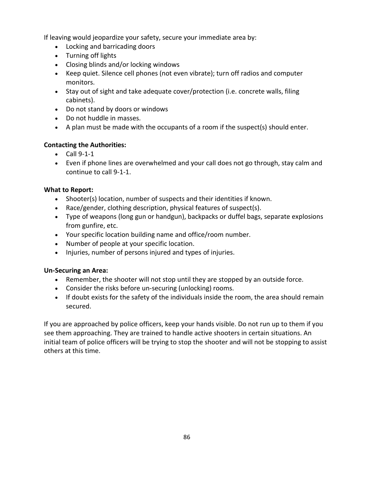If leaving would jeopardize your safety, secure your immediate area by:

- Locking and barricading doors
- Turning off lights
- Closing blinds and/or locking windows
- Keep quiet. Silence cell phones (not even vibrate); turn off radios and computer monitors.
- Stay out of sight and take adequate cover/protection (i.e. concrete walls, filing cabinets).
- Do not stand by doors or windows
- Do not huddle in masses.
- A plan must be made with the occupants of a room if the suspect(s) should enter.

### **Contacting the Authorities:**

- Call 9-1-1
- Even if phone lines are overwhelmed and your call does not go through, stay calm and continue to call 9-1-1.

### **What to Report:**

- Shooter(s) location, number of suspects and their identities if known.
- Race/gender, clothing description, physical features of suspect(s).
- Type of weapons (long gun or handgun), backpacks or duffel bags, separate explosions from gunfire, etc.
- Your specific location building name and office/room number.
- Number of people at your specific location.
- Injuries, number of persons injured and types of injuries.

### **Un-Securing an Area:**

- Remember, the shooter will not stop until they are stopped by an outside force.
- Consider the risks before un-securing (unlocking) rooms.
- If doubt exists for the safety of the individuals inside the room, the area should remain secured.

If you are approached by police officers, keep your hands visible. Do not run up to them if you see them approaching. They are trained to handle active shooters in certain situations. An initial team of police officers will be trying to stop the shooter and will not be stopping to assist others at this time.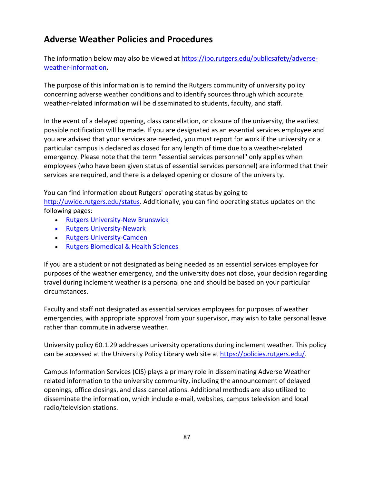# **Adverse Weather Policies and Procedures**

The information below may also be viewed at [https://ipo.rutgers.edu/publicsafety/adverse](https://ipo.rutgers.edu/publicsafety/adverse-weather-information)[weather-information](https://ipo.rutgers.edu/publicsafety/adverse-weather-information)**.**

The purpose of this information is to remind the Rutgers community of university policy concerning adverse weather conditions and to identify sources through which accurate weather-related information will be disseminated to students, faculty, and staff.

In the event of a delayed opening, class cancellation, or closure of the university, the earliest possible notification will be made. If you are designated as an essential services employee and you are advised that your services are needed, you must report for work if the university or a particular campus is declared as closed for any length of time due to a weather-related emergency. Please note that the term "essential services personnel" only applies when employees (who have been given status of essential services personnel) are informed that their services are required, and there is a delayed opening or closure of the university.

You can find information about Rutgers' operating status by going to [http://uwide.rutgers.edu/status.](http://uwide.rutgers.edu/status) Additionally, you can find operating status updates on the following pages:

- [Rutgers University-New Brunswick](https://newbrunswick.rutgers.edu/)
- [Rutgers University-Newark](https://www.newark.rutgers.edu/weather-and-campus-operating-status)
- [Rutgers University-Camden](http://www.camden.rutgers.edu/page/weather-and-emergency-information)
- [Rutgers Biomedical & Health Sciences](http://rbhs.rutgers.edu/operatingstatus.shtml)

If you are a student or not designated as being needed as an essential services employee for purposes of the weather emergency, and the university does not close, your decision regarding travel during inclement weather is a personal one and should be based on your particular circumstances.

Faculty and staff not designated as essential services employees for purposes of weather emergencies, with appropriate approval from your supervisor, may wish to take personal leave rather than commute in adverse weather.

University policy 60.1.29 addresses university operations during inclement weather. This policy can be accessed at the University Policy Library web site at [https://policies.rutgers.edu/.](https://policies.rutgers.edu/view-policies/human-resources-hr-%E2%80%93-section-60)

Campus Information Services (CIS) plays a primary role in disseminating Adverse Weather related information to the university community, including the announcement of delayed openings, office closings, and class cancellations. Additional methods are also utilized to disseminate the information, which include e-mail, websites, campus television and local radio/television stations.